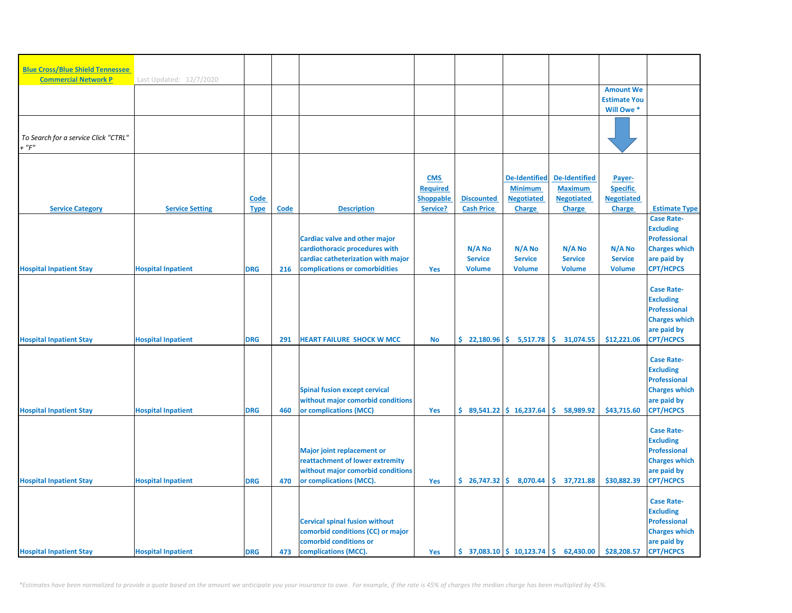| <b>Blue Cross/Blue Shield Tennessee</b> |                           |             |      |                                       |                                     |                       |                                                               |                                     |                                      |                                         |
|-----------------------------------------|---------------------------|-------------|------|---------------------------------------|-------------------------------------|-----------------------|---------------------------------------------------------------|-------------------------------------|--------------------------------------|-----------------------------------------|
| <b>Commercial Network P</b>             | Last Updated: 12/7/2020   |             |      |                                       |                                     |                       |                                                               |                                     |                                      |                                         |
|                                         |                           |             |      |                                       |                                     |                       |                                                               |                                     | <b>Amount We</b>                     |                                         |
|                                         |                           |             |      |                                       |                                     |                       |                                                               |                                     | <b>Estimate You</b>                  |                                         |
|                                         |                           |             |      |                                       |                                     |                       |                                                               |                                     | Will Owe *                           |                                         |
|                                         |                           |             |      |                                       |                                     |                       |                                                               |                                     |                                      |                                         |
| To Search for a service Click "CTRL"    |                           |             |      |                                       |                                     |                       |                                                               |                                     |                                      |                                         |
| $+$ " $F$ "                             |                           |             |      |                                       |                                     |                       |                                                               |                                     |                                      |                                         |
|                                         |                           |             |      |                                       |                                     |                       |                                                               |                                     |                                      |                                         |
|                                         |                           |             |      |                                       |                                     |                       |                                                               |                                     |                                      |                                         |
|                                         |                           |             |      |                                       | <b>CMS</b>                          |                       | <b>De-Identified</b>                                          | <b>De-Identified</b>                | Payer-                               |                                         |
|                                         |                           | <b>Code</b> |      |                                       | <b>Required</b><br><b>Shoppable</b> | <b>Discounted</b>     | <b>Minimum</b><br><b>Negotiated</b>                           | <b>Maximum</b><br><b>Negotiated</b> | <b>Specific</b><br><b>Negotiated</b> |                                         |
| <b>Service Category</b>                 | <b>Service Setting</b>    | <b>Type</b> | Code | <b>Description</b>                    | Service?                            | <b>Cash Price</b>     | <b>Charge</b>                                                 | Charge                              | <b>Charge</b>                        | <b>Estimate Type</b>                    |
|                                         |                           |             |      |                                       |                                     |                       |                                                               |                                     |                                      | <b>Case Rate-</b>                       |
|                                         |                           |             |      |                                       |                                     |                       |                                                               |                                     |                                      | <b>Excluding</b>                        |
|                                         |                           |             |      | Cardiac valve and other major         |                                     |                       |                                                               |                                     |                                      | <b>Professional</b>                     |
|                                         |                           |             |      | cardiothoracic procedures with        |                                     | N/A No                | N/A No                                                        | N/A No                              | N/A No                               | <b>Charges which</b>                    |
|                                         |                           |             |      | cardiac catheterization with major    |                                     | <b>Service</b>        | <b>Service</b>                                                | <b>Service</b>                      | <b>Service</b>                       | are paid by                             |
| <b>Hospital Inpatient Stay</b>          | <b>Hospital Inpatient</b> | <b>DRG</b>  | 216  | complications or comorbidities        | <b>Yes</b>                          | <b>Volume</b>         | <b>Volume</b>                                                 | <b>Volume</b>                       | <b>Volume</b>                        | <b>CPT/HCPCS</b>                        |
|                                         |                           |             |      |                                       |                                     |                       |                                                               |                                     |                                      | <b>Case Rate-</b>                       |
|                                         |                           |             |      |                                       |                                     |                       |                                                               |                                     |                                      | <b>Excluding</b>                        |
|                                         |                           |             |      |                                       |                                     |                       |                                                               |                                     |                                      | <b>Professional</b>                     |
|                                         |                           |             |      |                                       |                                     |                       |                                                               |                                     |                                      | <b>Charges which</b>                    |
|                                         |                           |             |      |                                       |                                     |                       |                                                               |                                     |                                      | are paid by                             |
| <b>Hospital Inpatient Stay</b>          | <b>Hospital Inpatient</b> | <b>DRG</b>  | 291  | <b>HEART FAILURE SHOCK W MCC</b>      | <b>No</b>                           | $\frac{22,180.96}{5}$ | 5,517.78                                                      | Ŝ.<br>31,074.55                     | \$12,221.06                          | <b>CPT/HCPCS</b>                        |
|                                         |                           |             |      |                                       |                                     |                       |                                                               |                                     |                                      |                                         |
|                                         |                           |             |      |                                       |                                     |                       |                                                               |                                     |                                      | <b>Case Rate-</b>                       |
|                                         |                           |             |      |                                       |                                     |                       |                                                               |                                     |                                      | <b>Excluding</b><br><b>Professional</b> |
|                                         |                           |             |      | <b>Spinal fusion except cervical</b>  |                                     |                       |                                                               |                                     |                                      | <b>Charges which</b>                    |
|                                         |                           |             |      | without major comorbid conditions     |                                     |                       |                                                               |                                     |                                      | are paid by                             |
| <b>Hospital Inpatient Stay</b>          | <b>Hospital Inpatient</b> | <b>DRG</b>  | 460  | or complications (MCC)                | Yes                                 |                       | $$89,541.22 \  $16,237.64$                                    | Ŝ.<br>58,989.92                     | \$43,715.60                          | <b>CPT/HCPCS</b>                        |
|                                         |                           |             |      |                                       |                                     |                       |                                                               |                                     |                                      |                                         |
|                                         |                           |             |      |                                       |                                     |                       |                                                               |                                     |                                      | <b>Case Rate-</b>                       |
|                                         |                           |             |      |                                       |                                     |                       |                                                               |                                     |                                      | <b>Excluding</b>                        |
|                                         |                           |             |      | <b>Major joint replacement or</b>     |                                     |                       |                                                               |                                     |                                      | <b>Professional</b>                     |
|                                         |                           |             |      | reattachment of lower extremity       |                                     |                       |                                                               |                                     |                                      | <b>Charges which</b>                    |
|                                         |                           |             |      | without major comorbid conditions     |                                     |                       |                                                               |                                     |                                      | are paid by                             |
| <b>Hospital Inpatient Stay</b>          | <b>Hospital Inpatient</b> | <b>DRG</b>  | 470  | or complications (MCC).               | Yes                                 |                       | $\binom{6}{5}$ 26,747.32 $\binom{6}{5}$ 8,070.44              | S.<br>37,721.88                     | \$30,882.39                          | <b>CPT/HCPCS</b>                        |
|                                         |                           |             |      |                                       |                                     |                       |                                                               |                                     |                                      | <b>Case Rate-</b>                       |
|                                         |                           |             |      |                                       |                                     |                       |                                                               |                                     |                                      | <b>Excluding</b>                        |
|                                         |                           |             |      | <b>Cervical spinal fusion without</b> |                                     |                       |                                                               |                                     |                                      | <b>Professional</b>                     |
|                                         |                           |             |      | comorbid conditions (CC) or major     |                                     |                       |                                                               |                                     |                                      | <b>Charges which</b>                    |
|                                         |                           |             |      | comorbid conditions or                |                                     |                       |                                                               |                                     |                                      | are paid by                             |
| <b>Hospital Inpatient Stay</b>          | <b>Hospital Inpatient</b> | <b>DRG</b>  | 473  | complications (MCC).                  | Yes                                 |                       | $\frac{1}{2}$ 37,083.10 $\frac{1}{2}$ 10,123.74 $\frac{1}{2}$ | 62,430.00                           | \$28,208.57                          | <b>CPT/HCPCS</b>                        |

*\*Estimates have been normalized to provide a quote based on the amount we anticipate you your insurance to owe. For example, if the rate is 45% of charges the median charge has been multiplied by 45%.*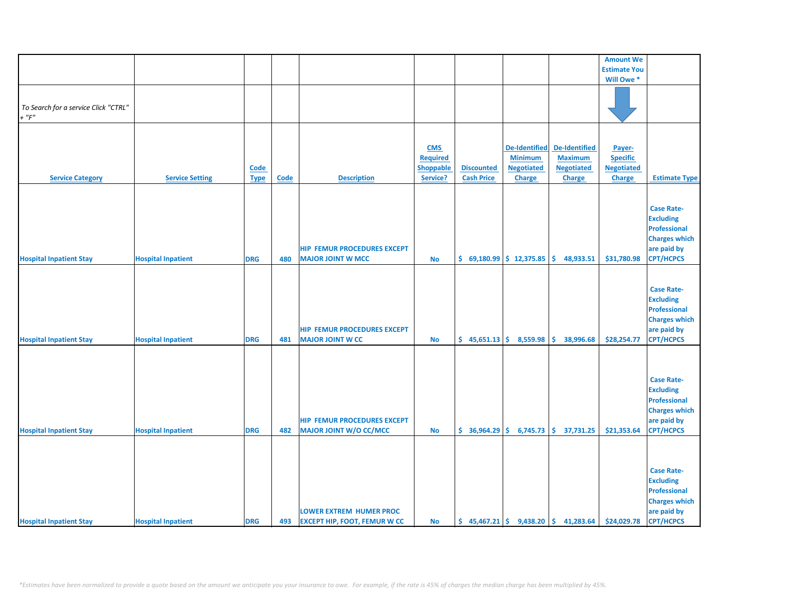|                                      |                           |             |             |                                     |                 |                   |                            |                                                                           | <b>Amount We</b>    |                      |
|--------------------------------------|---------------------------|-------------|-------------|-------------------------------------|-----------------|-------------------|----------------------------|---------------------------------------------------------------------------|---------------------|----------------------|
|                                      |                           |             |             |                                     |                 |                   |                            |                                                                           | <b>Estimate You</b> |                      |
|                                      |                           |             |             |                                     |                 |                   |                            |                                                                           | Will Owe *          |                      |
|                                      |                           |             |             |                                     |                 |                   |                            |                                                                           |                     |                      |
|                                      |                           |             |             |                                     |                 |                   |                            |                                                                           |                     |                      |
| To Search for a service Click "CTRL" |                           |             |             |                                     |                 |                   |                            |                                                                           |                     |                      |
|                                      |                           |             |             |                                     |                 |                   |                            |                                                                           |                     |                      |
| $+$ " $F"$                           |                           |             |             |                                     |                 |                   |                            |                                                                           |                     |                      |
|                                      |                           |             |             |                                     |                 |                   |                            |                                                                           |                     |                      |
|                                      |                           |             |             |                                     |                 |                   |                            |                                                                           |                     |                      |
|                                      |                           |             |             |                                     | <b>CMS</b>      |                   | De-Identified              | <b>De-Identified</b>                                                      | Payer-              |                      |
|                                      |                           |             |             |                                     | <b>Required</b> |                   | <b>Minimum</b>             | <b>Maximum</b>                                                            | <b>Specific</b>     |                      |
|                                      |                           |             |             |                                     |                 |                   |                            |                                                                           |                     |                      |
|                                      |                           | <b>Code</b> |             |                                     | Shoppable       | <b>Discounted</b> | <b>Negotiated</b>          | <b>Negotiated</b>                                                         | <b>Negotiated</b>   |                      |
| <b>Service Category</b>              | <b>Service Setting</b>    | <b>Type</b> | <b>Code</b> | <b>Description</b>                  | Service?        | <b>Cash Price</b> | <b>Charge</b>              | <b>Charge</b>                                                             | Charge              | <b>Estimate Type</b> |
|                                      |                           |             |             |                                     |                 |                   |                            |                                                                           |                     |                      |
|                                      |                           |             |             |                                     |                 |                   |                            |                                                                           |                     |                      |
|                                      |                           |             |             |                                     |                 |                   |                            |                                                                           |                     |                      |
|                                      |                           |             |             |                                     |                 |                   |                            |                                                                           |                     | <b>Case Rate-</b>    |
|                                      |                           |             |             |                                     |                 |                   |                            |                                                                           |                     | <b>Excluding</b>     |
|                                      |                           |             |             |                                     |                 |                   |                            |                                                                           |                     | Professional         |
|                                      |                           |             |             |                                     |                 |                   |                            |                                                                           |                     | <b>Charges which</b> |
|                                      |                           |             |             | <b>HIP FEMUR PROCEDURES EXCEPT</b>  |                 |                   |                            |                                                                           |                     | are paid by          |
|                                      |                           |             |             |                                     |                 |                   |                            |                                                                           |                     |                      |
| <b>Hospital Inpatient Stay</b>       | <b>Hospital Inpatient</b> | <b>DRG</b>  | 480         | <b>MAJOR JOINT W MCC</b>            | <b>No</b>       |                   | $$69,180.99$$ $$12,375.85$ | \$.<br>48,933.51                                                          | \$31,780.98         | <b>CPT/HCPCS</b>     |
|                                      |                           |             |             |                                     |                 |                   |                            |                                                                           |                     |                      |
|                                      |                           |             |             |                                     |                 |                   |                            |                                                                           |                     |                      |
|                                      |                           |             |             |                                     |                 |                   |                            |                                                                           |                     | <b>Case Rate-</b>    |
|                                      |                           |             |             |                                     |                 |                   |                            |                                                                           |                     | <b>Excluding</b>     |
|                                      |                           |             |             |                                     |                 |                   |                            |                                                                           |                     |                      |
|                                      |                           |             |             |                                     |                 |                   |                            |                                                                           |                     | <b>Professional</b>  |
|                                      |                           |             |             |                                     |                 |                   |                            |                                                                           |                     | <b>Charges which</b> |
|                                      |                           |             |             | <b>HIP FEMUR PROCEDURES EXCEPT</b>  |                 |                   |                            |                                                                           |                     | are paid by          |
| <b>Hospital Inpatient Stay</b>       | <b>Hospital Inpatient</b> | <b>DRG</b>  | 481         | <b>MAJOR JOINT W CC</b>             | <b>No</b>       |                   | $$45,651.13$$ $$8,559.98$  | \$.<br>38,996.68                                                          | \$28,254.77         | <b>CPT/HCPCS</b>     |
|                                      |                           |             |             |                                     |                 |                   |                            |                                                                           |                     |                      |
|                                      |                           |             |             |                                     |                 |                   |                            |                                                                           |                     |                      |
|                                      |                           |             |             |                                     |                 |                   |                            |                                                                           |                     |                      |
|                                      |                           |             |             |                                     |                 |                   |                            |                                                                           |                     |                      |
|                                      |                           |             |             |                                     |                 |                   |                            |                                                                           |                     | <b>Case Rate-</b>    |
|                                      |                           |             |             |                                     |                 |                   |                            |                                                                           |                     | <b>Excluding</b>     |
|                                      |                           |             |             |                                     |                 |                   |                            |                                                                           |                     |                      |
|                                      |                           |             |             |                                     |                 |                   |                            |                                                                           |                     | <b>Professional</b>  |
|                                      |                           |             |             |                                     |                 |                   |                            |                                                                           |                     | <b>Charges which</b> |
|                                      |                           |             |             | <b>HIP FEMUR PROCEDURES EXCEPT</b>  |                 |                   |                            |                                                                           |                     | are paid by          |
| <b>Hospital Inpatient Stay</b>       | <b>Hospital Inpatient</b> | <b>DRG</b>  | 482         | <b>MAJOR JOINT W/O CC/MCC</b>       | <b>No</b>       |                   |                            | $\frac{1}{5}$ 36,964.29 $\frac{1}{5}$ 6,745.73 $\frac{1}{5}$ 37,731.25    | \$21,353.64         | <b>CPT/HCPCS</b>     |
|                                      |                           |             |             |                                     |                 |                   |                            |                                                                           |                     |                      |
|                                      |                           |             |             |                                     |                 |                   |                            |                                                                           |                     |                      |
|                                      |                           |             |             |                                     |                 |                   |                            |                                                                           |                     |                      |
|                                      |                           |             |             |                                     |                 |                   |                            |                                                                           |                     |                      |
|                                      |                           |             |             |                                     |                 |                   |                            |                                                                           |                     | <b>Case Rate-</b>    |
|                                      |                           |             |             |                                     |                 |                   |                            |                                                                           |                     | <b>Excluding</b>     |
|                                      |                           |             |             |                                     |                 |                   |                            |                                                                           |                     | <b>Professional</b>  |
|                                      |                           |             |             |                                     |                 |                   |                            |                                                                           |                     |                      |
|                                      |                           |             |             |                                     |                 |                   |                            |                                                                           |                     | <b>Charges which</b> |
|                                      |                           |             |             | <b>LOWER EXTREM HUMER PROC</b>      |                 |                   |                            |                                                                           |                     | are paid by          |
| <b>Hospital Inpatient Stay</b>       | <b>Hospital Inpatient</b> | <b>DRG</b>  | 493         | <b>EXCEPT HIP, FOOT, FEMUR W CC</b> | No              |                   |                            | $\binom{1}{2}$ 45,467.21 $\binom{2}{3}$ 9,438.20 $\binom{3}{3}$ 41,283.64 | \$24,029.78         | <b>CPT/HCPCS</b>     |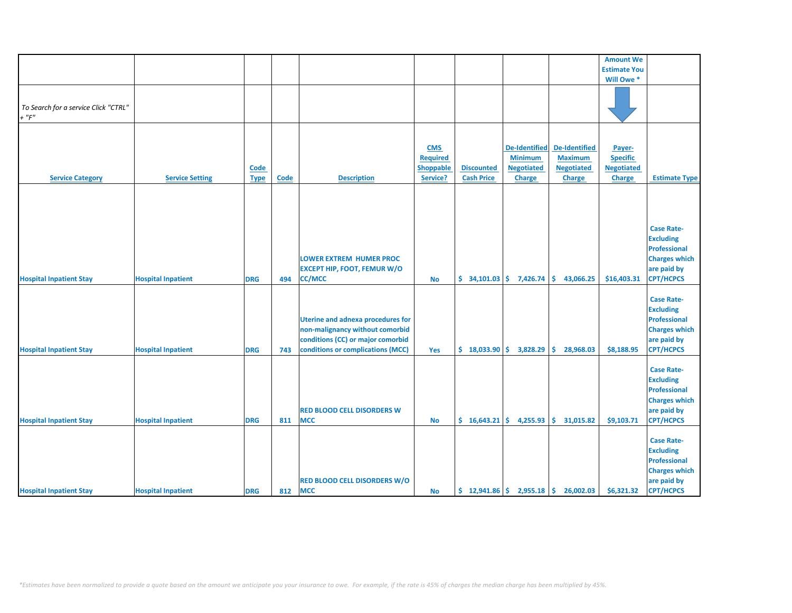|                                                     |                           |                            |      |                                                                                                                                                       |                                                 |                                        |                                                                              |                                                                              | <b>Amount We</b>                                                |                                                                                                                         |
|-----------------------------------------------------|---------------------------|----------------------------|------|-------------------------------------------------------------------------------------------------------------------------------------------------------|-------------------------------------------------|----------------------------------------|------------------------------------------------------------------------------|------------------------------------------------------------------------------|-----------------------------------------------------------------|-------------------------------------------------------------------------------------------------------------------------|
|                                                     |                           |                            |      |                                                                                                                                                       |                                                 |                                        |                                                                              |                                                                              | <b>Estimate You</b>                                             |                                                                                                                         |
|                                                     |                           |                            |      |                                                                                                                                                       |                                                 |                                        |                                                                              |                                                                              | Will Owe *                                                      |                                                                                                                         |
| To Search for a service Click "CTRL"<br>$+$ " $F$ " |                           |                            |      |                                                                                                                                                       |                                                 |                                        |                                                                              |                                                                              |                                                                 |                                                                                                                         |
| <b>Service Category</b>                             | <b>Service Setting</b>    | <b>Code</b><br><b>Type</b> | Code | <b>Description</b>                                                                                                                                    | <b>CMS</b><br>Required<br>Shoppable<br>Service? | <b>Discounted</b><br><b>Cash Price</b> | <b>De-Identified</b><br><b>Minimum</b><br><b>Negotiated</b><br><b>Charge</b> | <b>De-Identified</b><br><b>Maximum</b><br><b>Negotiated</b><br><b>Charge</b> | Payer-<br><b>Specific</b><br><b>Negotiated</b><br><b>Charge</b> | <b>Estimate Type</b>                                                                                                    |
|                                                     |                           |                            |      |                                                                                                                                                       |                                                 |                                        |                                                                              |                                                                              |                                                                 |                                                                                                                         |
| <b>Hospital Inpatient Stay</b>                      | <b>Hospital Inpatient</b> | <b>DRG</b>                 | 494  | <b>LOWER EXTREM HUMER PROC</b><br><b>EXCEPT HIP, FOOT, FEMUR W/O</b><br><b>CC/MCC</b>                                                                 | No                                              | $$34,101.03 \mid $7,426.74$            |                                                                              | \$.<br>43,066.25                                                             | \$16,403.31                                                     | <b>Case Rate-</b><br><b>Excluding</b><br><b>Professional</b><br><b>Charges which</b><br>are paid by<br><b>CPT/HCPCS</b> |
| <b>Hospital Inpatient Stay</b>                      | <b>Hospital Inpatient</b> | <b>DRG</b>                 | 743  | <b>Uterine and adnexa procedures for</b><br>non-malignancy without comorbid<br>conditions (CC) or major comorbid<br>conditions or complications (MCC) | Yes                                             | \$18,033.90                            | 3,828.29                                                                     | 28,968.03<br>Ŝ.                                                              | \$8,188.95                                                      | <b>Case Rate-</b><br><b>Excluding</b><br><b>Professional</b><br><b>Charges which</b><br>are paid by<br><b>CPT/HCPCS</b> |
| <b>Hospital Inpatient Stay</b>                      | <b>Hospital Inpatient</b> | <b>DRG</b>                 | 811  | <b>RED BLOOD CELL DISORDERS W</b><br><b>MCC</b>                                                                                                       | <b>No</b>                                       | \$16,643.21                            | 4,255.93                                                                     | \$.<br>31,015.82                                                             | \$9,103.71                                                      | <b>Case Rate-</b><br><b>Excluding</b><br><b>Professional</b><br><b>Charges which</b><br>are paid by<br><b>CPT/HCPCS</b> |
| <b>Hospital Inpatient Stay</b>                      | <b>Hospital Inpatient</b> | <b>DRG</b>                 | 812  | <b>RED BLOOD CELL DISORDERS W/O</b><br><b>MCC</b>                                                                                                     | No                                              |                                        |                                                                              | $\binom{12,941.86}{ }$ $\binom{2,955.18}{ }$ $\binom{2,902.03}{ }$           | \$6,321.32                                                      | <b>Case Rate-</b><br><b>Excluding</b><br><b>Professional</b><br><b>Charges which</b><br>are paid by<br><b>CPT/HCPCS</b> |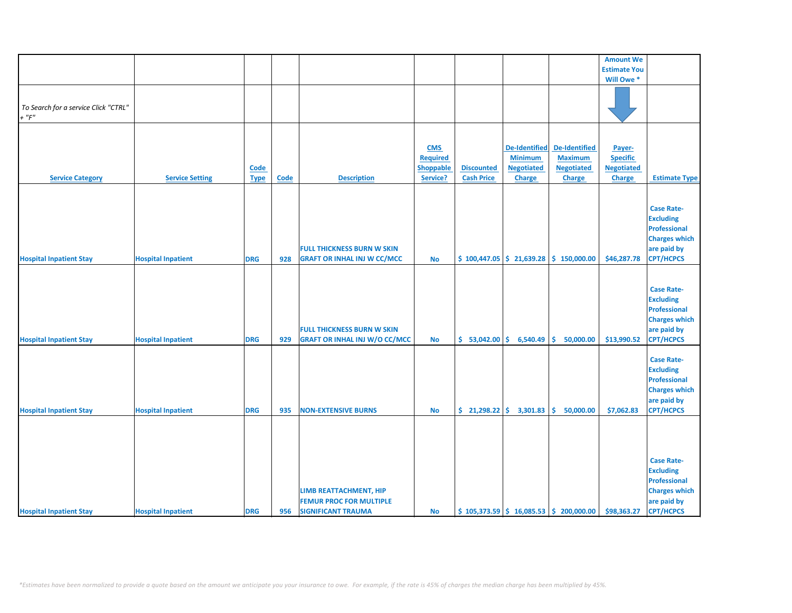|                                      |                           |             |             |                                      |                 |                                  |                      |                                                                           | <b>Amount We</b>    |                      |
|--------------------------------------|---------------------------|-------------|-------------|--------------------------------------|-----------------|----------------------------------|----------------------|---------------------------------------------------------------------------|---------------------|----------------------|
|                                      |                           |             |             |                                      |                 |                                  |                      |                                                                           | <b>Estimate You</b> |                      |
|                                      |                           |             |             |                                      |                 |                                  |                      |                                                                           | Will Owe *          |                      |
|                                      |                           |             |             |                                      |                 |                                  |                      |                                                                           |                     |                      |
|                                      |                           |             |             |                                      |                 |                                  |                      |                                                                           |                     |                      |
|                                      |                           |             |             |                                      |                 |                                  |                      |                                                                           |                     |                      |
| To Search for a service Click "CTRL" |                           |             |             |                                      |                 |                                  |                      |                                                                           |                     |                      |
| $+$ " $F$ "                          |                           |             |             |                                      |                 |                                  |                      |                                                                           |                     |                      |
|                                      |                           |             |             |                                      |                 |                                  |                      |                                                                           |                     |                      |
|                                      |                           |             |             |                                      |                 |                                  |                      |                                                                           |                     |                      |
|                                      |                           |             |             |                                      | <b>CMS</b>      |                                  | <b>De-Identified</b> | <b>De-Identified</b>                                                      | Payer-              |                      |
|                                      |                           |             |             |                                      | <b>Required</b> |                                  | <b>Minimum</b>       | <b>Maximum</b>                                                            | <b>Specific</b>     |                      |
|                                      |                           |             |             |                                      |                 |                                  |                      |                                                                           |                     |                      |
|                                      |                           | <b>Code</b> |             |                                      | Shoppable       | <b>Discounted</b>                | <b>Negotiated</b>    | <b>Negotiated</b>                                                         | <b>Negotiated</b>   |                      |
| <b>Service Category</b>              | <b>Service Setting</b>    | <b>Type</b> | <b>Code</b> | <b>Description</b>                   | Service?        | <b>Cash Price</b>                | <b>Charge</b>        | <b>Charge</b>                                                             | Charge              | <b>Estimate Type</b> |
|                                      |                           |             |             |                                      |                 |                                  |                      |                                                                           |                     |                      |
|                                      |                           |             |             |                                      |                 |                                  |                      |                                                                           |                     |                      |
|                                      |                           |             |             |                                      |                 |                                  |                      |                                                                           |                     | <b>Case Rate-</b>    |
|                                      |                           |             |             |                                      |                 |                                  |                      |                                                                           |                     |                      |
|                                      |                           |             |             |                                      |                 |                                  |                      |                                                                           |                     | <b>Excluding</b>     |
|                                      |                           |             |             |                                      |                 |                                  |                      |                                                                           |                     | Professional         |
|                                      |                           |             |             |                                      |                 |                                  |                      |                                                                           |                     | <b>Charges which</b> |
|                                      |                           |             |             | <b>FULL THICKNESS BURN W SKIN</b>    |                 |                                  |                      |                                                                           |                     | are paid by          |
| <b>Hospital Inpatient Stay</b>       | <b>Hospital Inpatient</b> | <b>DRG</b>  | 928         | <b>GRAFT OR INHAL INJ W CC/MCC</b>   | <b>No</b>       |                                  |                      | $\frac{1}{2}$ 100,447.05 $\frac{1}{2}$ 21,639.28 $\frac{1}{2}$ 150,000.00 | \$46,287.78         | <b>CPT/HCPCS</b>     |
|                                      |                           |             |             |                                      |                 |                                  |                      |                                                                           |                     |                      |
|                                      |                           |             |             |                                      |                 |                                  |                      |                                                                           |                     |                      |
|                                      |                           |             |             |                                      |                 |                                  |                      |                                                                           |                     |                      |
|                                      |                           |             |             |                                      |                 |                                  |                      |                                                                           |                     | <b>Case Rate-</b>    |
|                                      |                           |             |             |                                      |                 |                                  |                      |                                                                           |                     | <b>Excluding</b>     |
|                                      |                           |             |             |                                      |                 |                                  |                      |                                                                           |                     | <b>Professional</b>  |
|                                      |                           |             |             |                                      |                 |                                  |                      |                                                                           |                     | <b>Charges which</b> |
|                                      |                           |             |             | <b>FULL THICKNESS BURN W SKIN</b>    |                 |                                  |                      |                                                                           |                     | are paid by          |
|                                      |                           |             |             |                                      |                 |                                  |                      |                                                                           |                     |                      |
| <b>Hospital Inpatient Stay</b>       | <b>Hospital Inpatient</b> | <b>DRG</b>  | 929         | <b>GRAFT OR INHAL INJ W/O CC/MCC</b> | <b>No</b>       | \$53,042.00                      | 6,540.49             | \$.<br>50,000.00                                                          | \$13,990.52         | <b>CPT/HCPCS</b>     |
|                                      |                           |             |             |                                      |                 |                                  |                      |                                                                           |                     |                      |
|                                      |                           |             |             |                                      |                 |                                  |                      |                                                                           |                     | <b>Case Rate-</b>    |
|                                      |                           |             |             |                                      |                 |                                  |                      |                                                                           |                     | <b>Excluding</b>     |
|                                      |                           |             |             |                                      |                 |                                  |                      |                                                                           |                     | <b>Professional</b>  |
|                                      |                           |             |             |                                      |                 |                                  |                      |                                                                           |                     | <b>Charges which</b> |
|                                      |                           |             |             |                                      |                 |                                  |                      |                                                                           |                     |                      |
|                                      |                           |             |             |                                      |                 |                                  |                      |                                                                           |                     | are paid by          |
| <b>Hospital Inpatient Stay</b>       | <b>Hospital Inpatient</b> | <b>DRG</b>  | 935         | <b>NON-EXTENSIVE BURNS</b>           | <b>No</b>       | $\binom{21}{298.22}$ \$ 3,301.83 |                      | 50,000.00<br>\$.                                                          | \$7,062.83          | <b>CPT/HCPCS</b>     |
|                                      |                           |             |             |                                      |                 |                                  |                      |                                                                           |                     |                      |
|                                      |                           |             |             |                                      |                 |                                  |                      |                                                                           |                     |                      |
|                                      |                           |             |             |                                      |                 |                                  |                      |                                                                           |                     |                      |
|                                      |                           |             |             |                                      |                 |                                  |                      |                                                                           |                     |                      |
|                                      |                           |             |             |                                      |                 |                                  |                      |                                                                           |                     |                      |
|                                      |                           |             |             |                                      |                 |                                  |                      |                                                                           |                     | <b>Case Rate-</b>    |
|                                      |                           |             |             |                                      |                 |                                  |                      |                                                                           |                     | <b>Excluding</b>     |
|                                      |                           |             |             |                                      |                 |                                  |                      |                                                                           |                     | <b>Professional</b>  |
|                                      |                           |             |             | LIMB REATTACHMENT, HIP               |                 |                                  |                      |                                                                           |                     | <b>Charges which</b> |
|                                      |                           |             |             | <b>FEMUR PROC FOR MULTIPLE</b>       |                 |                                  |                      |                                                                           |                     | are paid by          |
| <b>Hospital Inpatient Stay</b>       | <b>Hospital Inpatient</b> | <b>DRG</b>  | 956         | <b>SIGNIFICANT TRAUMA</b>            | <b>No</b>       |                                  |                      | $\frac{1}{2}$ 105,373.59 $\frac{1}{2}$ 16,085.53 $\frac{1}{2}$ 200,000.00 | \$98,363.27         | <b>CPT/HCPCS</b>     |
|                                      |                           |             |             |                                      |                 |                                  |                      |                                                                           |                     |                      |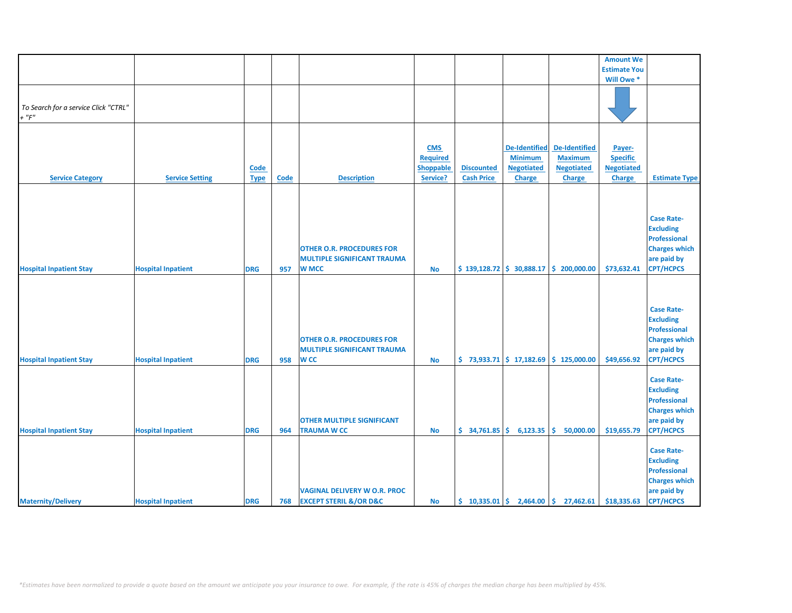|                                      |                           |             |             |                                       |            |                             |                      |                                                                             | <b>Amount We</b>    |                      |
|--------------------------------------|---------------------------|-------------|-------------|---------------------------------------|------------|-----------------------------|----------------------|-----------------------------------------------------------------------------|---------------------|----------------------|
|                                      |                           |             |             |                                       |            |                             |                      |                                                                             | <b>Estimate You</b> |                      |
|                                      |                           |             |             |                                       |            |                             |                      |                                                                             | Will Owe *          |                      |
|                                      |                           |             |             |                                       |            |                             |                      |                                                                             |                     |                      |
|                                      |                           |             |             |                                       |            |                             |                      |                                                                             |                     |                      |
| To Search for a service Click "CTRL" |                           |             |             |                                       |            |                             |                      |                                                                             |                     |                      |
| $+$ " $F$ "                          |                           |             |             |                                       |            |                             |                      |                                                                             |                     |                      |
|                                      |                           |             |             |                                       |            |                             |                      |                                                                             |                     |                      |
|                                      |                           |             |             |                                       |            |                             |                      |                                                                             |                     |                      |
|                                      |                           |             |             |                                       |            |                             |                      |                                                                             |                     |                      |
|                                      |                           |             |             |                                       | <b>CMS</b> |                             | <b>De-Identified</b> | <b>De-Identified</b>                                                        | Payer-              |                      |
|                                      |                           |             |             |                                       | Required   |                             | <b>Minimum</b>       | <b>Maximum</b>                                                              | <b>Specific</b>     |                      |
|                                      |                           | Code        |             |                                       | Shoppable  | <b>Discounted</b>           | <b>Negotiated</b>    | <b>Negotiated</b>                                                           | <b>Negotiated</b>   |                      |
| <b>Service Category</b>              | <b>Service Setting</b>    | <b>Type</b> | <b>Code</b> | <b>Description</b>                    | Service?   | <b>Cash Price</b>           | <b>Charge</b>        | Charge                                                                      | Charge              | <b>Estimate Type</b> |
|                                      |                           |             |             |                                       |            |                             |                      |                                                                             |                     |                      |
|                                      |                           |             |             |                                       |            |                             |                      |                                                                             |                     |                      |
|                                      |                           |             |             |                                       |            |                             |                      |                                                                             |                     |                      |
|                                      |                           |             |             |                                       |            |                             |                      |                                                                             |                     | <b>Case Rate-</b>    |
|                                      |                           |             |             |                                       |            |                             |                      |                                                                             |                     | <b>Excluding</b>     |
|                                      |                           |             |             |                                       |            |                             |                      |                                                                             |                     |                      |
|                                      |                           |             |             |                                       |            |                             |                      |                                                                             |                     | <b>Professional</b>  |
|                                      |                           |             |             | <b>OTHER O.R. PROCEDURES FOR</b>      |            |                             |                      |                                                                             |                     | <b>Charges which</b> |
|                                      |                           |             |             | <b>MULTIPLE SIGNIFICANT TRAUMA</b>    |            |                             |                      |                                                                             |                     | are paid by          |
| <b>Hospital Inpatient Stay</b>       | <b>Hospital Inpatient</b> | <b>DRG</b>  | 957         | <b>W MCC</b>                          | <b>No</b>  |                             |                      | $\frac{1}{2}$ 139,128.72 $\frac{1}{2}$ 30,888.17 $\frac{1}{2}$ 200,000.00   | \$73,632.41         | <b>CPT/HCPCS</b>     |
|                                      |                           |             |             |                                       |            |                             |                      |                                                                             |                     |                      |
|                                      |                           |             |             |                                       |            |                             |                      |                                                                             |                     |                      |
|                                      |                           |             |             |                                       |            |                             |                      |                                                                             |                     |                      |
|                                      |                           |             |             |                                       |            |                             |                      |                                                                             |                     | <b>Case Rate-</b>    |
|                                      |                           |             |             |                                       |            |                             |                      |                                                                             |                     | <b>Excluding</b>     |
|                                      |                           |             |             |                                       |            |                             |                      |                                                                             |                     | <b>Professional</b>  |
|                                      |                           |             |             |                                       |            |                             |                      |                                                                             |                     |                      |
|                                      |                           |             |             | <b>OTHER O.R. PROCEDURES FOR</b>      |            |                             |                      |                                                                             |                     | <b>Charges which</b> |
|                                      |                           |             |             | <b>MULTIPLE SIGNIFICANT TRAUMA</b>    |            |                             |                      |                                                                             |                     | are paid by          |
| <b>Hospital Inpatient Stay</b>       | <b>Hospital Inpatient</b> | <b>DRG</b>  | 958         | <b>WCC</b>                            | <b>No</b>  |                             |                      | $\binom{2}{5}$ 73,933.71 $\binom{2}{3}$ 17,182.69 $\binom{2}{3}$ 125,000.00 | \$49,656.92         | <b>CPT/HCPCS</b>     |
|                                      |                           |             |             |                                       |            |                             |                      |                                                                             |                     |                      |
|                                      |                           |             |             |                                       |            |                             |                      |                                                                             |                     | <b>Case Rate-</b>    |
|                                      |                           |             |             |                                       |            |                             |                      |                                                                             |                     | <b>Excluding</b>     |
|                                      |                           |             |             |                                       |            |                             |                      |                                                                             |                     | <b>Professional</b>  |
|                                      |                           |             |             |                                       |            |                             |                      |                                                                             |                     | <b>Charges which</b> |
|                                      |                           |             |             | <b>OTHER MULTIPLE SIGNIFICANT</b>     |            |                             |                      |                                                                             |                     | are paid by          |
| <b>Hospital Inpatient Stay</b>       | <b>Hospital Inpatient</b> | <b>DRG</b>  | 964         | <b>TRAUMA W CC</b>                    | <b>No</b>  | $$34,761.85 \mid $6,123.35$ |                      | \$.<br>50,000.00                                                            | \$19,655.79         | <b>CPT/HCPCS</b>     |
|                                      |                           |             |             |                                       |            |                             |                      |                                                                             |                     |                      |
|                                      |                           |             |             |                                       |            |                             |                      |                                                                             |                     |                      |
|                                      |                           |             |             |                                       |            |                             |                      |                                                                             |                     | <b>Case Rate-</b>    |
|                                      |                           |             |             |                                       |            |                             |                      |                                                                             |                     | <b>Excluding</b>     |
|                                      |                           |             |             |                                       |            |                             |                      |                                                                             |                     | <b>Professional</b>  |
|                                      |                           |             |             |                                       |            |                             |                      |                                                                             |                     | <b>Charges which</b> |
|                                      |                           |             |             | <b>VAGINAL DELIVERY W O.R. PROC</b>   |            |                             |                      |                                                                             |                     | are paid by          |
| <b>Maternity/Delivery</b>            | <b>Hospital Inpatient</b> | <b>DRG</b>  | 768         | <b>EXCEPT STERIL &amp;/OR D&amp;C</b> | <b>No</b>  |                             |                      | $\binom{10,335.01}{5}$ 2,464.00 $\binom{10,335.01}{5}$ 27,462.61            | \$18,335.63         | <b>CPT/HCPCS</b>     |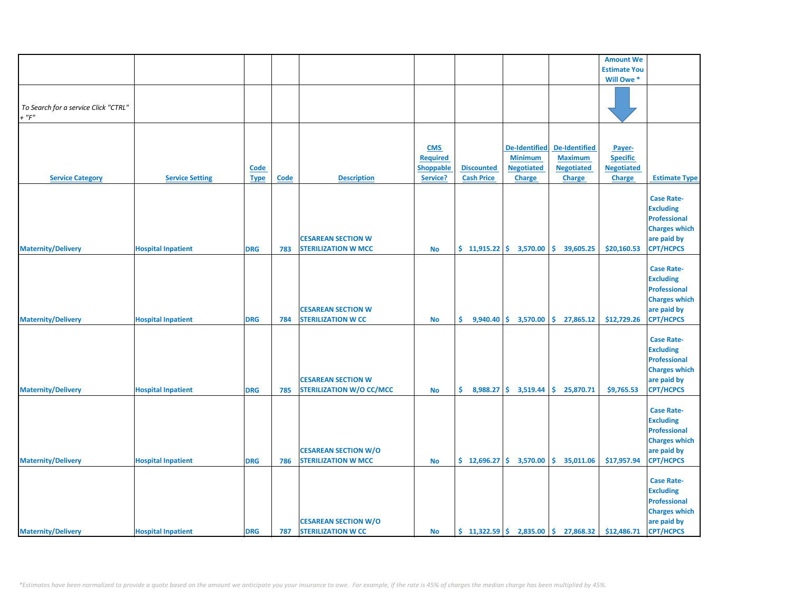|                                                     |                           |             |      |                                                              |                 |                             |                                                |                                                        | <b>Amount We</b>    |                                                                                                                         |
|-----------------------------------------------------|---------------------------|-------------|------|--------------------------------------------------------------|-----------------|-----------------------------|------------------------------------------------|--------------------------------------------------------|---------------------|-------------------------------------------------------------------------------------------------------------------------|
|                                                     |                           |             |      |                                                              |                 |                             |                                                |                                                        | <b>Estimate You</b> |                                                                                                                         |
|                                                     |                           |             |      |                                                              |                 |                             |                                                |                                                        | Will Owe *          |                                                                                                                         |
|                                                     |                           |             |      |                                                              |                 |                             |                                                |                                                        |                     |                                                                                                                         |
| To Search for a service Click "CTRL"<br>$+$ " $F$ " |                           |             |      |                                                              |                 |                             |                                                |                                                        |                     |                                                                                                                         |
|                                                     |                           |             |      |                                                              |                 |                             |                                                |                                                        |                     |                                                                                                                         |
|                                                     |                           |             |      |                                                              | <b>CMS</b>      |                             | <b>De-Identified</b>                           | De-Identified                                          | Payer-              |                                                                                                                         |
|                                                     |                           |             |      |                                                              | <b>Required</b> |                             | <b>Minimum</b>                                 | <b>Maximum</b>                                         | <b>Specific</b>     |                                                                                                                         |
|                                                     |                           | <b>Code</b> |      |                                                              | Shoppable       | <b>Discounted</b>           | <b>Negotiated</b>                              | <b>Negotiated</b>                                      | <b>Negotiated</b>   |                                                                                                                         |
| <b>Service Category</b>                             | <b>Service Setting</b>    | <b>Type</b> | Code | <b>Description</b>                                           | Service?        | <b>Cash Price</b>           | <b>Charge</b>                                  | <b>Charge</b>                                          | Charge              | <b>Estimate Type</b>                                                                                                    |
| <b>Maternity/Delivery</b>                           | <b>Hospital Inpatient</b> | <b>DRG</b>  | 783  | <b>CESAREAN SECTION W</b><br><b>STERILIZATION W MCC</b>      | No              | $$11,915.22 \mid $3,570.00$ |                                                | \$<br>39,605.25                                        | \$20,160.53         | <b>Case Rate-</b><br><b>Excluding</b><br><b>Professional</b><br><b>Charges which</b><br>are paid by<br><b>CPT/HCPCS</b> |
| <b>Maternity/Delivery</b>                           | <b>Hospital Inpatient</b> | <b>DRG</b>  | 784  | <b>CESAREAN SECTION W</b><br><b>STERILIZATION W CC</b>       | <b>No</b>       | \$.                         | $9,940.40 \div 3,570.00$                       | \$27,865.12                                            | \$12,729.26         | <b>Case Rate-</b><br><b>Excluding</b><br><b>Professional</b><br><b>Charges which</b><br>are paid by<br><b>CPT/HCPCS</b> |
| <b>Maternity/Delivery</b>                           | <b>Hospital Inpatient</b> | <b>DRG</b>  | 785  | <b>CESAREAN SECTION W</b><br><b>STERILIZATION W/O CC/MCC</b> | <b>No</b>       | \$.                         | 8,988.27 \$ 3,519.44                           | \$.<br>25,870.71                                       | \$9,765.53          | <b>Case Rate-</b><br><b>Excluding</b><br><b>Professional</b><br><b>Charges which</b><br>are paid by<br><b>CPT/HCPCS</b> |
| <b>Maternity/Delivery</b>                           | <b>Hospital Inpatient</b> | <b>DRG</b>  | 786  | <b>CESAREAN SECTION W/O</b><br><b>STERILIZATION W MCC</b>    | No              |                             | $\frac{1}{2}$ 12,696.27 $\frac{1}{2}$ 3,570.00 | \$.<br>35,011.06                                       | \$17,957.94         | <b>Case Rate-</b><br><b>Excluding</b><br><b>Professional</b><br><b>Charges which</b><br>are paid by<br><b>CPT/HCPCS</b> |
| <b>Maternity/Delivery</b>                           | <b>Hospital Inpatient</b> | <b>DRG</b>  | 787  | <b>CESAREAN SECTION W/O</b><br><b>STERILIZATION W CC</b>     | <b>No</b>       |                             |                                                | $\binom{1322.59}{5}$ 2,835.00 $\binom{1}{2}$ 27,868.32 | \$12,486.71         | <b>Case Rate-</b><br><b>Excluding</b><br>Professional<br><b>Charges which</b><br>are paid by<br><b>CPT/HCPCS</b>        |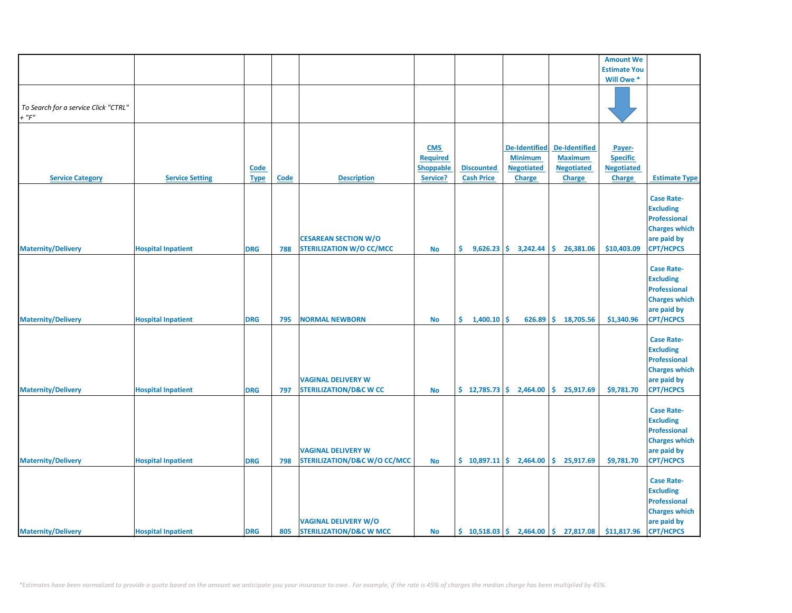|                                                     |                           |                     |             |                                                                      |                                                               |                                                  |                                                                              |                                                                              | <b>Amount We</b>                                                |                                                                                                                         |
|-----------------------------------------------------|---------------------------|---------------------|-------------|----------------------------------------------------------------------|---------------------------------------------------------------|--------------------------------------------------|------------------------------------------------------------------------------|------------------------------------------------------------------------------|-----------------------------------------------------------------|-------------------------------------------------------------------------------------------------------------------------|
|                                                     |                           |                     |             |                                                                      |                                                               |                                                  |                                                                              |                                                                              | <b>Estimate You</b>                                             |                                                                                                                         |
|                                                     |                           |                     |             |                                                                      |                                                               |                                                  |                                                                              |                                                                              | Will Owe *                                                      |                                                                                                                         |
| To Search for a service Click "CTRL"<br>$+$ " $F$ " |                           |                     |             |                                                                      |                                                               |                                                  |                                                                              |                                                                              |                                                                 |                                                                                                                         |
|                                                     |                           |                     |             |                                                                      |                                                               |                                                  |                                                                              |                                                                              |                                                                 |                                                                                                                         |
| <b>Service Category</b>                             | <b>Service Setting</b>    | Code<br><b>Type</b> | <b>Code</b> | <b>Description</b>                                                   | <b>CMS</b><br><b>Required</b><br><b>Shoppable</b><br>Service? | <b>Discounted</b><br><b>Cash Price</b>           | <b>De-Identified</b><br><b>Minimum</b><br><b>Negotiated</b><br><b>Charge</b> | <b>De-Identified</b><br><b>Maximum</b><br><b>Negotiated</b><br><b>Charge</b> | Payer-<br><b>Specific</b><br><b>Negotiated</b><br><b>Charge</b> | <b>Estimate Type</b>                                                                                                    |
| <b>Maternity/Delivery</b>                           | <b>Hospital Inpatient</b> | <b>DRG</b>          | 788         | <b>CESAREAN SECTION W/O</b><br><b>STERILIZATION W/O CC/MCC</b>       | No                                                            | \$.                                              | $9,626.23$ \$ 3,242.44                                                       | \$<br>26,381.06                                                              | \$10,403.09                                                     | <b>Case Rate-</b><br><b>Excluding</b><br><b>Professional</b><br><b>Charges which</b><br>are paid by<br><b>CPT/HCPCS</b> |
| <b>Maternity/Delivery</b>                           | <b>Hospital Inpatient</b> | <b>DRG</b>          | 795         | <b>NORMAL NEWBORN</b>                                                | <b>No</b>                                                     | \$1,400.10                                       | Ŝ.<br>626.89                                                                 | \$18,705.56                                                                  | \$1,340.96                                                      | <b>Case Rate-</b><br><b>Excluding</b><br><b>Professional</b><br><b>Charges which</b><br>are paid by<br><b>CPT/HCPCS</b> |
| <b>Maternity/Delivery</b>                           | <b>Hospital Inpatient</b> | <b>DRG</b>          | 797         | <b>VAGINAL DELIVERY W</b><br><b>STERILIZATION/D&amp;C W CC</b>       | <b>No</b>                                                     | \$12,785.73                                      | 2,464.00                                                                     | \$.<br>25,917.69                                                             | \$9,781.70                                                      | <b>Case Rate-</b><br><b>Excluding</b><br><b>Professional</b><br><b>Charges which</b><br>are paid by<br><b>CPT/HCPCS</b> |
| <b>Maternity/Delivery</b>                           | <b>Hospital Inpatient</b> | <b>DRG</b>          | 798         | <b>VAGINAL DELIVERY W</b><br><b>STERILIZATION/D&amp;C W/O CC/MCC</b> | <b>No</b>                                                     | $\binom{6}{5}$ 10,897.11 $\binom{6}{5}$ 2,464.00 |                                                                              | \$.<br>25,917.69                                                             | \$9,781.70                                                      | <b>Case Rate-</b><br><b>Excluding</b><br>Professional<br><b>Charges which</b><br>are paid by<br><b>CPT/HCPCS</b>        |
| <b>Maternity/Delivery</b>                           | <b>Hospital Inpatient</b> | <b>DRG</b>          |             | <b>VAGINAL DELIVERY W/O</b><br>805 STERILIZATION/D&C W MCC           | <b>No</b>                                                     |                                                  |                                                                              | $\binom{10,518.03}{5}$ $\binom{2,464.00}{5}$ 27,817.08                       | \$11,817.96                                                     | <b>Case Rate-</b><br><b>Excluding</b><br><b>Professional</b><br><b>Charges which</b><br>are paid by<br><b>CPT/HCPCS</b> |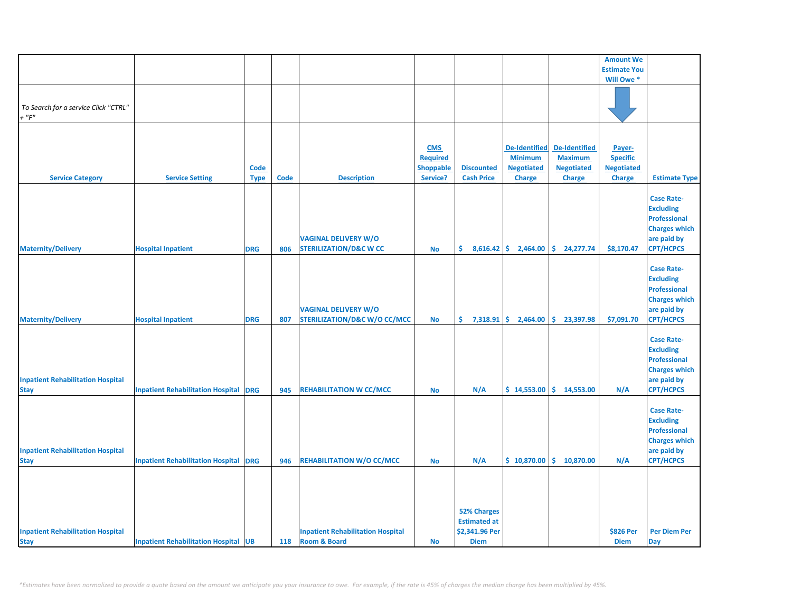|                                                         |                                              |                     |             |                                                                        |                                                               |                                                             |                                                                              |                                                                              | <b>Amount We</b>                                                |                                                                                                                         |
|---------------------------------------------------------|----------------------------------------------|---------------------|-------------|------------------------------------------------------------------------|---------------------------------------------------------------|-------------------------------------------------------------|------------------------------------------------------------------------------|------------------------------------------------------------------------------|-----------------------------------------------------------------|-------------------------------------------------------------------------------------------------------------------------|
|                                                         |                                              |                     |             |                                                                        |                                                               |                                                             |                                                                              |                                                                              | <b>Estimate You</b>                                             |                                                                                                                         |
|                                                         |                                              |                     |             |                                                                        |                                                               |                                                             |                                                                              |                                                                              | Will Owe *                                                      |                                                                                                                         |
| To Search for a service Click "CTRL"<br>$+$ " $F$ "     |                                              |                     |             |                                                                        |                                                               |                                                             |                                                                              |                                                                              |                                                                 |                                                                                                                         |
| <b>Service Category</b>                                 | <b>Service Setting</b>                       | Code<br><b>Type</b> | <b>Code</b> | <b>Description</b>                                                     | <b>CMS</b><br><b>Required</b><br><b>Shoppable</b><br>Service? | <b>Discounted</b><br><b>Cash Price</b>                      | <b>De-Identified</b><br><b>Minimum</b><br><b>Negotiated</b><br><b>Charge</b> | <b>De-Identified</b><br><b>Maximum</b><br><b>Negotiated</b><br><b>Charge</b> | Payer-<br><b>Specific</b><br><b>Negotiated</b><br><b>Charge</b> | <b>Estimate Type</b><br><b>Case Rate-</b><br><b>Excluding</b>                                                           |
| <b>Maternity/Delivery</b>                               | <b>Hospital Inpatient</b>                    | <b>DRG</b>          | 806         | <b>VAGINAL DELIVERY W/O</b><br><b>STERILIZATION/D&amp;C W CC</b>       | <b>No</b>                                                     | \$.                                                         | $8,616.42$ \$ 2,464.00                                                       | \$.<br>24,277.74                                                             | \$8,170.47                                                      | <b>Professional</b><br><b>Charges which</b><br>are paid by<br><b>CPT/HCPCS</b>                                          |
| <b>Maternity/Delivery</b>                               | <b>Hospital Inpatient</b>                    | <b>DRG</b>          | 807         | <b>VAGINAL DELIVERY W/O</b><br><b>STERILIZATION/D&amp;C W/O CC/MCC</b> | <b>No</b>                                                     | \$.                                                         | $7,318.91$ \$ 2,464.00                                                       | \$23,397.98                                                                  | \$7,091.70                                                      | <b>Case Rate-</b><br><b>Excluding</b><br><b>Professional</b><br><b>Charges which</b><br>are paid by<br><b>CPT/HCPCS</b> |
| <b>Inpatient Rehabilitation Hospital</b><br><b>Stay</b> | <b>Inpatient Rehabilitation Hospital DRG</b> |                     | 945         | <b>REHABILITATION W CC/MCC</b>                                         | <b>No</b>                                                     | N/A                                                         | \$14,553.00                                                                  | \$14,553.00                                                                  | N/A                                                             | <b>Case Rate-</b><br><b>Excluding</b><br><b>Professional</b><br><b>Charges which</b><br>are paid by<br><b>CPT/HCPCS</b> |
| <b>Inpatient Rehabilitation Hospital</b><br><b>Stay</b> | <b>Inpatient Rehabilitation Hospital DRG</b> |                     | 946         | <b>REHABILITATION W/O CC/MCC</b>                                       | <b>No</b>                                                     | N/A                                                         | \$10,870.00                                                                  | \$.<br>10,870.00                                                             | N/A                                                             | <b>Case Rate-</b><br><b>Excluding</b><br><b>Professional</b><br><b>Charges which</b><br>are paid by<br><b>CPT/HCPCS</b> |
| <b>Inpatient Rehabilitation Hospital</b>                |                                              |                     |             | <b>Inpatient Rehabilitation Hospital</b>                               |                                                               | <b>52% Charges</b><br><b>Estimated at</b><br>\$2,341.96 Per |                                                                              |                                                                              | \$826 Per                                                       | <b>Per Diem Per</b>                                                                                                     |
| <b>Stay</b>                                             | <b>Inpatient Rehabilitation Hospital UB</b>  |                     | 118         | <b>Room &amp; Board</b>                                                | <b>No</b>                                                     | <b>Diem</b>                                                 |                                                                              |                                                                              | <b>Diem</b>                                                     | Day                                                                                                                     |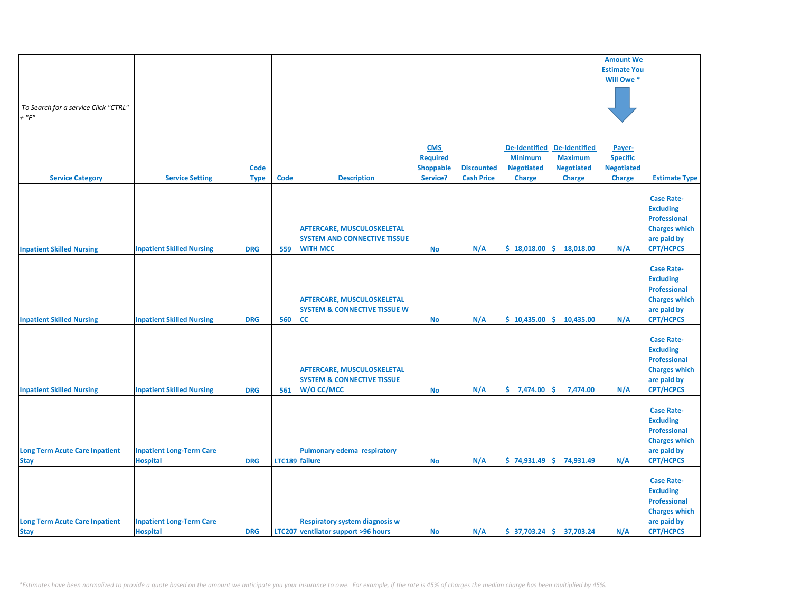|                                       |                                  |             |                |                                         |                 |                   |                      |                              | <b>Amount We</b>    |                      |
|---------------------------------------|----------------------------------|-------------|----------------|-----------------------------------------|-----------------|-------------------|----------------------|------------------------------|---------------------|----------------------|
|                                       |                                  |             |                |                                         |                 |                   |                      |                              | <b>Estimate You</b> |                      |
|                                       |                                  |             |                |                                         |                 |                   |                      |                              | Will Owe *          |                      |
|                                       |                                  |             |                |                                         |                 |                   |                      |                              |                     |                      |
|                                       |                                  |             |                |                                         |                 |                   |                      |                              |                     |                      |
| To Search for a service Click "CTRL"  |                                  |             |                |                                         |                 |                   |                      |                              |                     |                      |
| $+$ " $F$ "                           |                                  |             |                |                                         |                 |                   |                      |                              |                     |                      |
|                                       |                                  |             |                |                                         |                 |                   |                      |                              |                     |                      |
|                                       |                                  |             |                |                                         |                 |                   |                      |                              |                     |                      |
|                                       |                                  |             |                |                                         |                 |                   |                      |                              |                     |                      |
|                                       |                                  |             |                |                                         | <b>CMS</b>      |                   | <b>De-Identified</b> | <b>De-Identified</b>         | Payer-              |                      |
|                                       |                                  |             |                |                                         | <b>Required</b> |                   | <b>Minimum</b>       | <b>Maximum</b>               | <b>Specific</b>     |                      |
|                                       |                                  | Code        |                |                                         | Shoppable       | <b>Discounted</b> | <b>Negotiated</b>    | <b>Negotiated</b>            | <b>Negotiated</b>   |                      |
| <b>Service Category</b>               | <b>Service Setting</b>           | <b>Type</b> | <b>Code</b>    | <b>Description</b>                      | Service?        | <b>Cash Price</b> | <b>Charge</b>        | <b>Charge</b>                | <b>Charge</b>       | <b>Estimate Type</b> |
|                                       |                                  |             |                |                                         |                 |                   |                      |                              |                     |                      |
|                                       |                                  |             |                |                                         |                 |                   |                      |                              |                     | <b>Case Rate-</b>    |
|                                       |                                  |             |                |                                         |                 |                   |                      |                              |                     |                      |
|                                       |                                  |             |                |                                         |                 |                   |                      |                              |                     | <b>Excluding</b>     |
|                                       |                                  |             |                |                                         |                 |                   |                      |                              |                     | <b>Professional</b>  |
|                                       |                                  |             |                | AFTERCARE, MUSCULOSKELETAL              |                 |                   |                      |                              |                     | <b>Charges which</b> |
|                                       |                                  |             |                | <b>SYSTEM AND CONNECTIVE TISSUE</b>     |                 |                   |                      |                              |                     | are paid by          |
| <b>Inpatient Skilled Nursing</b>      | <b>Inpatient Skilled Nursing</b> | <b>DRG</b>  | 559            | <b>WITH MCC</b>                         | No              | N/A               | \$18,018.00          | \$.<br>18,018.00             | N/A                 | <b>CPT/HCPCS</b>     |
|                                       |                                  |             |                |                                         |                 |                   |                      |                              |                     |                      |
|                                       |                                  |             |                |                                         |                 |                   |                      |                              |                     | <b>Case Rate-</b>    |
|                                       |                                  |             |                |                                         |                 |                   |                      |                              |                     |                      |
|                                       |                                  |             |                |                                         |                 |                   |                      |                              |                     | <b>Excluding</b>     |
|                                       |                                  |             |                |                                         |                 |                   |                      |                              |                     | <b>Professional</b>  |
|                                       |                                  |             |                | <b>AFTERCARE, MUSCULOSKELETAL</b>       |                 |                   |                      |                              |                     | <b>Charges which</b> |
|                                       |                                  |             |                | <b>SYSTEM &amp; CONNECTIVE TISSUE W</b> |                 |                   |                      |                              |                     | are paid by          |
| <b>Inpatient Skilled Nursing</b>      | <b>Inpatient Skilled Nursing</b> | <b>DRG</b>  | 560            | <b>CC</b>                               | <b>No</b>       | N/A               |                      | $$10,435.00 \mid $10,435.00$ | N/A                 | <b>CPT/HCPCS</b>     |
|                                       |                                  |             |                |                                         |                 |                   |                      |                              |                     |                      |
|                                       |                                  |             |                |                                         |                 |                   |                      |                              |                     | <b>Case Rate-</b>    |
|                                       |                                  |             |                |                                         |                 |                   |                      |                              |                     | <b>Excluding</b>     |
|                                       |                                  |             |                |                                         |                 |                   |                      |                              |                     |                      |
|                                       |                                  |             |                |                                         |                 |                   |                      |                              |                     | <b>Professional</b>  |
|                                       |                                  |             |                | AFTERCARE, MUSCULOSKELETAL              |                 |                   |                      |                              |                     | <b>Charges which</b> |
|                                       |                                  |             |                | <b>SYSTEM &amp; CONNECTIVE TISSUE</b>   |                 |                   |                      |                              |                     | are paid by          |
| <b>Inpatient Skilled Nursing</b>      | <b>Inpatient Skilled Nursing</b> | <b>DRG</b>  | 561            | W/O CC/MCC                              | <b>No</b>       | N/A               | \$7,474.00           | \$<br>7,474.00               | N/A                 | <b>CPT/HCPCS</b>     |
|                                       |                                  |             |                |                                         |                 |                   |                      |                              |                     |                      |
|                                       |                                  |             |                |                                         |                 |                   |                      |                              |                     | <b>Case Rate-</b>    |
|                                       |                                  |             |                |                                         |                 |                   |                      |                              |                     | <b>Excluding</b>     |
|                                       |                                  |             |                |                                         |                 |                   |                      |                              |                     |                      |
|                                       |                                  |             |                |                                         |                 |                   |                      |                              |                     | <b>Professional</b>  |
|                                       |                                  |             |                |                                         |                 |                   |                      |                              |                     | <b>Charges which</b> |
| <b>Long Term Acute Care Inpatient</b> | <b>Inpatient Long-Term Care</b>  |             |                | <b>Pulmonary edema respiratory</b>      |                 |                   |                      |                              |                     | are paid by          |
| <b>Stay</b>                           | <b>Hospital</b>                  | <b>DRG</b>  | LTC189 failure |                                         | No              | N/A               |                      | $$74,931.49 \mid $74,931.49$ | N/A                 | <b>CPT/HCPCS</b>     |
|                                       |                                  |             |                |                                         |                 |                   |                      |                              |                     |                      |
|                                       |                                  |             |                |                                         |                 |                   |                      |                              |                     | <b>Case Rate-</b>    |
|                                       |                                  |             |                |                                         |                 |                   |                      |                              |                     | <b>Excluding</b>     |
|                                       |                                  |             |                |                                         |                 |                   |                      |                              |                     |                      |
|                                       |                                  |             |                |                                         |                 |                   |                      |                              |                     | Professional         |
|                                       |                                  |             |                |                                         |                 |                   |                      |                              |                     | <b>Charges which</b> |
| <b>Long Term Acute Care Inpatient</b> | <b>Inpatient Long-Term Care</b>  |             |                | <b>Respiratory system diagnosis w</b>   |                 |                   |                      |                              |                     | are paid by          |
| <b>Stay</b>                           | <b>Hospital</b>                  | <b>DRG</b>  |                | LTC207 ventilator support >96 hours     | <b>No</b>       | N/A               |                      | $$37,703.24$ $$37,703.24$    | N/A                 | <b>CPT/HCPCS</b>     |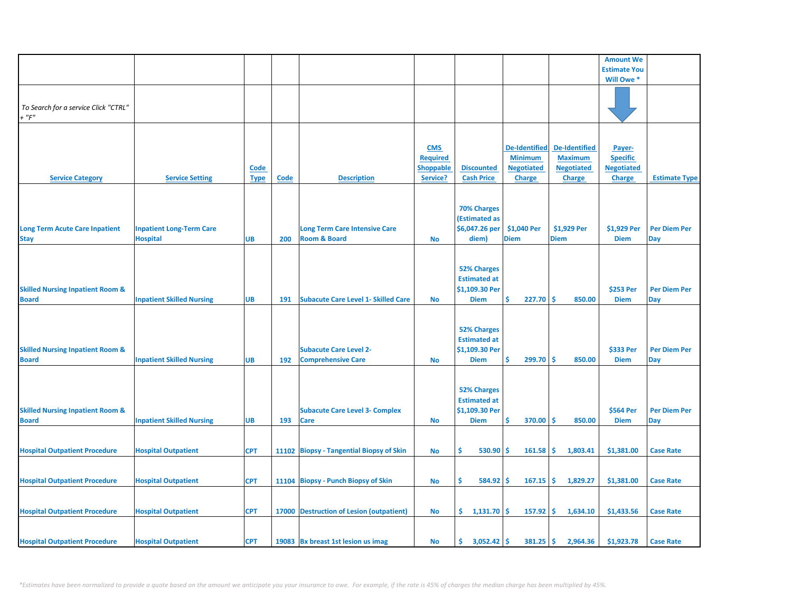|                                             |                                  |             |      |                                            |                               |                      |                                        |                                        | <b>Amount We</b>          |                      |
|---------------------------------------------|----------------------------------|-------------|------|--------------------------------------------|-------------------------------|----------------------|----------------------------------------|----------------------------------------|---------------------------|----------------------|
|                                             |                                  |             |      |                                            |                               |                      |                                        |                                        | <b>Estimate You</b>       |                      |
|                                             |                                  |             |      |                                            |                               |                      |                                        |                                        | Will Owe *                |                      |
|                                             |                                  |             |      |                                            |                               |                      |                                        |                                        |                           |                      |
| To Search for a service Click "CTRL"        |                                  |             |      |                                            |                               |                      |                                        |                                        |                           |                      |
| $+$ " $F$ "                                 |                                  |             |      |                                            |                               |                      |                                        |                                        |                           |                      |
|                                             |                                  |             |      |                                            |                               |                      |                                        |                                        |                           |                      |
|                                             |                                  |             |      |                                            |                               |                      |                                        |                                        |                           |                      |
|                                             |                                  |             |      |                                            | <b>CMS</b><br><b>Required</b> |                      | <b>De-Identified</b><br><b>Minimum</b> | <b>De-Identified</b><br><b>Maximum</b> | Payer-<br><b>Specific</b> |                      |
|                                             |                                  | <u>Code</u> |      |                                            | <b>Shoppable</b>              | <b>Discounted</b>    | <b>Negotiated</b>                      | <b>Negotiated</b>                      | <b>Negotiated</b>         |                      |
| <b>Service Category</b>                     | <b>Service Setting</b>           | <b>Type</b> | Code | <b>Description</b>                         | Service?                      | <b>Cash Price</b>    | <b>Charge</b>                          | <b>Charge</b>                          | <b>Charge</b>             | <b>Estimate Type</b> |
|                                             |                                  |             |      |                                            |                               |                      |                                        |                                        |                           |                      |
|                                             |                                  |             |      |                                            |                               |                      |                                        |                                        |                           |                      |
|                                             |                                  |             |      |                                            |                               | <b>70% Charges</b>   |                                        |                                        |                           |                      |
|                                             |                                  |             |      |                                            |                               | <b>(Estimated as</b> |                                        |                                        |                           |                      |
| <b>Long Term Acute Care Inpatient</b>       | <b>Inpatient Long-Term Care</b>  |             |      | <b>Long Term Care Intensive Care</b>       |                               | \$6,047.26 per       | \$1,040 Per                            | \$1,929 Per                            | \$1,929 Per               | <b>Per Diem Per</b>  |
| <b>Stay</b>                                 | <b>Hospital</b>                  | UB          | 200  | <b>Room &amp; Board</b>                    | <b>No</b>                     | diem)                | <b>Diem</b>                            | <b>Diem</b>                            | <b>Diem</b>               | Day                  |
|                                             |                                  |             |      |                                            |                               |                      |                                        |                                        |                           |                      |
|                                             |                                  |             |      |                                            |                               | <b>52% Charges</b>   |                                        |                                        |                           |                      |
|                                             |                                  |             |      |                                            |                               | <b>Estimated at</b>  |                                        |                                        |                           |                      |
| <b>Skilled Nursing Inpatient Room &amp;</b> |                                  |             |      |                                            |                               | \$1,109.30 Per       |                                        |                                        | \$253 Per                 | <b>Per Diem Per</b>  |
| <b>Board</b>                                | <b>Inpatient Skilled Nursing</b> | UB          | 191  | <b>Subacute Care Level 1- Skilled Care</b> | <b>No</b>                     | <b>Diem</b>          | 227.70<br>\$.                          | <b>S</b><br>850.00                     | <b>Diem</b>               | <b>Day</b>           |
|                                             |                                  |             |      |                                            |                               |                      |                                        |                                        |                           |                      |
|                                             |                                  |             |      |                                            |                               |                      |                                        |                                        |                           |                      |
|                                             |                                  |             |      |                                            |                               | <b>52% Charges</b>   |                                        |                                        |                           |                      |
|                                             |                                  |             |      |                                            |                               | <b>Estimated at</b>  |                                        |                                        |                           |                      |
| <b>Skilled Nursing Inpatient Room &amp;</b> |                                  |             |      | <b>Subacute Care Level 2-</b>              |                               | \$1,109.30 Per       | Ś                                      | <b>S</b>                               | \$333 Per                 | <b>Per Diem Per</b>  |
| <b>Board</b>                                | <b>Inpatient Skilled Nursing</b> | <b>UB</b>   | 192  | <b>Comprehensive Care</b>                  | <b>No</b>                     | <b>Diem</b>          | 299.70                                 | 850.00                                 | <b>Diem</b>               | <b>Day</b>           |
|                                             |                                  |             |      |                                            |                               |                      |                                        |                                        |                           |                      |
|                                             |                                  |             |      |                                            |                               | <b>52% Charges</b>   |                                        |                                        |                           |                      |
|                                             |                                  |             |      |                                            |                               | <b>Estimated at</b>  |                                        |                                        |                           |                      |
| <b>Skilled Nursing Inpatient Room &amp;</b> |                                  |             |      | <b>Subacute Care Level 3- Complex</b>      |                               | \$1,109.30 Per       |                                        |                                        | \$564 Per                 | <b>Per Diem Per</b>  |
| <b>Board</b>                                | <b>Inpatient Skilled Nursing</b> | UB          | 193  | Care                                       | <b>No</b>                     | <b>Diem</b>          | Ŝ.<br>370.00                           | Ŝ<br>850.00                            | <b>Diem</b>               | Day                  |
|                                             |                                  |             |      |                                            |                               |                      |                                        |                                        |                           |                      |
|                                             |                                  |             |      |                                            |                               |                      |                                        |                                        |                           |                      |
| <b>Hospital Outpatient Procedure</b>        | <b>Hospital Outpatient</b>       | <b>CPT</b>  |      | 11102 Biopsy - Tangential Biopsy of Skin   | <b>No</b>                     | Ŝ<br>530.90          | Ś<br>161.58                            | \$.<br>1,803.41                        | \$1,381.00                | <b>Case Rate</b>     |
|                                             |                                  |             |      |                                            |                               |                      |                                        |                                        |                           |                      |
| <b>Hospital Outpatient Procedure</b>        | <b>Hospital Outpatient</b>       | <b>CPT</b>  |      | 11104 Biopsy - Punch Biopsy of Skin        | <b>No</b>                     | Ŝ.<br>584.92         | \$.<br>167.15                          | \$<br>1,829.27                         | \$1,381.00                | <b>Case Rate</b>     |
|                                             |                                  |             |      |                                            |                               |                      |                                        |                                        |                           |                      |
|                                             |                                  |             |      |                                            |                               |                      |                                        |                                        |                           |                      |
| <b>Hospital Outpatient Procedure</b>        | <b>Hospital Outpatient</b>       | <b>CPT</b>  |      | 17000 Destruction of Lesion (outpatient)   | No                            | \$1,131.70           | \$.<br>157.92                          | Ŝ.<br>1,634.10                         | \$1,433.56                | <b>Case Rate</b>     |
|                                             |                                  |             |      |                                            |                               |                      |                                        |                                        |                           |                      |
|                                             |                                  |             |      |                                            |                               |                      |                                        |                                        |                           |                      |
| <b>Hospital Outpatient Procedure</b>        | <b>Hospital Outpatient</b>       | <b>CPT</b>  |      | 19083 Bx breast 1st lesion us imag         | <b>No</b>                     | \$.<br>3,052.42      | \$<br>381.25                           | \$.<br>2,964.36                        | \$1,923.78                | <b>Case Rate</b>     |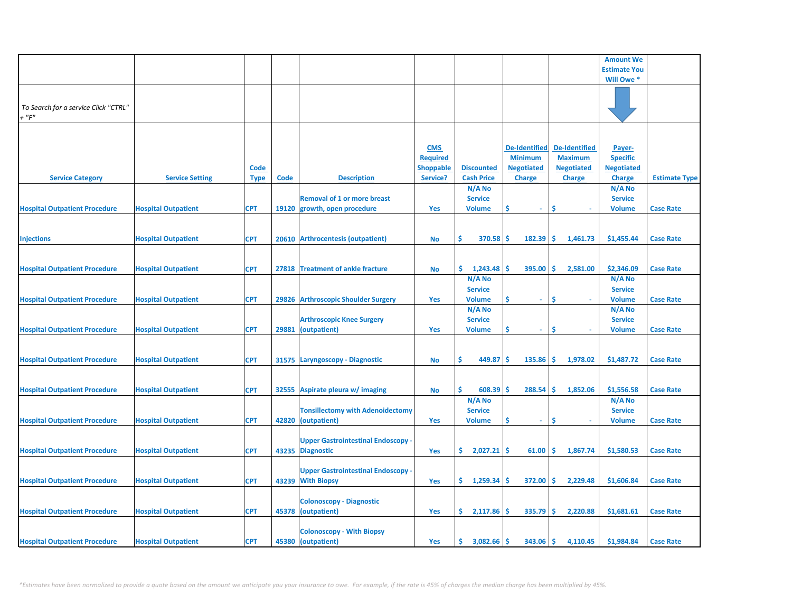|                                      |                            |             |       |                                           |                  |                   |                      |                      | <b>Amount We</b>    |                      |
|--------------------------------------|----------------------------|-------------|-------|-------------------------------------------|------------------|-------------------|----------------------|----------------------|---------------------|----------------------|
|                                      |                            |             |       |                                           |                  |                   |                      |                      | <b>Estimate You</b> |                      |
|                                      |                            |             |       |                                           |                  |                   |                      |                      | Will Owe *          |                      |
|                                      |                            |             |       |                                           |                  |                   |                      |                      |                     |                      |
|                                      |                            |             |       |                                           |                  |                   |                      |                      |                     |                      |
| To Search for a service Click "CTRL" |                            |             |       |                                           |                  |                   |                      |                      |                     |                      |
|                                      |                            |             |       |                                           |                  |                   |                      |                      |                     |                      |
| $+$ " $F$ "                          |                            |             |       |                                           |                  |                   |                      |                      |                     |                      |
|                                      |                            |             |       |                                           |                  |                   |                      |                      |                     |                      |
|                                      |                            |             |       |                                           |                  |                   |                      |                      |                     |                      |
|                                      |                            |             |       |                                           | <b>CMS</b>       |                   | <b>De-Identified</b> | <b>De-Identified</b> | Payer-              |                      |
|                                      |                            |             |       |                                           |                  |                   |                      |                      |                     |                      |
|                                      |                            |             |       |                                           | <b>Required</b>  |                   | <b>Minimum</b>       | <b>Maximum</b>       | <b>Specific</b>     |                      |
|                                      |                            | <b>Code</b> |       |                                           | <b>Shoppable</b> | <b>Discounted</b> | <b>Negotiated</b>    | <b>Negotiated</b>    | <b>Negotiated</b>   |                      |
| <b>Service Category</b>              | <b>Service Setting</b>     | <b>Type</b> | Code  | <b>Description</b>                        | Service?         | <b>Cash Price</b> | <b>Charge</b>        | <b>Charge</b>        | <b>Charge</b>       | <b>Estimate Type</b> |
|                                      |                            |             |       |                                           |                  | N/A No            |                      |                      | N/A No              |                      |
|                                      |                            |             |       | <b>Removal of 1 or more breast</b>        |                  | <b>Service</b>    |                      |                      | <b>Service</b>      |                      |
|                                      |                            |             |       |                                           |                  |                   |                      |                      |                     |                      |
| <b>Hospital Outpatient Procedure</b> | <b>Hospital Outpatient</b> | <b>CPT</b>  |       | 19120 growth, open procedure              | Yes              | <b>Volume</b>     | \$.<br>$\omega$      | \$                   | <b>Volume</b>       | <b>Case Rate</b>     |
|                                      |                            |             |       |                                           |                  |                   |                      |                      |                     |                      |
|                                      |                            |             |       |                                           |                  |                   |                      |                      |                     |                      |
| <b>Injections</b>                    | <b>Hospital Outpatient</b> | <b>CPT</b>  |       | 20610 Arthrocentesis (outpatient)         | <b>No</b>        | Ś.<br>370.58      | 182.39<br>Ŝ          | Ŝ<br>1,461.73        | \$1,455.44          | <b>Case Rate</b>     |
|                                      |                            |             |       |                                           |                  |                   |                      |                      |                     |                      |
|                                      |                            |             |       |                                           |                  |                   |                      |                      |                     |                      |
|                                      |                            |             |       |                                           |                  |                   |                      |                      |                     |                      |
| <b>Hospital Outpatient Procedure</b> | <b>Hospital Outpatient</b> | <b>CPT</b>  |       | 27818 Treatment of ankle fracture         | <b>No</b>        | \$.<br>1,243.48   | \$<br>395.00         | Ŝ.<br>2,581.00       | \$2,346.09          | <b>Case Rate</b>     |
|                                      |                            |             |       |                                           |                  | $N/A$ No          |                      |                      | $N/A$ No            |                      |
|                                      |                            |             |       |                                           |                  | <b>Service</b>    |                      |                      | <b>Service</b>      |                      |
| <b>Hospital Outpatient Procedure</b> | <b>Hospital Outpatient</b> | <b>CPT</b>  |       | 29826 Arthroscopic Shoulder Surgery       |                  | <b>Volume</b>     | \$<br>$\sim$         | <b>S</b>             | <b>Volume</b>       | <b>Case Rate</b>     |
|                                      |                            |             |       |                                           | Yes              |                   |                      |                      |                     |                      |
|                                      |                            |             |       |                                           |                  | N/A No            |                      |                      | N/A No              |                      |
|                                      |                            |             |       | <b>Arthroscopic Knee Surgery</b>          |                  | <b>Service</b>    |                      |                      | <b>Service</b>      |                      |
| <b>Hospital Outpatient Procedure</b> | <b>Hospital Outpatient</b> | <b>CPT</b>  |       | 29881 (outpatient)                        | Yes              | <b>Volume</b>     | \$<br>$\sim$         | \$                   | <b>Volume</b>       | <b>Case Rate</b>     |
|                                      |                            |             |       |                                           |                  |                   |                      |                      |                     |                      |
|                                      |                            |             |       |                                           |                  |                   |                      |                      |                     |                      |
|                                      |                            |             |       |                                           |                  |                   |                      |                      |                     |                      |
| <b>Hospital Outpatient Procedure</b> | <b>Hospital Outpatient</b> | <b>CPT</b>  |       | 31575 Laryngoscopy - Diagnostic           | <b>No</b>        | Ŝ<br>449.87       | \$.<br>135.86        | Ŝ.<br>1,978.02       | \$1,487.72          | <b>Case Rate</b>     |
|                                      |                            |             |       |                                           |                  |                   |                      |                      |                     |                      |
|                                      |                            |             |       |                                           |                  |                   |                      |                      |                     |                      |
| <b>Hospital Outpatient Procedure</b> | <b>Hospital Outpatient</b> | <b>CPT</b>  | 32555 | Aspirate pleura w/ imaging                | <b>No</b>        | Ŝ.<br>608.39      | \$<br>288.54         | Ŝ.<br>1,852.06       | \$1,556.58          | <b>Case Rate</b>     |
|                                      |                            |             |       |                                           |                  | $N/A$ No          |                      |                      | $N/A$ No            |                      |
|                                      |                            |             |       |                                           |                  |                   |                      |                      |                     |                      |
|                                      |                            |             |       | <b>Tonsillectomy with Adenoidectomy</b>   |                  | <b>Service</b>    |                      |                      | <b>Service</b>      |                      |
| <b>Hospital Outpatient Procedure</b> | <b>Hospital Outpatient</b> | <b>CPT</b>  |       | 42820 (outpatient)                        | Yes              | <b>Volume</b>     | \$<br>$\sim$         | \$                   | <b>Volume</b>       | <b>Case Rate</b>     |
|                                      |                            |             |       |                                           |                  |                   |                      |                      |                     |                      |
|                                      |                            |             |       | <b>Upper Gastrointestinal Endoscopy -</b> |                  |                   |                      |                      |                     |                      |
| <b>Hospital Outpatient Procedure</b> | <b>Hospital Outpatient</b> | <b>CPT</b>  |       | 43235 Diagnostic                          | Yes              | \$2,027.21        | 61.00<br>\$          | \$<br>1,867.74       | \$1,580.53          | <b>Case Rate</b>     |
|                                      |                            |             |       |                                           |                  |                   |                      |                      |                     |                      |
|                                      |                            |             |       |                                           |                  |                   |                      |                      |                     |                      |
|                                      |                            |             |       | <b>Upper Gastrointestinal Endoscopy</b>   |                  |                   |                      |                      |                     |                      |
| <b>Hospital Outpatient Procedure</b> | <b>Hospital Outpatient</b> | <b>CPT</b>  |       | 43239 With Biopsy                         | Yes              | 1,259.34<br>Ş.    | S<br>372.00          | \$.<br>2,229.48      | \$1,606.84          | <b>Case Rate</b>     |
|                                      |                            |             |       |                                           |                  |                   |                      |                      |                     |                      |
|                                      |                            |             |       | <b>Colonoscopy - Diagnostic</b>           |                  |                   |                      |                      |                     |                      |
|                                      |                            |             |       |                                           |                  |                   |                      |                      |                     |                      |
| <b>Hospital Outpatient Procedure</b> | <b>Hospital Outpatient</b> | <b>CPT</b>  |       | 45378 (outpatient)                        | Yes              | \$.<br>2,117.86   | Ŝ<br>335.79          | Ŝ.<br>2,220.88       | \$1,681.61          | <b>Case Rate</b>     |
|                                      |                            |             |       |                                           |                  |                   |                      |                      |                     |                      |
|                                      |                            |             |       | <b>Colonoscopy - With Biopsy</b>          |                  |                   |                      |                      |                     |                      |
| <b>Hospital Outpatient Procedure</b> | <b>Hospital Outpatient</b> | <b>CPT</b>  |       | 45380 (outpatient)                        | Yes              | 3,082.66<br>\$.   | Ś<br>343.06          | Ś.<br>4,110.45       | \$1,984.84          | <b>Case Rate</b>     |
|                                      |                            |             |       |                                           |                  |                   |                      |                      |                     |                      |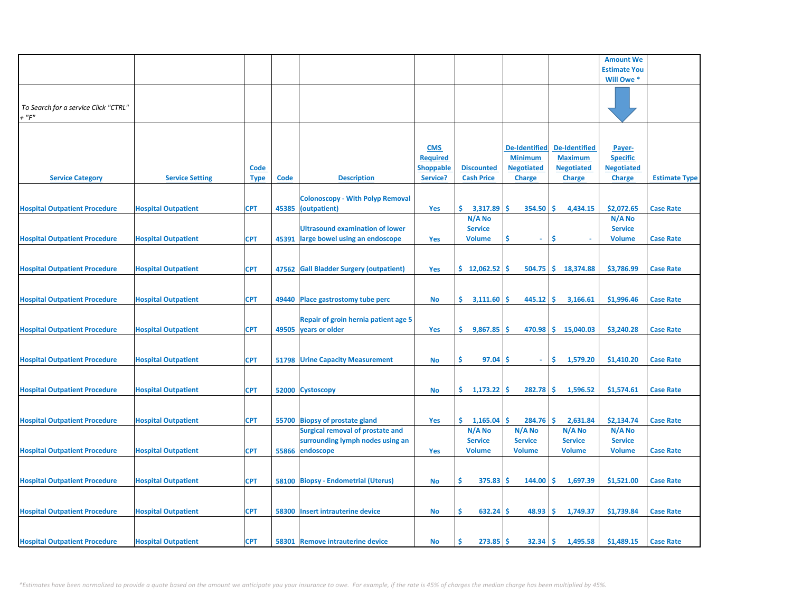|                                      |                            |             |       |                                         |                                     |                      |                                     |                                        | <b>Amount We</b>                     |                      |
|--------------------------------------|----------------------------|-------------|-------|-----------------------------------------|-------------------------------------|----------------------|-------------------------------------|----------------------------------------|--------------------------------------|----------------------|
|                                      |                            |             |       |                                         |                                     |                      |                                     |                                        | <b>Estimate You</b>                  |                      |
|                                      |                            |             |       |                                         |                                     |                      |                                     |                                        | Will Owe *                           |                      |
|                                      |                            |             |       |                                         |                                     |                      |                                     |                                        |                                      |                      |
| To Search for a service Click "CTRL" |                            |             |       |                                         |                                     |                      |                                     |                                        |                                      |                      |
| $+$ " $F$ "                          |                            |             |       |                                         |                                     |                      |                                     |                                        |                                      |                      |
|                                      |                            |             |       |                                         |                                     |                      |                                     |                                        |                                      |                      |
|                                      |                            |             |       |                                         |                                     |                      |                                     |                                        |                                      |                      |
|                                      |                            |             |       |                                         | <b>CMS</b>                          |                      | <b>De-Identified</b>                | <b>De-Identified</b><br><b>Maximum</b> | Payer-                               |                      |
|                                      |                            | <b>Code</b> |       |                                         | <b>Required</b><br><b>Shoppable</b> | <b>Discounted</b>    | <b>Minimum</b><br><b>Negotiated</b> | <b>Negotiated</b>                      | <b>Specific</b><br><b>Negotiated</b> |                      |
| <b>Service Category</b>              | <b>Service Setting</b>     | <b>Type</b> | Code  | <b>Description</b>                      | Service?                            | <b>Cash Price</b>    | <b>Charge</b>                       | <b>Charge</b>                          | <b>Charge</b>                        | <b>Estimate Type</b> |
|                                      |                            |             |       |                                         |                                     |                      |                                     |                                        |                                      |                      |
|                                      |                            |             |       | <b>Colonoscopy - With Polyp Removal</b> |                                     |                      |                                     |                                        |                                      |                      |
| <b>Hospital Outpatient Procedure</b> | <b>Hospital Outpatient</b> | <b>CPT</b>  |       | 45385 (outpatient)                      | Yes                                 | \$.<br>3,317.89      | \$.<br>354.50                       | -\$<br>4,434.15                        | \$2,072.65                           | <b>Case Rate</b>     |
|                                      |                            |             |       |                                         |                                     | N/A No               |                                     |                                        | N/A No                               |                      |
|                                      |                            |             |       | <b>Ultrasound examination of lower</b>  |                                     | <b>Service</b>       |                                     |                                        | <b>Service</b>                       |                      |
| <b>Hospital Outpatient Procedure</b> | <b>Hospital Outpatient</b> | <b>CPT</b>  | 45391 | large bowel using an endoscope          | <b>Yes</b>                          | <b>Volume</b>        | S<br>÷                              | \$.                                    | <b>Volume</b>                        | <b>Case Rate</b>     |
|                                      |                            |             |       |                                         |                                     |                      |                                     |                                        |                                      |                      |
| <b>Hospital Outpatient Procedure</b> | <b>Hospital Outpatient</b> | <b>CPT</b>  |       | 47562 Gall Bladder Surgery (outpatient) | Yes                                 | \$12,062.52          | -\$<br>504.75                       | ∣\$.<br>18,374.88                      | \$3,786.99                           | <b>Case Rate</b>     |
|                                      |                            |             |       |                                         |                                     |                      |                                     |                                        |                                      |                      |
|                                      |                            |             |       |                                         |                                     |                      |                                     |                                        |                                      |                      |
| <b>Hospital Outpatient Procedure</b> | <b>Hospital Outpatient</b> | <b>CPT</b>  |       | 49440 Place gastrostomy tube perc       | No                                  | \$.<br>3,111.60      | 445.12<br><b>S</b>                  | \$<br>3,166.61                         | \$1,996.46                           | <b>Case Rate</b>     |
|                                      |                            |             |       |                                         |                                     |                      |                                     |                                        |                                      |                      |
|                                      |                            |             |       | Repair of groin hernia patient age 5    |                                     |                      |                                     |                                        |                                      |                      |
| <b>Hospital Outpatient Procedure</b> | <b>Hospital Outpatient</b> | <b>CPT</b>  |       | 49505 years or older                    | Yes                                 | \$.<br>9,867.85      | $470.98$ \$<br>-S                   | 15,040.03                              | \$3,240.28                           | <b>Case Rate</b>     |
|                                      |                            |             |       |                                         |                                     |                      |                                     |                                        |                                      |                      |
| <b>Hospital Outpatient Procedure</b> | <b>Hospital Outpatient</b> | <b>CPT</b>  |       | <b>51798 Urine Capacity Measurement</b> | No                                  | \$.<br>97.04         | -\$<br>$\omega$                     | \$<br>1,579.20                         | \$1,410.20                           | <b>Case Rate</b>     |
|                                      |                            |             |       |                                         |                                     |                      |                                     |                                        |                                      |                      |
|                                      |                            |             |       |                                         |                                     |                      |                                     |                                        |                                      |                      |
| <b>Hospital Outpatient Procedure</b> | <b>Hospital Outpatient</b> | <b>CPT</b>  |       | 52000 Cystoscopy                        | No                                  | \$.<br>$1,173.22$ \$ | 282.78                              | -\$<br>1,596.52                        | \$1,574.61                           | <b>Case Rate</b>     |
|                                      |                            |             |       |                                         |                                     |                      |                                     |                                        |                                      |                      |
|                                      |                            |             |       |                                         |                                     |                      |                                     |                                        |                                      |                      |
| <b>Hospital Outpatient Procedure</b> | <b>Hospital Outpatient</b> | <b>CPT</b>  |       | 55700 Biopsy of prostate gland          | Yes                                 | \$.<br>1,165.04      | Ŝ.<br>284.76                        | -Ś<br>2,631.84                         | \$2,134.74                           | <b>Case Rate</b>     |
|                                      |                            |             |       | <b>Surgical removal of prostate and</b> |                                     | N/A No               | N/A No                              | N/A No                                 | N/A No                               |                      |
|                                      |                            |             |       | surrounding lymph nodes using an        |                                     | <b>Service</b>       | <b>Service</b>                      | <b>Service</b>                         | <b>Service</b>                       |                      |
| <b>Hospital Outpatient Procedure</b> | <b>Hospital Outpatient</b> | <b>CPT</b>  | 55866 | endoscope                               | Yes                                 | <b>Volume</b>        | <b>Volume</b>                       | <b>Volume</b>                          | <b>Volume</b>                        | <b>Case Rate</b>     |
|                                      |                            |             |       |                                         |                                     |                      |                                     |                                        |                                      |                      |
| <b>Hospital Outpatient Procedure</b> | <b>Hospital Outpatient</b> | <b>CPT</b>  |       | 58100 Biopsy - Endometrial (Uterus)     | No                                  | \$<br>375.83         | 144.00<br>-\$                       | -\$<br>1,697.39                        | \$1,521.00                           | <b>Case Rate</b>     |
|                                      |                            |             |       |                                         |                                     |                      |                                     |                                        |                                      |                      |
|                                      |                            |             |       |                                         |                                     |                      |                                     |                                        |                                      |                      |
| <b>Hospital Outpatient Procedure</b> | <b>Hospital Outpatient</b> | <b>CPT</b>  |       | 58300 Insert intrauterine device        | No                                  | $632.24$ \$<br>\$    | 48.93                               | -\$<br>1,749.37                        | \$1,739.84                           | <b>Case Rate</b>     |
|                                      |                            |             |       |                                         |                                     |                      |                                     |                                        |                                      |                      |
|                                      |                            |             |       |                                         |                                     | Ś                    | Ŝ                                   |                                        |                                      |                      |
| <b>Hospital Outpatient Procedure</b> | <b>Hospital Outpatient</b> | <b>CPT</b>  |       | 58301 Remove intrauterine device        | No                                  | 273.85               | 32.34                               | ۱\$.<br>1,495.58                       | \$1,489.15                           | <b>Case Rate</b>     |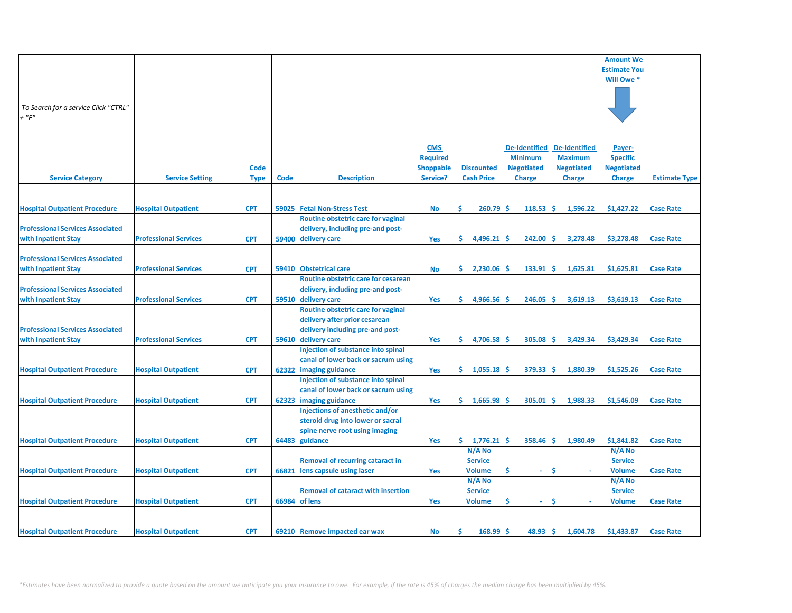|                                         |                              |             |       |                                           |                  |                   |                      |                      | <b>Amount We</b>    |                      |
|-----------------------------------------|------------------------------|-------------|-------|-------------------------------------------|------------------|-------------------|----------------------|----------------------|---------------------|----------------------|
|                                         |                              |             |       |                                           |                  |                   |                      |                      | <b>Estimate You</b> |                      |
|                                         |                              |             |       |                                           |                  |                   |                      |                      | Will Owe *          |                      |
|                                         |                              |             |       |                                           |                  |                   |                      |                      |                     |                      |
|                                         |                              |             |       |                                           |                  |                   |                      |                      |                     |                      |
| To Search for a service Click "CTRL"    |                              |             |       |                                           |                  |                   |                      |                      |                     |                      |
| $+$ " $F$ "                             |                              |             |       |                                           |                  |                   |                      |                      |                     |                      |
|                                         |                              |             |       |                                           |                  |                   |                      |                      |                     |                      |
|                                         |                              |             |       |                                           |                  |                   |                      |                      |                     |                      |
|                                         |                              |             |       |                                           |                  |                   |                      |                      |                     |                      |
|                                         |                              |             |       |                                           | <b>CMS</b>       |                   | <b>De-Identified</b> | <b>De-Identified</b> | Payer-              |                      |
|                                         |                              |             |       |                                           | <b>Required</b>  |                   | <b>Minimum</b>       | <b>Maximum</b>       | <b>Specific</b>     |                      |
|                                         |                              | Code        |       |                                           | <b>Shoppable</b> | <b>Discounted</b> | <b>Negotiated</b>    | <b>Negotiated</b>    | <b>Negotiated</b>   |                      |
| <b>Service Category</b>                 | <b>Service Setting</b>       | <b>Type</b> | Code  | <b>Description</b>                        | Service?         | <b>Cash Price</b> | <b>Charge</b>        | <b>Charge</b>        | <b>Charge</b>       | <b>Estimate Type</b> |
|                                         |                              |             |       |                                           |                  |                   |                      |                      |                     |                      |
|                                         |                              |             |       |                                           |                  |                   |                      |                      |                     |                      |
| <b>Hospital Outpatient Procedure</b>    | <b>Hospital Outpatient</b>   | <b>CPT</b>  | 59025 | <b>Fetal Non-Stress Test</b>              | <b>No</b>        | Ś.<br>260.79      | 118.53<br>Ŝ          | Ŝ.<br>1,596.22       | \$1,427.22          | <b>Case Rate</b>     |
|                                         |                              |             |       | Routine obstetric care for vaginal        |                  |                   |                      |                      |                     |                      |
| <b>Professional Services Associated</b> |                              |             |       | delivery, including pre-and post-         |                  |                   |                      |                      |                     |                      |
| with Inpatient Stay                     | <b>Professional Services</b> | <b>CPT</b>  |       | 59400 delivery care                       | Yes              | \$.<br>4,496.21   | 242.00<br>Ŝ          | Ŝ.<br>3,278.48       | \$3,278.48          | <b>Case Rate</b>     |
|                                         |                              |             |       |                                           |                  |                   |                      |                      |                     |                      |
| <b>Professional Services Associated</b> |                              |             |       |                                           |                  |                   |                      |                      |                     |                      |
| with Inpatient Stay                     | <b>Professional Services</b> | <b>CPT</b>  | 59410 | <b>Obstetrical care</b>                   | <b>No</b>        | \$.<br>2,230.06   | .S<br>133.91         | ۱\$.<br>1,625.81     | \$1,625.81          | <b>Case Rate</b>     |
|                                         |                              |             |       | Routine obstetric care for cesarean       |                  |                   |                      |                      |                     |                      |
| <b>Professional Services Associated</b> |                              |             |       | delivery, including pre-and post-         |                  |                   |                      |                      |                     |                      |
| with Inpatient Stay                     | <b>Professional Services</b> | <b>CPT</b>  |       | 59510 delivery care                       | Yes              | \$.<br>4,966.56   | 246.05<br>.Ŝ         | <b>S</b><br>3,619.13 | \$3,619.13          | <b>Case Rate</b>     |
|                                         |                              |             |       | Routine obstetric care for vaginal        |                  |                   |                      |                      |                     |                      |
|                                         |                              |             |       |                                           |                  |                   |                      |                      |                     |                      |
|                                         |                              |             |       | delivery after prior cesarean             |                  |                   |                      |                      |                     |                      |
| <b>Professional Services Associated</b> |                              |             |       | delivery including pre-and post-          |                  |                   |                      |                      |                     |                      |
| with Inpatient Stay                     | <b>Professional Services</b> | <b>CPT</b>  |       | 59610 delivery care                       | Yes              | \$.<br>4,706.58   | 305.08               | Ŝ.<br>3,429.34       | \$3,429.34          | <b>Case Rate</b>     |
|                                         |                              |             |       | <b>Injection of substance into spinal</b> |                  |                   |                      |                      |                     |                      |
|                                         |                              |             |       | canal of lower back or sacrum using       |                  |                   |                      |                      |                     |                      |
| <b>Hospital Outpatient Procedure</b>    | <b>Hospital Outpatient</b>   | <b>CPT</b>  | 62322 | imaging guidance                          | Yes              | \$.<br>1,055.18   | 379.33<br>-S         | ١\$<br>1,880.39      | \$1,525.26          | <b>Case Rate</b>     |
|                                         |                              |             |       | Injection of substance into spinal        |                  |                   |                      |                      |                     |                      |
|                                         |                              |             |       | canal of lower back or sacrum using       |                  |                   |                      |                      |                     |                      |
| <b>Hospital Outpatient Procedure</b>    | <b>Hospital Outpatient</b>   | <b>CPT</b>  | 62323 | imaging guidance                          | Yes              | \$.<br>1,665.98   | Ŝ.<br>305.01         | -Ś.<br>1,988.33      | \$1,546.09          | <b>Case Rate</b>     |
|                                         |                              |             |       | Injections of anesthetic and/or           |                  |                   |                      |                      |                     |                      |
|                                         |                              |             |       | steroid drug into lower or sacral         |                  |                   |                      |                      |                     |                      |
|                                         |                              |             |       | spine nerve root using imaging            |                  |                   |                      |                      |                     |                      |
| <b>Hospital Outpatient Procedure</b>    | <b>Hospital Outpatient</b>   | <b>CPT</b>  | 64483 | guidance                                  | Yes              | \$.<br>1,776.21   | $358.46$ \$<br>'\$   | 1,980.49             | \$1,841.82          | <b>Case Rate</b>     |
|                                         |                              |             |       |                                           |                  | N/A No            |                      |                      | $N/A$ No            |                      |
|                                         |                              |             |       | <b>Removal of recurring cataract in</b>   |                  | <b>Service</b>    |                      |                      | <b>Service</b>      |                      |
| <b>Hospital Outpatient Procedure</b>    | <b>Hospital Outpatient</b>   | <b>CPT</b>  | 66821 | lens capsule using laser                  | Yes              | <b>Volume</b>     | \$<br>$\omega$       | Ŝ<br>$\sim$          | <b>Volume</b>       | <b>Case Rate</b>     |
|                                         |                              |             |       |                                           |                  | N/A No            |                      |                      | $N/A$ No            |                      |
|                                         |                              |             |       |                                           |                  |                   |                      |                      |                     |                      |
|                                         |                              |             |       | <b>Removal of cataract with insertion</b> |                  | <b>Service</b>    |                      |                      | <b>Service</b>      |                      |
| <b>Hospital Outpatient Procedure</b>    | <b>Hospital Outpatient</b>   | <b>CPT</b>  |       | 66984 of lens                             | Yes              | <b>Volume</b>     | Ś<br>$\sim$          | \$,                  | <b>Volume</b>       | <b>Case Rate</b>     |
|                                         |                              |             |       |                                           |                  |                   |                      |                      |                     |                      |
|                                         |                              |             |       |                                           |                  |                   |                      |                      |                     |                      |
| <b>Hospital Outpatient Procedure</b>    | <b>Hospital Outpatient</b>   | <b>CPT</b>  |       | 69210 Remove impacted ear wax             | <b>No</b>        | 168.99            | 48.93                | ١\$<br>1,604.78      | \$1,433.87          | <b>Case Rate</b>     |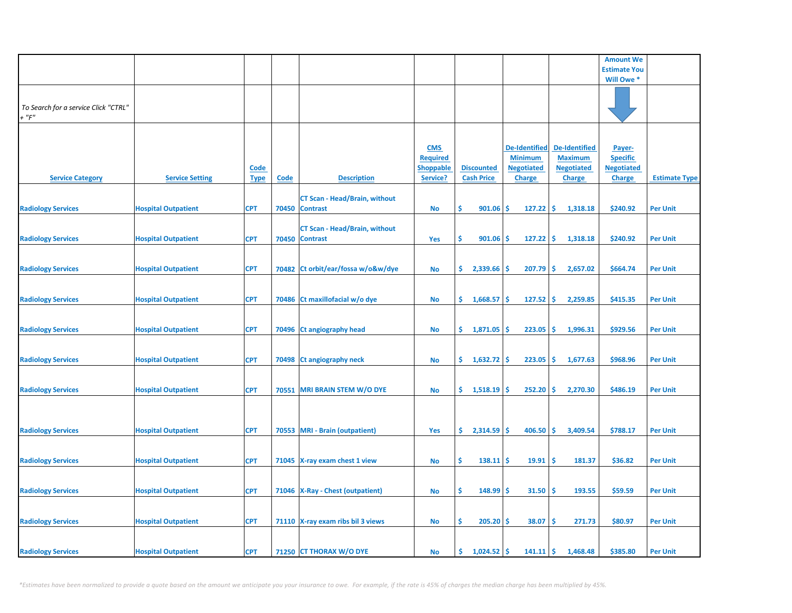|                                                     |                            |             |             |                                      |                  |                      |                      |                      | <b>Amount We</b>          |                      |
|-----------------------------------------------------|----------------------------|-------------|-------------|--------------------------------------|------------------|----------------------|----------------------|----------------------|---------------------------|----------------------|
|                                                     |                            |             |             |                                      |                  |                      |                      |                      | <b>Estimate You</b>       |                      |
|                                                     |                            |             |             |                                      |                  |                      |                      |                      | Will Owe *                |                      |
|                                                     |                            |             |             |                                      |                  |                      |                      |                      |                           |                      |
| To Search for a service Click "CTRL"<br>$+$ " $F$ " |                            |             |             |                                      |                  |                      |                      |                      |                           |                      |
|                                                     |                            |             |             |                                      |                  |                      |                      |                      |                           |                      |
|                                                     |                            |             |             |                                      | <b>CMS</b>       |                      | <b>De-Identified</b> | <b>De-Identified</b> |                           |                      |
|                                                     |                            |             |             |                                      | <b>Required</b>  |                      | <b>Minimum</b>       | <b>Maximum</b>       | Payer-<br><b>Specific</b> |                      |
|                                                     |                            | <b>Code</b> |             |                                      | <b>Shoppable</b> | <b>Discounted</b>    | <b>Negotiated</b>    | <b>Negotiated</b>    | <b>Negotiated</b>         |                      |
| <b>Service Category</b>                             | <b>Service Setting</b>     | <b>Type</b> | <b>Code</b> | <b>Description</b>                   | Service?         | <b>Cash Price</b>    | <b>Charge</b>        | <b>Charge</b>        | <b>Charge</b>             | <b>Estimate Type</b> |
|                                                     |                            |             |             | <b>CT Scan - Head/Brain, without</b> |                  |                      |                      |                      |                           |                      |
| <b>Radiology Services</b>                           | <b>Hospital Outpatient</b> | <b>CPT</b>  |             | 70450 Contrast                       | No               | \$<br>901.06         | Ŝ.<br>127.22         | -\$<br>1,318.18      | \$240.92                  | <b>Per Unit</b>      |
|                                                     |                            |             |             | <b>CT Scan - Head/Brain, without</b> |                  |                      |                      |                      |                           |                      |
| <b>Radiology Services</b>                           | <b>Hospital Outpatient</b> | <b>CPT</b>  |             | 70450 Contrast                       | <b>Yes</b>       | Ŝ<br>901.06          | 127.22<br>s          | ۱\$.<br>1,318.18     | \$240.92                  | <b>Per Unit</b>      |
|                                                     |                            |             |             |                                      |                  |                      |                      |                      |                           |                      |
| <b>Radiology Services</b>                           | <b>Hospital Outpatient</b> | <b>CPT</b>  |             | 70482 Ct orbit/ear/fossa w/o&w/dye   | No               | \$.<br>2,339.66      | 207.79<br>-S         | -\$<br>2,657.02      | \$664.74                  | <b>Per Unit</b>      |
|                                                     |                            |             |             |                                      |                  |                      |                      |                      |                           |                      |
|                                                     |                            |             |             |                                      |                  |                      |                      |                      |                           |                      |
| <b>Radiology Services</b>                           | <b>Hospital Outpatient</b> | <b>CPT</b>  |             | 70486 Ct maxillofacial w/o dye       | <b>No</b>        | \$.<br>1,668.57      | 127.52<br>Ŝ.         | -\$<br>2,259.85      | \$415.35                  | <b>Per Unit</b>      |
|                                                     |                            |             |             |                                      |                  |                      |                      |                      |                           |                      |
| <b>Radiology Services</b>                           | <b>Hospital Outpatient</b> | <b>CPT</b>  |             | 70496 Ct angiography head            | No               | \$.<br>1,871.05      | 223.05<br>-S         | -\$<br>1,996.31      | \$929.56                  | <b>Per Unit</b>      |
|                                                     |                            |             |             |                                      |                  |                      |                      |                      |                           |                      |
| <b>Radiology Services</b>                           | <b>Hospital Outpatient</b> | <b>CPT</b>  |             | 70498 Ct angiography neck            | No               | \$.<br>$1,632.72$ \$ | 223.05               | ۱\$.<br>1,677.63     | \$968.96                  | <b>Per Unit</b>      |
|                                                     |                            |             |             |                                      |                  |                      |                      |                      |                           |                      |
| <b>Radiology Services</b>                           | <b>Hospital Outpatient</b> | <b>CPT</b>  |             | 70551 MRI BRAIN STEM W/O DYE         | No               | \$.<br>1,518.19      | 252.20<br>-S         | ١\$<br>2,270.30      | \$486.19                  | <b>Per Unit</b>      |
|                                                     |                            |             |             |                                      |                  |                      |                      |                      |                           |                      |
|                                                     |                            |             |             |                                      |                  |                      |                      |                      |                           |                      |
| <b>Radiology Services</b>                           | <b>Hospital Outpatient</b> | <b>CPT</b>  |             | 70553 MRI - Brain (outpatient)       | Yes              | \$.<br>2,314.59      | 406.50<br>-S         | ∣\$<br>3,409.54      | \$788.17                  | <b>Per Unit</b>      |
|                                                     |                            |             |             |                                      |                  |                      |                      |                      |                           |                      |
| <b>Radiology Services</b>                           | <b>Hospital Outpatient</b> | <b>CPT</b>  |             | 71045 X-ray exam chest 1 view        | No               | \$<br>138.11         | 19.91<br>-S          | -\$<br>181.37        | \$36.82                   | <b>Per Unit</b>      |
|                                                     |                            |             |             |                                      |                  |                      |                      |                      |                           |                      |
| <b>Radiology Services</b>                           | <b>Hospital Outpatient</b> | <b>CPT</b>  |             | 71046   X-Ray - Chest (outpatient)   |                  | \$<br>$148.99$ \$    | 31.50                | -\$<br>193.55        | \$59.59                   | <b>Per Unit</b>      |
|                                                     |                            |             |             |                                      | No               |                      |                      |                      |                           |                      |
|                                                     |                            |             |             |                                      |                  |                      |                      |                      |                           |                      |
| <b>Radiology Services</b>                           | <b>Hospital Outpatient</b> | <b>CPT</b>  |             | 71110 X-ray exam ribs bil 3 views    | No               | \$.<br>205.20        | 38.07<br><b>S</b>    | \$.<br>271.73        | \$80.97                   | <b>Per Unit</b>      |
|                                                     |                            |             |             |                                      |                  |                      |                      |                      |                           |                      |
| <b>Radiology Services</b>                           | <b>Hospital Outpatient</b> | <b>CPT</b>  |             | 71250 CT THORAX W/O DYE              | <b>No</b>        | $1,024.52$ \$<br>\$. | 141.11               | <b>S</b><br>1,468.48 | \$385.80                  | <b>Per Unit</b>      |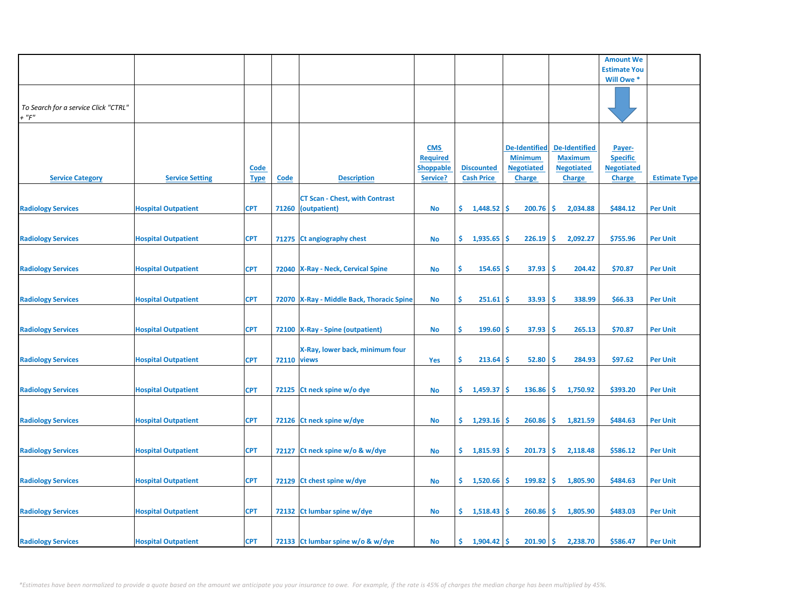|                                                     |                            |                            |                    |                                                             |                                                               |                                        |                                                                              |                                                                              | <b>Amount We</b>                                                |                      |
|-----------------------------------------------------|----------------------------|----------------------------|--------------------|-------------------------------------------------------------|---------------------------------------------------------------|----------------------------------------|------------------------------------------------------------------------------|------------------------------------------------------------------------------|-----------------------------------------------------------------|----------------------|
|                                                     |                            |                            |                    |                                                             |                                                               |                                        |                                                                              |                                                                              | <b>Estimate You</b>                                             |                      |
|                                                     |                            |                            |                    |                                                             |                                                               |                                        |                                                                              |                                                                              | Will Owe *                                                      |                      |
| To Search for a service Click "CTRL"<br>$+$ " $F$ " |                            |                            |                    |                                                             |                                                               |                                        |                                                                              |                                                                              |                                                                 |                      |
| <b>Service Category</b>                             | <b>Service Setting</b>     | <b>Code</b><br><b>Type</b> | <b>Code</b>        | <b>Description</b>                                          | <b>CMS</b><br><b>Required</b><br><b>Shoppable</b><br>Service? | <b>Discounted</b><br><b>Cash Price</b> | <b>De-Identified</b><br><b>Minimum</b><br><b>Negotiated</b><br><b>Charge</b> | <b>De-Identified</b><br><b>Maximum</b><br><b>Negotiated</b><br><b>Charge</b> | Payer-<br><b>Specific</b><br><b>Negotiated</b><br><b>Charge</b> | <b>Estimate Type</b> |
| <b>Radiology Services</b>                           | <b>Hospital Outpatient</b> | <b>CPT</b>                 |                    | <b>CT Scan - Chest, with Contrast</b><br>71260 (outpatient) | No                                                            | \$.<br>$1,448.52$ \$                   | 200.76                                                                       | -\$<br>2,034.88                                                              | \$484.12                                                        | <b>Per Unit</b>      |
| <b>Radiology Services</b>                           | <b>Hospital Outpatient</b> | <b>CPT</b>                 |                    | 71275 Ct angiography chest                                  | No                                                            | \$.<br>1,935.65                        | 226.19<br>Ŝ                                                                  | -\$<br>2,092.27                                                              | \$755.96                                                        | <b>Per Unit</b>      |
| <b>Radiology Services</b>                           | <b>Hospital Outpatient</b> | <b>CPT</b>                 |                    | 72040   X-Ray - Neck, Cervical Spine                        | <b>No</b>                                                     | Ŝ.<br>154.65                           | 37.93<br>-\$                                                                 | -\$<br>204.42                                                                | \$70.87                                                         | <b>Per Unit</b>      |
| <b>Radiology Services</b>                           | <b>Hospital Outpatient</b> | <b>CPT</b>                 |                    | 72070 X-Ray - Middle Back, Thoracic Spine                   | <b>No</b>                                                     | \$<br>251.61                           | 33.93<br><b>S</b>                                                            | \$,<br>338.99                                                                | \$66.33                                                         | <b>Per Unit</b>      |
| <b>Radiology Services</b>                           | <b>Hospital Outpatient</b> | <b>CPT</b>                 |                    | 72100   X-Ray - Spine (outpatient)                          | No                                                            | \$<br>$199.60$ \$                      | 37.93                                                                        | ۱\$<br>265.13                                                                | \$70.87                                                         | <b>Per Unit</b>      |
| <b>Radiology Services</b>                           | <b>Hospital Outpatient</b> | <b>CPT</b>                 | <b>72110 views</b> | X-Ray, lower back, minimum four                             | Yes                                                           | \$<br>$213.64$ \$                      | 52.80                                                                        | -\$<br>284.93                                                                | \$97.62                                                         | <b>Per Unit</b>      |
| <b>Radiology Services</b>                           | <b>Hospital Outpatient</b> | <b>CPT</b>                 | 72125              | Ct neck spine w/o dye                                       | <b>No</b>                                                     | \$.<br>1,459.37                        | 136.86<br>-S                                                                 | -\$<br>1,750.92                                                              | \$393.20                                                        | <b>Per Unit</b>      |
| <b>Radiology Services</b>                           | <b>Hospital Outpatient</b> | <b>CPT</b>                 |                    | 72126 Ct neck spine w/dye                                   | No                                                            | 1,293.16<br>\$.                        | 260.86<br>-Ś                                                                 | -\$<br>1,821.59                                                              | \$484.63                                                        | <b>Per Unit</b>      |
| <b>Radiology Services</b>                           | <b>Hospital Outpatient</b> | <b>CPT</b>                 |                    | 72127 Ct neck spine w/o & w/dye                             | <b>No</b>                                                     | \$1,815.93                             | 201.73<br>\$.                                                                | \$<br>2,118.48                                                               | \$586.12                                                        | <b>Per Unit</b>      |
| <b>Radiology Services</b>                           | <b>Hospital Outpatient</b> | <b>CPT</b>                 |                    | 72129 Ct chest spine w/dye                                  | No                                                            | \$.<br>1,520.66                        | 199.82<br>-S                                                                 | -\$<br>1,805.90                                                              | \$484.63                                                        | <b>Per Unit</b>      |
| <b>Radiology Services</b>                           | <b>Hospital Outpatient</b> | <b>CPT</b>                 |                    | 72132 Ct lumbar spine w/dye                                 | No                                                            | \$1,518.43                             | $260.86$ \$                                                                  | 1,805.90                                                                     | \$483.03                                                        | <b>Per Unit</b>      |
| <b>Radiology Services</b>                           | <b>Hospital Outpatient</b> | <b>CPT</b>                 |                    | 72133 Ct lumbar spine w/o & w/dye                           | No                                                            | 1,904.42<br>\$.                        | 201.90<br>-Ś                                                                 | l \$<br>2,238.70                                                             | \$586.47                                                        | <b>Per Unit</b>      |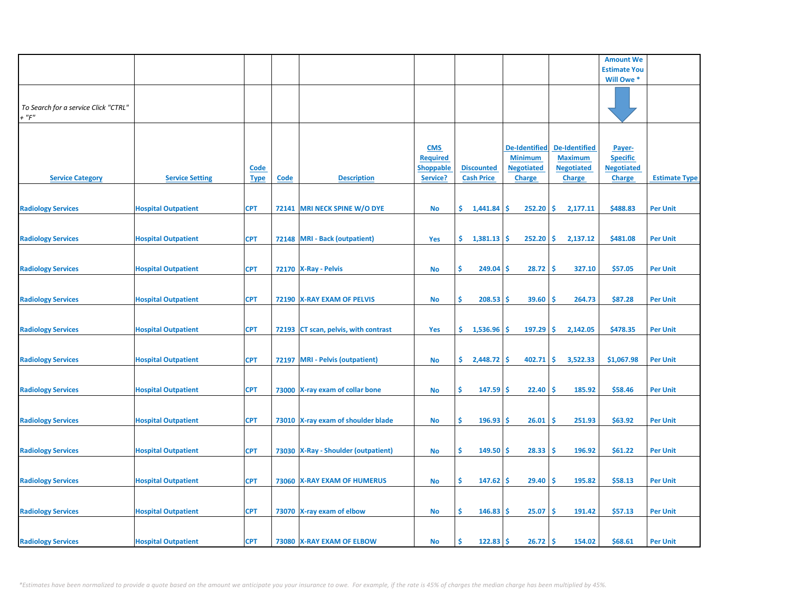|                                                     |                            |                            |             |                                      |                                                               |                                        |                                                                              |                                                                              | <b>Amount We</b>                                                |                      |
|-----------------------------------------------------|----------------------------|----------------------------|-------------|--------------------------------------|---------------------------------------------------------------|----------------------------------------|------------------------------------------------------------------------------|------------------------------------------------------------------------------|-----------------------------------------------------------------|----------------------|
|                                                     |                            |                            |             |                                      |                                                               |                                        |                                                                              |                                                                              | <b>Estimate You</b>                                             |                      |
|                                                     |                            |                            |             |                                      |                                                               |                                        |                                                                              |                                                                              | Will Owe *                                                      |                      |
| To Search for a service Click "CTRL"<br>$+$ " $F$ " |                            |                            |             |                                      |                                                               |                                        |                                                                              |                                                                              |                                                                 |                      |
| <b>Service Category</b>                             | <b>Service Setting</b>     | <u>Code</u><br><b>Type</b> | <b>Code</b> | <b>Description</b>                   | <b>CMS</b><br><b>Required</b><br><b>Shoppable</b><br>Service? | <b>Discounted</b><br><b>Cash Price</b> | <b>De-Identified</b><br><b>Minimum</b><br><b>Negotiated</b><br><b>Charge</b> | <b>De-Identified</b><br><b>Maximum</b><br><b>Negotiated</b><br><b>Charge</b> | Payer-<br><b>Specific</b><br><b>Negotiated</b><br><b>Charge</b> | <b>Estimate Type</b> |
| <b>Radiology Services</b>                           | <b>Hospital Outpatient</b> | <b>CPT</b>                 |             | 72141 MRI NECK SPINE W/O DYE         | No                                                            | \$.<br>1,441.84                        | 252.20<br><b>S</b>                                                           | -\$<br>2,177.11                                                              | \$488.83                                                        | <b>Per Unit</b>      |
| <b>Radiology Services</b>                           | <b>Hospital Outpatient</b> | <b>CPT</b>                 |             | 72148 MRI - Back (outpatient)        | Yes                                                           | \$.<br>1,381.13                        | 252.20<br><b>S</b>                                                           | \$<br>2,137.12                                                               | \$481.08                                                        | <b>Per Unit</b>      |
| <b>Radiology Services</b>                           | <b>Hospital Outpatient</b> | <b>CPT</b>                 |             | 72170 X-Ray - Pelvis                 | No                                                            | \$<br>249.04                           | 28.72<br><b>S</b>                                                            | -\$<br>327.10                                                                | \$57.05                                                         | <b>Per Unit</b>      |
| <b>Radiology Services</b>                           | <b>Hospital Outpatient</b> | <b>CPT</b>                 |             | 72190 X-RAY EXAM OF PELVIS           | <b>No</b>                                                     | \$<br>208.53                           | 39.60<br>-\$                                                                 | \$,<br>264.73                                                                | \$87.28                                                         | <b>Per Unit</b>      |
| <b>Radiology Services</b>                           | <b>Hospital Outpatient</b> | <b>CPT</b>                 |             | 72193 CT scan, pelvis, with contrast | Yes                                                           | \$.<br>1,536.96                        | $197.29$ \$<br>-S                                                            | 2,142.05                                                                     | \$478.35                                                        | <b>Per Unit</b>      |
| <b>Radiology Services</b>                           | <b>Hospital Outpatient</b> | <b>CPT</b>                 |             | 72197 MRI - Pelvis (outpatient)      | No                                                            | \$.<br>$2,448.72$ \$                   | 402.71                                                                       | -\$<br>3,522.33                                                              | \$1,067.98                                                      | <b>Per Unit</b>      |
| <b>Radiology Services</b>                           | <b>Hospital Outpatient</b> | <b>CPT</b>                 |             | 73000 X-ray exam of collar bone      | <b>No</b>                                                     | Ŝ.<br>$147.59$ \$                      | 22.40                                                                        | -\$<br>185.92                                                                | \$58.46                                                         | <b>Per Unit</b>      |
| <b>Radiology Services</b>                           | <b>Hospital Outpatient</b> | <b>CPT</b>                 |             | 73010 X-ray exam of shoulder blade   | <b>No</b>                                                     | \$<br>$196.93$ \$                      | 26.01                                                                        | -\$<br>251.93                                                                | \$63.92                                                         | <b>Per Unit</b>      |
| <b>Radiology Services</b>                           | <b>Hospital Outpatient</b> | <b>CPT</b>                 |             | 73030 X-Ray - Shoulder (outpatient)  | No                                                            | \$<br>$149.50$ \$                      | 28.33                                                                        | -\$<br>196.92                                                                | \$61.22                                                         | <b>Per Unit</b>      |
| <b>Radiology Services</b>                           | <b>Hospital Outpatient</b> | <b>CPT</b>                 |             | 73060 X-RAY EXAM OF HUMERUS          | <b>No</b>                                                     | \$<br>$147.62$ \$                      | 29.40                                                                        | \$<br>195.82                                                                 | \$58.13                                                         | <b>Per Unit</b>      |
| <b>Radiology Services</b>                           | <b>Hospital Outpatient</b> | <b>CPT</b>                 |             | 73070 X-ray exam of elbow            | No                                                            | \$.<br>146.83                          | 25.07<br>-S                                                                  | \$,<br>191.42                                                                | \$57.13                                                         | <b>Per Unit</b>      |
| <b>Radiology Services</b>                           | <b>Hospital Outpatient</b> | <b>CPT</b>                 |             | 73080 X-RAY EXAM OF ELBOW            | No                                                            | 122.83<br>Ś                            | 26.72<br><b>S</b>                                                            | ١\$<br>154.02                                                                | \$68.61                                                         | <b>Per Unit</b>      |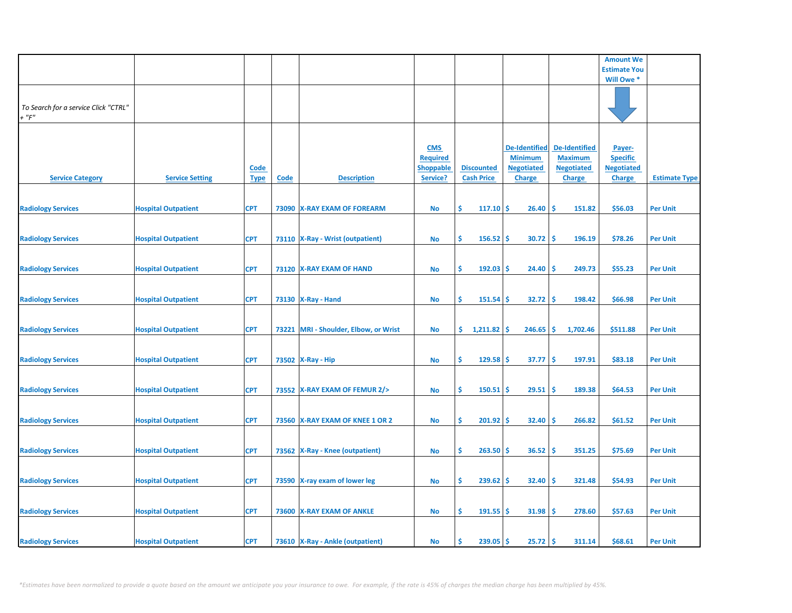|                                                     |                            |                            |             |                                       |                                                               |                                        |                                                                              |                                                                              | <b>Amount We</b>                                                |                      |
|-----------------------------------------------------|----------------------------|----------------------------|-------------|---------------------------------------|---------------------------------------------------------------|----------------------------------------|------------------------------------------------------------------------------|------------------------------------------------------------------------------|-----------------------------------------------------------------|----------------------|
|                                                     |                            |                            |             |                                       |                                                               |                                        |                                                                              |                                                                              | <b>Estimate You</b>                                             |                      |
|                                                     |                            |                            |             |                                       |                                                               |                                        |                                                                              |                                                                              | Will Owe *                                                      |                      |
| To Search for a service Click "CTRL"<br>$+$ " $F$ " |                            |                            |             |                                       |                                                               |                                        |                                                                              |                                                                              |                                                                 |                      |
| <b>Service Category</b>                             | <b>Service Setting</b>     | <u>Code</u><br><b>Type</b> | <b>Code</b> | <b>Description</b>                    | <b>CMS</b><br><b>Required</b><br><b>Shoppable</b><br>Service? | <b>Discounted</b><br><b>Cash Price</b> | <b>De-Identified</b><br><b>Minimum</b><br><b>Negotiated</b><br><b>Charge</b> | <b>De-Identified</b><br><b>Maximum</b><br><b>Negotiated</b><br><b>Charge</b> | Payer-<br><b>Specific</b><br><b>Negotiated</b><br><b>Charge</b> | <b>Estimate Type</b> |
| <b>Radiology Services</b>                           | <b>Hospital Outpatient</b> | <b>CPT</b>                 |             | 73090 X-RAY EXAM OF FOREARM           | No                                                            | Š.<br>$117.10$ \$                      | 26.40                                                                        | \$,<br>151.82                                                                | \$56.03                                                         | <b>Per Unit</b>      |
| <b>Radiology Services</b>                           | <b>Hospital Outpatient</b> | <b>CPT</b>                 |             | 73110   X-Ray - Wrist (outpatient)    | No                                                            | \$<br>$156.52$ \$                      | 30.72                                                                        | -\$<br>196.19                                                                | \$78.26                                                         | <b>Per Unit</b>      |
| <b>Radiology Services</b>                           | <b>Hospital Outpatient</b> | <b>CPT</b>                 |             | 73120 X-RAY EXAM OF HAND              | No                                                            | \$<br>$192.03$ \$                      | 24.40                                                                        | \$,<br>249.73                                                                | \$55.23                                                         | <b>Per Unit</b>      |
| <b>Radiology Services</b>                           | <b>Hospital Outpatient</b> | <b>CPT</b>                 |             | 73130   X-Ray - Hand                  | <b>No</b>                                                     | \$<br>151.54                           | 32.72<br>\$.                                                                 | \$,<br>198.42                                                                | \$66.98                                                         | <b>Per Unit</b>      |
| <b>Radiology Services</b>                           | <b>Hospital Outpatient</b> | <b>CPT</b>                 |             | 73221 MRI - Shoulder, Elbow, or Wrist | No                                                            | \$.<br>$1,211.82$ \$                   | $246.65$ \$                                                                  | 1,702.46                                                                     | \$511.88                                                        | <b>Per Unit</b>      |
| <b>Radiology Services</b>                           | <b>Hospital Outpatient</b> | <b>CPT</b>                 |             | 73502 X-Ray - Hip                     | <b>No</b>                                                     | \$<br>$129.58$ \$                      | 37.77                                                                        | \$<br>197.91                                                                 | \$83.18                                                         | <b>Per Unit</b>      |
| <b>Radiology Services</b>                           | <b>Hospital Outpatient</b> | <b>CPT</b>                 |             | 73552 X-RAY EXAM OF FEMUR 2/>         | <b>No</b>                                                     | Ŝ.<br>$150.51$ \$                      | 29.51                                                                        | -\$<br>189.38                                                                | \$64.53                                                         | <b>Per Unit</b>      |
| <b>Radiology Services</b>                           | <b>Hospital Outpatient</b> | <b>CPT</b>                 |             | 73560 X-RAY EXAM OF KNEE 1 OR 2       | <b>No</b>                                                     | \$<br>$201.92$ \$                      | 32.40                                                                        | \$,<br>266.82                                                                | \$61.52                                                         | <b>Per Unit</b>      |
| <b>Radiology Services</b>                           | <b>Hospital Outpatient</b> | <b>CPT</b>                 |             | 73562 X-Ray - Knee (outpatient)       | No                                                            | \$<br>$263.50$ \$                      | 36.52                                                                        | -\$<br>351.25                                                                | \$75.69                                                         | <b>Per Unit</b>      |
| <b>Radiology Services</b>                           | <b>Hospital Outpatient</b> | <b>CPT</b>                 |             | 73590 X-ray exam of lower leg         | <b>No</b>                                                     | \$<br>$239.62$ \$                      | 32.40                                                                        | \$<br>321.48                                                                 | \$54.93                                                         | <b>Per Unit</b>      |
| <b>Radiology Services</b>                           | <b>Hospital Outpatient</b> | <b>CPT</b>                 |             | 73600 X-RAY EXAM OF ANKLE             | No                                                            | Ŝ.<br>$191.55$ \$                      | 31.98                                                                        | -\$<br>278.60                                                                | \$57.63                                                         | <b>Per Unit</b>      |
| <b>Radiology Services</b>                           | <b>Hospital Outpatient</b> | <b>CPT</b>                 |             | 73610   X-Ray - Ankle (outpatient)    | No                                                            | 239.05<br>Ś                            | 25.72<br><b>S</b>                                                            | ١\$<br>311.14                                                                | \$68.61                                                         | <b>Per Unit</b>      |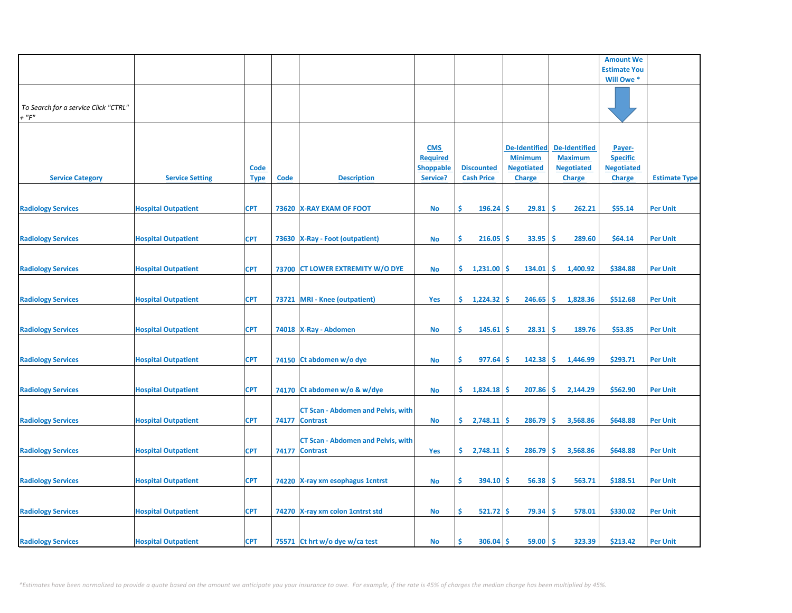|                                                     |                            |                            |      |                                                             |                                                               |                                        |                                                                              |                                                                              | <b>Amount We</b>                                                |                      |
|-----------------------------------------------------|----------------------------|----------------------------|------|-------------------------------------------------------------|---------------------------------------------------------------|----------------------------------------|------------------------------------------------------------------------------|------------------------------------------------------------------------------|-----------------------------------------------------------------|----------------------|
|                                                     |                            |                            |      |                                                             |                                                               |                                        |                                                                              |                                                                              | <b>Estimate You</b>                                             |                      |
|                                                     |                            |                            |      |                                                             |                                                               |                                        |                                                                              |                                                                              | Will Owe *                                                      |                      |
| To Search for a service Click "CTRL"<br>$+$ " $F$ " |                            |                            |      |                                                             |                                                               |                                        |                                                                              |                                                                              |                                                                 |                      |
| <b>Service Category</b>                             | <b>Service Setting</b>     | <b>Code</b><br><b>Type</b> | Code | <b>Description</b>                                          | <b>CMS</b><br><b>Required</b><br><b>Shoppable</b><br>Service? | <b>Discounted</b><br><b>Cash Price</b> | <b>De-Identified</b><br><b>Minimum</b><br><b>Negotiated</b><br><b>Charge</b> | <b>De-Identified</b><br><b>Maximum</b><br><b>Negotiated</b><br><b>Charge</b> | Payer-<br><b>Specific</b><br><b>Negotiated</b><br><b>Charge</b> | <b>Estimate Type</b> |
| <b>Radiology Services</b>                           | <b>Hospital Outpatient</b> | <b>CPT</b>                 |      | 73620 X-RAY EXAM OF FOOT                                    | <b>No</b>                                                     | \$<br>$196.24$ \$                      | 29.81                                                                        | -\$<br>262.21                                                                | \$55.14                                                         | <b>Per Unit</b>      |
| <b>Radiology Services</b>                           | <b>Hospital Outpatient</b> | <b>CPT</b>                 |      | 73630 X-Ray - Foot (outpatient)                             | No                                                            | \$<br>216.05                           | Ŝ<br>33.95                                                                   | \$.<br>289.60                                                                | \$64.14                                                         | <b>Per Unit</b>      |
| <b>Radiology Services</b>                           | <b>Hospital Outpatient</b> | <b>CPT</b>                 |      | 73700 CT LOWER EXTREMITY W/O DYE                            | No                                                            | 1,231.00<br>\$.                        | 134.01<br><b>S</b>                                                           | -\$<br>1,400.92                                                              | \$384.88                                                        | <b>Per Unit</b>      |
| <b>Radiology Services</b>                           | <b>Hospital Outpatient</b> | <b>CPT</b>                 |      | 73721 MRI - Knee (outpatient)                               | Yes                                                           | \$1,224.32                             | 246.65<br><b>S</b>                                                           | -\$<br>1,828.36                                                              | \$512.68                                                        | <b>Per Unit</b>      |
| <b>Radiology Services</b>                           | <b>Hospital Outpatient</b> | <b>CPT</b>                 |      | 74018 X-Ray - Abdomen                                       | No                                                            | \$<br>$145.61$ \$                      | 28.31                                                                        | -\$<br>189.76                                                                | \$53.85                                                         | <b>Per Unit</b>      |
| <b>Radiology Services</b>                           | <b>Hospital Outpatient</b> | <b>CPT</b>                 |      | 74150 Ct abdomen w/o dye                                    | <b>No</b>                                                     | \$<br>977.64                           | 142.38<br>Ŝ.                                                                 | \$<br>1,446.99                                                               | \$293.71                                                        | <b>Per Unit</b>      |
| <b>Radiology Services</b>                           | <b>Hospital Outpatient</b> | <b>CPT</b>                 |      | 74170 Ct abdomen w/o & w/dye                                | <b>No</b>                                                     | \$.<br>1,824.18                        | 207.86<br>-S                                                                 | -\$<br>2,144.29                                                              | \$562.90                                                        | <b>Per Unit</b>      |
| <b>Radiology Services</b>                           | <b>Hospital Outpatient</b> | <b>CPT</b>                 |      | <b>CT Scan - Abdomen and Pelvis, with</b><br>74177 Contrast | No                                                            | $2,748.11$ \$<br>\$.                   | 286.79                                                                       | -\$<br>3,568.86                                                              | \$648.88                                                        | <b>Per Unit</b>      |
| <b>Radiology Services</b>                           | <b>Hospital Outpatient</b> | <b>CPT</b>                 |      | <b>CT Scan - Abdomen and Pelvis, with</b><br>74177 Contrast | Yes                                                           | \$.<br>2,748.11                        | 286.79<br><b>S</b>                                                           | -\$<br>3,568.86                                                              | \$648.88                                                        | <b>Per Unit</b>      |
| <b>Radiology Services</b>                           | <b>Hospital Outpatient</b> | <b>CPT</b>                 |      | 74220 X-ray xm esophagus 1 cntrst                           | <b>No</b>                                                     | \$<br>$394.10$ \$                      | 56.38                                                                        | -\$<br>563.71                                                                | \$188.51                                                        | <b>Per Unit</b>      |
| <b>Radiology Services</b>                           | <b>Hospital Outpatient</b> | <b>CPT</b>                 |      | 74270 X-ray xm colon 1 cntrst std                           | No                                                            | \$<br>$521.72$ \$                      | 79.34                                                                        | -\$<br>578.01                                                                | \$330.02                                                        | <b>Per Unit</b>      |
|                                                     |                            | <b>CPT</b>                 |      |                                                             | No                                                            | $306.04$ \$<br>Ŝ                       | 59.00                                                                        | ۱Ś<br>323.39                                                                 | \$213.42                                                        | <b>Per Unit</b>      |
| <b>Radiology Services</b>                           | <b>Hospital Outpatient</b> |                            |      | 75571 Ct hrt w/o dye w/ca test                              |                                                               |                                        |                                                                              |                                                                              |                                                                 |                      |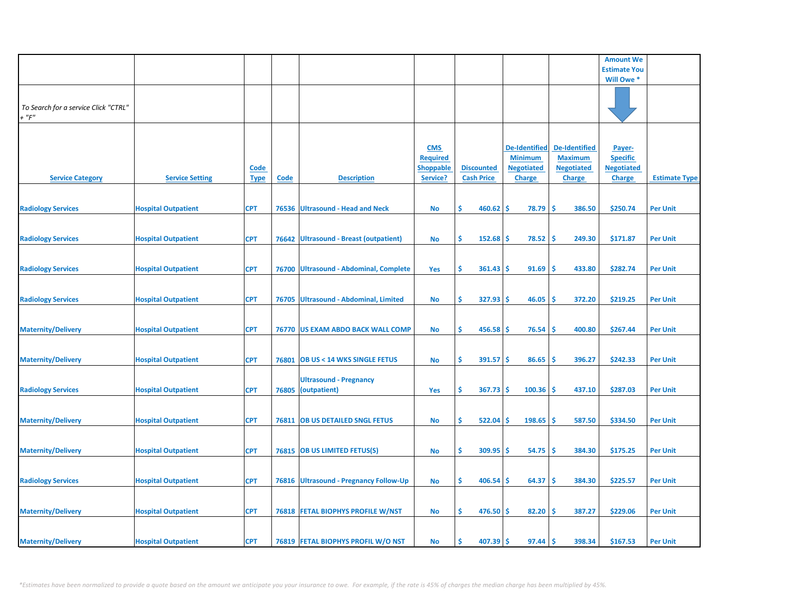|                                                     |                            |                            |             |                                               |                                                               |                                        |                                                                              |                                                                              | <b>Amount We</b>                                                |                      |
|-----------------------------------------------------|----------------------------|----------------------------|-------------|-----------------------------------------------|---------------------------------------------------------------|----------------------------------------|------------------------------------------------------------------------------|------------------------------------------------------------------------------|-----------------------------------------------------------------|----------------------|
|                                                     |                            |                            |             |                                               |                                                               |                                        |                                                                              |                                                                              | <b>Estimate You</b>                                             |                      |
|                                                     |                            |                            |             |                                               |                                                               |                                        |                                                                              |                                                                              | Will Owe *                                                      |                      |
| To Search for a service Click "CTRL"<br>$+$ " $F$ " |                            |                            |             |                                               |                                                               |                                        |                                                                              |                                                                              |                                                                 |                      |
| <b>Service Category</b>                             | <b>Service Setting</b>     | <u>Code</u><br><b>Type</b> | <b>Code</b> | <b>Description</b>                            | <b>CMS</b><br><b>Required</b><br><b>Shoppable</b><br>Service? | <b>Discounted</b><br><b>Cash Price</b> | <b>De-Identified</b><br><b>Minimum</b><br><b>Negotiated</b><br><b>Charge</b> | <b>De-Identified</b><br><b>Maximum</b><br><b>Negotiated</b><br><b>Charge</b> | Payer-<br><b>Specific</b><br><b>Negotiated</b><br><b>Charge</b> | <b>Estimate Type</b> |
| <b>Radiology Services</b>                           | <b>Hospital Outpatient</b> | <b>CPT</b>                 |             | 76536 Ultrasound - Head and Neck              | <b>No</b>                                                     | Ŝ.<br>460.62                           | \$<br>78.79                                                                  | <b>S</b><br>386.50                                                           | \$250.74                                                        | <b>Per Unit</b>      |
| <b>Radiology Services</b>                           | <b>Hospital Outpatient</b> | <b>CPT</b>                 | 76642       | <b>Ultrasound - Breast (outpatient)</b>       | <b>No</b>                                                     | \$<br>152.68                           | \$<br>78.52                                                                  | \$<br>249.30                                                                 | \$171.87                                                        | <b>Per Unit</b>      |
| <b>Radiology Services</b>                           | <b>Hospital Outpatient</b> | <b>CPT</b>                 |             | 76700 Ultrasound - Abdominal, Complete        | Yes                                                           | \$<br>361.43                           | 91.69<br>\$                                                                  | 433.80<br><b>S</b>                                                           | \$282.74                                                        | <b>Per Unit</b>      |
| <b>Radiology Services</b>                           | <b>Hospital Outpatient</b> | <b>CPT</b>                 |             | 76705 Ultrasound - Abdominal, Limited         | <b>No</b>                                                     | \$<br>327.93                           | 46.05<br>\$                                                                  | Ś<br>372.20                                                                  | \$219.25                                                        | <b>Per Unit</b>      |
| <b>Maternity/Delivery</b>                           | <b>Hospital Outpatient</b> | <b>CPT</b>                 |             | 76770 US EXAM ABDO BACK WALL COMP             | <b>No</b>                                                     | \$.<br>456.58                          | \$<br>76.54                                                                  | <b>S</b><br>400.80                                                           | \$267.44                                                        | <b>Per Unit</b>      |
| <b>Maternity/Delivery</b>                           | <b>Hospital Outpatient</b> | <b>CPT</b>                 |             | 76801 OB US < 14 WKS SINGLE FETUS             | <b>No</b>                                                     | \$<br>391.57                           | -\$<br>86.65                                                                 | \$<br>396.27                                                                 | \$242.33                                                        | <b>Per Unit</b>      |
| <b>Radiology Services</b>                           | <b>Hospital Outpatient</b> | <b>CPT</b>                 | 76805       | <b>Ultrasound - Pregnancy</b><br>(outpatient) | Yes                                                           | Ŝ.<br>367.73                           | 100.36<br>\$                                                                 | <b>S</b><br>437.10                                                           | \$287.03                                                        | <b>Per Unit</b>      |
| <b>Maternity/Delivery</b>                           | <b>Hospital Outpatient</b> | <b>CPT</b>                 |             | 76811 OB US DETAILED SNGL FETUS               | <b>No</b>                                                     | Ŝ.<br>522.04                           | 198.65<br>\$                                                                 | <b>S</b><br>587.50                                                           | \$334.50                                                        | <b>Per Unit</b>      |
| <b>Maternity/Delivery</b>                           | <b>Hospital Outpatient</b> | <b>CPT</b>                 |             | 76815 OB US LIMITED FETUS(S)                  | <b>No</b>                                                     | \$<br>309.95                           | 54.75<br>\$                                                                  | \$.<br>384.30                                                                | \$175.25                                                        | <b>Per Unit</b>      |
| <b>Radiology Services</b>                           | <b>Hospital Outpatient</b> | <b>CPT</b>                 |             | 76816 Ultrasound - Pregnancy Follow-Up        | <b>No</b>                                                     | \$<br>406.54                           | 64.37<br>\$                                                                  | \$<br>384.30                                                                 | \$225.57                                                        | <b>Per Unit</b>      |
| <b>Maternity/Delivery</b>                           | <b>Hospital Outpatient</b> | <b>CPT</b>                 |             | <b>76818 FETAL BIOPHYS PROFILE W/NST</b>      | <b>No</b>                                                     | Ŝ.<br>476.50                           | 82.20<br>s                                                                   | Ŝ<br>387.27                                                                  | \$229.06                                                        | <b>Per Unit</b>      |
| <b>Maternity/Delivery</b>                           | <b>Hospital Outpatient</b> | <b>CPT</b>                 |             | 76819 FETAL BIOPHYS PROFIL W/O NST            | <b>No</b>                                                     | 407.39<br>Ŝ                            | 97.44<br>\$                                                                  | \$<br>398.34                                                                 | \$167.53                                                        | <b>Per Unit</b>      |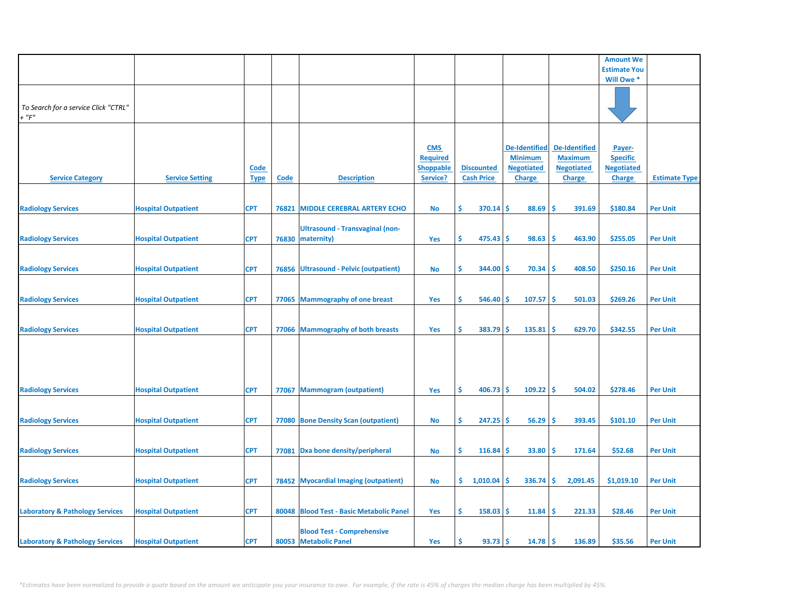|                                                     |                            |                            |             |                                                            |                                                               |                                        |                                                                              |                                                                              | <b>Amount We</b>                                                |                      |
|-----------------------------------------------------|----------------------------|----------------------------|-------------|------------------------------------------------------------|---------------------------------------------------------------|----------------------------------------|------------------------------------------------------------------------------|------------------------------------------------------------------------------|-----------------------------------------------------------------|----------------------|
|                                                     |                            |                            |             |                                                            |                                                               |                                        |                                                                              |                                                                              | <b>Estimate You</b>                                             |                      |
|                                                     |                            |                            |             |                                                            |                                                               |                                        |                                                                              |                                                                              | Will Owe *                                                      |                      |
| To Search for a service Click "CTRL"<br>$+$ " $F$ " |                            |                            |             |                                                            |                                                               |                                        |                                                                              |                                                                              |                                                                 |                      |
| <b>Service Category</b>                             | <b>Service Setting</b>     | <u>Code</u><br><b>Type</b> | <b>Code</b> | <b>Description</b>                                         | <b>CMS</b><br><b>Required</b><br><b>Shoppable</b><br>Service? | <b>Discounted</b><br><b>Cash Price</b> | <b>De-Identified</b><br><b>Minimum</b><br><b>Negotiated</b><br><b>Charge</b> | <b>De-Identified</b><br><b>Maximum</b><br><b>Negotiated</b><br><b>Charge</b> | Payer-<br><b>Specific</b><br><b>Negotiated</b><br><b>Charge</b> | <b>Estimate Type</b> |
| <b>Radiology Services</b>                           | <b>Hospital Outpatient</b> | <b>CPT</b>                 | 76821       | <b>MIDDLE CEREBRAL ARTERY ECHO</b>                         | No                                                            | Ŝ.<br>370.14                           | \$<br>88.69                                                                  | \$.<br>391.69                                                                | \$180.84                                                        | <b>Per Unit</b>      |
| <b>Radiology Services</b>                           | <b>Hospital Outpatient</b> | <b>CPT</b>                 | 76830       | <b>Ultrasound - Transvaginal (non-</b><br>maternity)       | Yes                                                           | \$<br>475.43                           | \$<br>98.63                                                                  | \$<br>463.90                                                                 | \$255.05                                                        | <b>Per Unit</b>      |
| <b>Radiology Services</b>                           | <b>Hospital Outpatient</b> | <b>CPT</b>                 |             | 76856 Ultrasound - Pelvic (outpatient)                     | <b>No</b>                                                     | \$<br>344.00                           | 70.34<br>\$.                                                                 | 408.50<br><b>S</b>                                                           | \$250.16                                                        | <b>Per Unit</b>      |
| <b>Radiology Services</b>                           | <b>Hospital Outpatient</b> | <b>CPT</b>                 |             | 77065 Mammography of one breast                            | Yes                                                           | \$<br>546.40                           | 107.57<br>\$                                                                 | \$.<br>501.03                                                                | \$269.26                                                        | <b>Per Unit</b>      |
| <b>Radiology Services</b>                           | <b>Hospital Outpatient</b> | <b>CPT</b>                 |             | 77066 Mammography of both breasts                          | Yes                                                           | \$<br>383.79                           | \$<br>135.81                                                                 | \$<br>629.70                                                                 | \$342.55                                                        | <b>Per Unit</b>      |
| <b>Radiology Services</b>                           | <b>Hospital Outpatient</b> | <b>CPT</b>                 |             | 77067 Mammogram (outpatient)                               | Yes                                                           | Ŝ.<br>406.73                           | 109.22<br>-\$                                                                | <b>S</b><br>504.02                                                           | \$278.46                                                        | <b>Per Unit</b>      |
|                                                     |                            |                            |             |                                                            |                                                               |                                        |                                                                              |                                                                              |                                                                 |                      |
| <b>Radiology Services</b>                           | <b>Hospital Outpatient</b> | <b>CPT</b>                 |             | 77080 Bone Density Scan (outpatient)                       | <b>No</b>                                                     | \$<br>247.25                           | \$<br>56.29                                                                  | \$.<br>393.45                                                                | \$101.10                                                        | <b>Per Unit</b>      |
| <b>Radiology Services</b>                           | <b>Hospital Outpatient</b> | <b>CPT</b>                 | 77081       | Dxa bone density/peripheral                                | No                                                            | \$<br>116.84                           | \$<br>33.80                                                                  | \$.<br>171.64                                                                | \$52.68                                                         | <b>Per Unit</b>      |
| <b>Radiology Services</b>                           | <b>Hospital Outpatient</b> | <b>CPT</b>                 |             | 78452 Myocardial Imaging (outpatient)                      | <b>No</b>                                                     | \$.<br>1,010.04                        | 336.74<br>\$                                                                 | \$<br>2,091.45                                                               | \$1,019.10                                                      | <b>Per Unit</b>      |
| <b>Laboratory &amp; Pathology Services</b>          | <b>Hospital Outpatient</b> | <b>CPT</b>                 |             | 80048 Blood Test - Basic Metabolic Panel                   | Yes                                                           | Ŝ.<br>158.03                           | \$.<br>11.84                                                                 | Ŝ<br>221.33                                                                  | \$28.46                                                         | <b>Per Unit</b>      |
| <b>Laboratory &amp; Pathology Services</b>          | <b>Hospital Outpatient</b> | <b>CPT</b>                 |             | <b>Blood Test - Comprehensive</b><br>80053 Metabolic Panel | Yes                                                           | Ś<br>93.73                             | \$<br>14.78                                                                  | -\$<br>136.89                                                                | \$35.56                                                         | <b>Per Unit</b>      |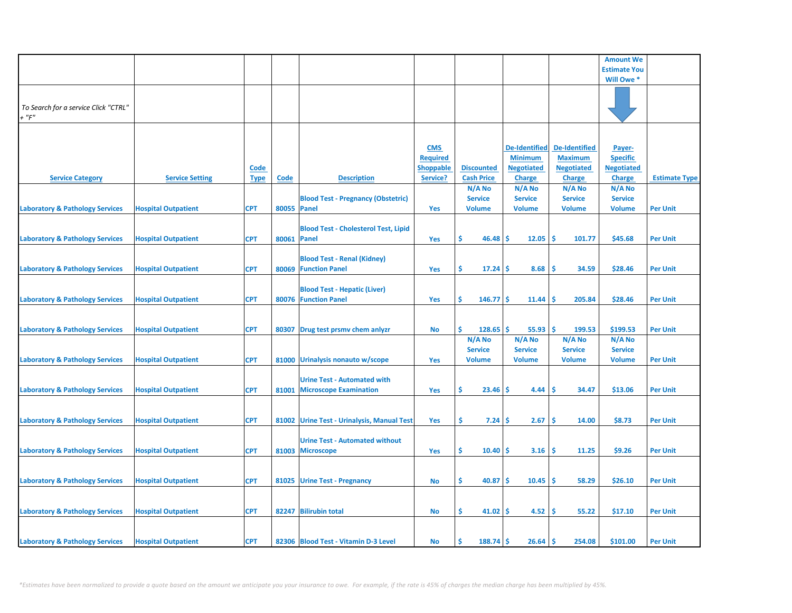|                                                     |                            |             |             |                                                                     |                                                   |                                           |                                                             |                                                             | <b>Amount We</b>                               |                      |
|-----------------------------------------------------|----------------------------|-------------|-------------|---------------------------------------------------------------------|---------------------------------------------------|-------------------------------------------|-------------------------------------------------------------|-------------------------------------------------------------|------------------------------------------------|----------------------|
|                                                     |                            |             |             |                                                                     |                                                   |                                           |                                                             |                                                             | <b>Estimate You</b>                            |                      |
|                                                     |                            |             |             |                                                                     |                                                   |                                           |                                                             |                                                             | Will Owe *                                     |                      |
| To Search for a service Click "CTRL"<br>$+$ " $F$ " |                            |             |             |                                                                     |                                                   |                                           |                                                             |                                                             |                                                |                      |
|                                                     | <b>Service Setting</b>     | <b>Code</b> |             | <b>Description</b>                                                  | <b>CMS</b><br><b>Required</b><br><b>Shoppable</b> | <b>Discounted</b><br><b>Cash Price</b>    | <b>De-Identified</b><br><b>Minimum</b><br><b>Negotiated</b> | <b>De-Identified</b><br><b>Maximum</b><br><b>Negotiated</b> | Payer-<br><b>Specific</b><br><b>Negotiated</b> | <b>Estimate Type</b> |
| <b>Service Category</b>                             |                            | <b>Type</b> | Code        |                                                                     | Service?                                          | N/A No                                    | <b>Charge</b><br>N/A No                                     | <b>Charge</b><br>N/A No                                     | <b>Charge</b><br>N/A No                        |                      |
| <b>Laboratory &amp; Pathology Services</b>          | <b>Hospital Outpatient</b> | <b>CPT</b>  | 80055 Panel | <b>Blood Test - Pregnancy (Obstetric)</b>                           | Yes                                               | <b>Service</b><br><b>Volume</b>           | <b>Service</b><br><b>Volume</b>                             | <b>Service</b><br><b>Volume</b>                             | <b>Service</b><br><b>Volume</b>                | <b>Per Unit</b>      |
| <b>Laboratory &amp; Pathology Services</b>          | <b>Hospital Outpatient</b> | <b>CPT</b>  | 80061 Panel | <b>Blood Test - Cholesterol Test, Lipid</b>                         | Yes                                               | \$<br>46.48                               | 12.05<br>Ŝ                                                  | \$.<br>101.77                                               | \$45.68                                        | <b>Per Unit</b>      |
| <b>Laboratory &amp; Pathology Services</b>          | <b>Hospital Outpatient</b> | <b>CPT</b>  |             | <b>Blood Test - Renal (Kidney)</b><br>80069 Function Panel          | Yes                                               | \$.<br>17.24                              | 8.68<br>-S                                                  | Ŝ.<br>34.59                                                 | \$28.46                                        | <b>Per Unit</b>      |
| <b>Laboratory &amp; Pathology Services</b>          | <b>Hospital Outpatient</b> | <b>CPT</b>  |             | <b>Blood Test - Hepatic (Liver)</b><br>80076 Function Panel         | Yes                                               | \$<br>146.77                              | <b>S</b><br>11.44                                           | \$,<br>205.84                                               | \$28.46                                        | <b>Per Unit</b>      |
| <b>Laboratory &amp; Pathology Services</b>          | <b>Hospital Outpatient</b> | <b>CPT</b>  | 80307       | Drug test prsmv chem anlyzr                                         | No                                                | Ŝ<br>$128.65$ \$                          | 55.93                                                       | ١\$<br>199.53                                               | \$199.53                                       | <b>Per Unit</b>      |
| <b>Laboratory &amp; Pathology Services</b>          | <b>Hospital Outpatient</b> | <b>CPT</b>  |             | 81000 Urinalysis nonauto w/scope                                    | Yes                                               | N/A No<br><b>Service</b><br><b>Volume</b> | N/A No<br><b>Service</b><br><b>Volume</b>                   | N/A No<br><b>Service</b><br><b>Volume</b>                   | N/A No<br><b>Service</b><br><b>Volume</b>      | <b>Per Unit</b>      |
| <b>Laboratory &amp; Pathology Services</b>          | <b>Hospital Outpatient</b> | <b>CPT</b>  | 81001       | <b>Urine Test - Automated with</b><br><b>Microscope Examination</b> | Yes                                               | \$.<br>23.46                              | Ŝ.<br>4.44                                                  | -Ś<br>34.47                                                 | \$13.06                                        | <b>Per Unit</b>      |
| <b>Laboratory &amp; Pathology Services</b>          | <b>Hospital Outpatient</b> | <b>CPT</b>  |             | 81002 Urine Test - Urinalysis, Manual Test                          | <b>Yes</b>                                        | \$.<br>7.24                               | 2.67<br><b>S</b>                                            | -\$<br>14.00                                                | \$8.73                                         | <b>Per Unit</b>      |
| <b>Laboratory &amp; Pathology Services</b>          | <b>Hospital Outpatient</b> | <b>CPT</b>  |             | <b>Urine Test - Automated without</b><br>81003 Microscope           | Yes                                               | \$<br>10.40                               | Ŝ.<br>3.16                                                  | -\$<br>11.25                                                | \$9.26                                         | <b>Per Unit</b>      |
|                                                     |                            |             |             |                                                                     |                                                   |                                           |                                                             |                                                             |                                                |                      |
| <b>Laboratory &amp; Pathology Services</b>          | <b>Hospital Outpatient</b> | <b>CPT</b>  |             | 81025 Urine Test - Pregnancy                                        | No                                                | \$.<br>40.87                              | 10.45<br>-S                                                 | -\$<br>58.29                                                | \$26.10                                        | <b>Per Unit</b>      |
| <b>Laboratory &amp; Pathology Services</b>          | <b>Hospital Outpatient</b> | <b>CPT</b>  |             | 82247 Bilirubin total                                               | No                                                | \$<br>41.02                               | 4.52<br>-Ś                                                  | -\$<br>55.22                                                | \$17.10                                        | <b>Per Unit</b>      |
| <b>Laboratory &amp; Pathology Services</b>          | <b>Hospital Outpatient</b> | <b>CPT</b>  |             | 82306 Blood Test - Vitamin D-3 Level                                | No                                                | Ś<br>$188.74$ \$                          | $26.64$ \$                                                  | 254.08                                                      | \$101.00                                       | <b>Per Unit</b>      |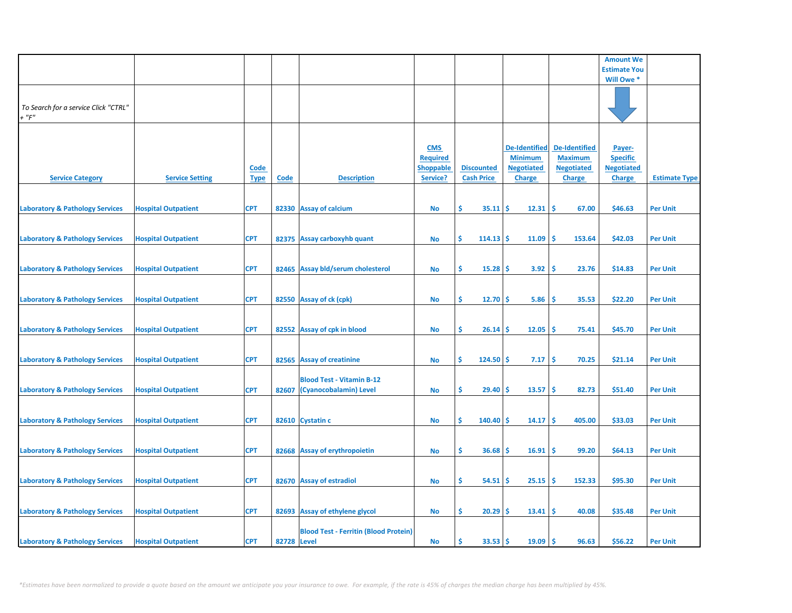|                                                     |                            |                            |                    |                                                            |                                                               |                                        |                                                                              |                                                                              | <b>Amount We</b>                                                |                      |
|-----------------------------------------------------|----------------------------|----------------------------|--------------------|------------------------------------------------------------|---------------------------------------------------------------|----------------------------------------|------------------------------------------------------------------------------|------------------------------------------------------------------------------|-----------------------------------------------------------------|----------------------|
|                                                     |                            |                            |                    |                                                            |                                                               |                                        |                                                                              |                                                                              | <b>Estimate You</b>                                             |                      |
|                                                     |                            |                            |                    |                                                            |                                                               |                                        |                                                                              |                                                                              | Will Owe *                                                      |                      |
| To Search for a service Click "CTRL"<br>$+$ " $F$ " |                            |                            |                    |                                                            |                                                               |                                        |                                                                              |                                                                              |                                                                 |                      |
| <b>Service Category</b>                             | <b>Service Setting</b>     | <b>Code</b><br><b>Type</b> | <b>Code</b>        | <b>Description</b>                                         | <b>CMS</b><br><b>Required</b><br><b>Shoppable</b><br>Service? | <b>Discounted</b><br><b>Cash Price</b> | <b>De-Identified</b><br><b>Minimum</b><br><b>Negotiated</b><br><b>Charge</b> | <b>De-Identified</b><br><b>Maximum</b><br><b>Negotiated</b><br><b>Charge</b> | Payer-<br><b>Specific</b><br><b>Negotiated</b><br><b>Charge</b> | <b>Estimate Type</b> |
| <b>Laboratory &amp; Pathology Services</b>          | <b>Hospital Outpatient</b> | <b>CPT</b>                 |                    | 82330 Assay of calcium                                     | <b>No</b>                                                     | \$<br>35.11                            | 12.31<br>-\$                                                                 | -\$<br>67.00                                                                 | \$46.63                                                         | <b>Per Unit</b>      |
| <b>Laboratory &amp; Pathology Services</b>          | <b>Hospital Outpatient</b> | <b>CPT</b>                 |                    | 82375 Assay carboxyhb quant                                | <b>No</b>                                                     | \$<br>114.13                           | 11.09<br>-S                                                                  | Ś<br>153.64                                                                  | \$42.03                                                         | <b>Per Unit</b>      |
| <b>Laboratory &amp; Pathology Services</b>          | <b>Hospital Outpatient</b> | <b>CPT</b>                 |                    | 82465 Assay bld/serum cholesterol                          | <b>No</b>                                                     | Ŝ.<br>15.28                            | 3.92<br>s                                                                    | \$.<br>23.76                                                                 | \$14.83                                                         | <b>Per Unit</b>      |
| <b>Laboratory &amp; Pathology Services</b>          | <b>Hospital Outpatient</b> | <b>CPT</b>                 |                    | 82550 Assay of ck (cpk)                                    | <b>No</b>                                                     | \$<br>12.70                            | \$<br>5.86                                                                   | <b>S</b><br>35.53                                                            | \$22.20                                                         | <b>Per Unit</b>      |
| <b>Laboratory &amp; Pathology Services</b>          | <b>Hospital Outpatient</b> | <b>CPT</b>                 |                    | 82552 Assay of cpk in blood                                | <b>No</b>                                                     | \$<br>26.14                            | 12.05<br>\$.                                                                 | -\$<br>75.41                                                                 | \$45.70                                                         | <b>Per Unit</b>      |
| <b>Laboratory &amp; Pathology Services</b>          | <b>Hospital Outpatient</b> | <b>CPT</b>                 |                    | 82565 Assay of creatinine                                  | <b>No</b>                                                     | \$<br>124.50                           | -\$<br>7.17                                                                  | -\$<br>70.25                                                                 | \$21.14                                                         | <b>Per Unit</b>      |
| <b>Laboratory &amp; Pathology Services</b>          | <b>Hospital Outpatient</b> | <b>CPT</b>                 | 82607              | <b>Blood Test - Vitamin B-12</b><br>(Cyanocobalamin) Level | <b>No</b>                                                     | Ŝ.<br>29.40                            | 13.57<br>\$.                                                                 | Ś<br>82.73                                                                   | \$51.40                                                         | <b>Per Unit</b>      |
| <b>Laboratory &amp; Pathology Services</b>          | <b>Hospital Outpatient</b> | <b>CPT</b>                 |                    | 82610 Cystatin c                                           | <b>No</b>                                                     | Ŝ.<br>140.40                           | \$.<br>14.17                                                                 | <b>S</b><br>405.00                                                           | \$33.03                                                         | <b>Per Unit</b>      |
| <b>Laboratory &amp; Pathology Services</b>          | <b>Hospital Outpatient</b> | <b>CPT</b>                 |                    | 82668 Assay of erythropoietin                              | <b>No</b>                                                     | \$<br>36.68                            | 16.91<br>\$                                                                  | \$.<br>99.20                                                                 | \$64.13                                                         | <b>Per Unit</b>      |
| <b>Laboratory &amp; Pathology Services</b>          | <b>Hospital Outpatient</b> | <b>CPT</b>                 |                    | 82670 Assay of estradiol                                   | <b>No</b>                                                     | \$<br>54.51                            | 25.15<br>\$.                                                                 | <b>S</b><br>152.33                                                           | \$95.30                                                         | <b>Per Unit</b>      |
| <b>Laboratory &amp; Pathology Services</b>          | <b>Hospital Outpatient</b> | <b>CPT</b>                 |                    | 82693 Assay of ethylene glycol                             | <b>No</b>                                                     | \$.<br>20.29                           | 13.41<br>\$                                                                  | -\$<br>40.08                                                                 | \$35.48                                                         | <b>Per Unit</b>      |
| <b>Laboratory &amp; Pathology Services</b>          | <b>Hospital Outpatient</b> | <b>CPT</b>                 | <b>82728 Level</b> | <b>Blood Test - Ferritin (Blood Protein)</b>               | <b>No</b>                                                     | Ś<br>33.53                             | 19.09<br>Ś                                                                   | Ŝ<br>96.63                                                                   | \$56.22                                                         | <b>Per Unit</b>      |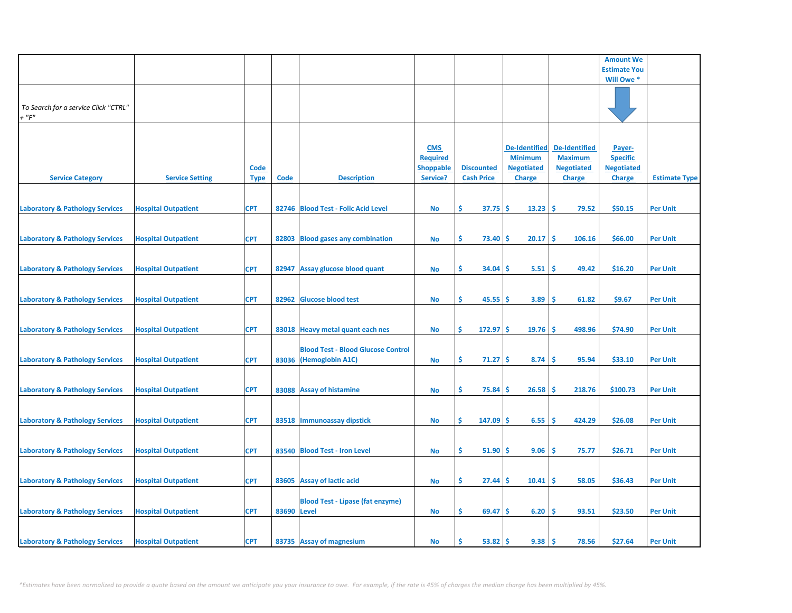|                                                     |                            |                            |             |                                                                     |                                                               |                                        |                                                                              |                                                                              | <b>Amount We</b>                                                |                      |
|-----------------------------------------------------|----------------------------|----------------------------|-------------|---------------------------------------------------------------------|---------------------------------------------------------------|----------------------------------------|------------------------------------------------------------------------------|------------------------------------------------------------------------------|-----------------------------------------------------------------|----------------------|
|                                                     |                            |                            |             |                                                                     |                                                               |                                        |                                                                              |                                                                              | <b>Estimate You</b>                                             |                      |
|                                                     |                            |                            |             |                                                                     |                                                               |                                        |                                                                              |                                                                              | Will Owe *                                                      |                      |
| To Search for a service Click "CTRL"<br>$+$ " $F$ " |                            |                            |             |                                                                     |                                                               |                                        |                                                                              |                                                                              |                                                                 |                      |
| <b>Service Category</b>                             | <b>Service Setting</b>     | <b>Code</b><br><b>Type</b> | Code        | <b>Description</b>                                                  | <b>CMS</b><br><b>Required</b><br><b>Shoppable</b><br>Service? | <b>Discounted</b><br><b>Cash Price</b> | <b>De-Identified</b><br><b>Minimum</b><br><b>Negotiated</b><br><b>Charge</b> | <b>De-Identified</b><br><b>Maximum</b><br><b>Negotiated</b><br><b>Charge</b> | Payer-<br><b>Specific</b><br><b>Negotiated</b><br><b>Charge</b> | <b>Estimate Type</b> |
| <b>Laboratory &amp; Pathology Services</b>          | <b>Hospital Outpatient</b> | <b>CPT</b>                 |             | 82746 Blood Test - Folic Acid Level                                 | <b>No</b>                                                     | \$<br>37.75                            | \$<br>13.23                                                                  | -\$<br>79.52                                                                 | \$50.15                                                         | <b>Per Unit</b>      |
| <b>Laboratory &amp; Pathology Services</b>          | <b>Hospital Outpatient</b> | <b>CPT</b>                 | 82803       | <b>Blood gases any combination</b>                                  | No                                                            | \$<br>73.40                            | \$.<br>20.17                                                                 | Ŝ<br>106.16                                                                  | \$66.00                                                         | <b>Per Unit</b>      |
| <b>Laboratory &amp; Pathology Services</b>          | <b>Hospital Outpatient</b> | <b>CPT</b>                 | 82947       | Assay glucose blood quant                                           | <b>No</b>                                                     | Ŝ.<br>34.04                            | 5.51<br>S                                                                    | \$.<br>49.42                                                                 | \$16.20                                                         | <b>Per Unit</b>      |
| <b>Laboratory &amp; Pathology Services</b>          | <b>Hospital Outpatient</b> | <b>CPT</b>                 |             | 82962 Glucose blood test                                            | <b>No</b>                                                     | \$.<br>45.55                           | \$<br>3.89                                                                   | \$.<br>61.82                                                                 | \$9.67                                                          | <b>Per Unit</b>      |
| <b>Laboratory &amp; Pathology Services</b>          | <b>Hospital Outpatient</b> | <b>CPT</b>                 |             | 83018 Heavy metal quant each nes                                    | <b>No</b>                                                     | \$<br>$172.97$ \$                      | 19.76                                                                        | -\$<br>498.96                                                                | \$74.90                                                         | <b>Per Unit</b>      |
| <b>Laboratory &amp; Pathology Services</b>          | <b>Hospital Outpatient</b> | <b>CPT</b>                 |             | <b>Blood Test - Blood Glucose Control</b><br>83036 (Hemoglobin A1C) | <b>No</b>                                                     | \$<br>71.27                            | \$<br>8.74                                                                   | -\$<br>95.94                                                                 | \$33.10                                                         | <b>Per Unit</b>      |
| <b>Laboratory &amp; Pathology Services</b>          | <b>Hospital Outpatient</b> | <b>CPT</b>                 |             | 83088 Assay of histamine                                            | <b>No</b>                                                     | Ŝ.<br>75.84                            | 26.58<br>\$.                                                                 | \$.<br>218.76                                                                | \$100.73                                                        | <b>Per Unit</b>      |
| <b>Laboratory &amp; Pathology Services</b>          | <b>Hospital Outpatient</b> | <b>CPT</b>                 |             | 83518 Immunoassay dipstick                                          | <b>No</b>                                                     | Ŝ.<br>147.09                           | \$.<br>6.55                                                                  | \$.<br>424.29                                                                | \$26.08                                                         | <b>Per Unit</b>      |
| <b>Laboratory &amp; Pathology Services</b>          | <b>Hospital Outpatient</b> | <b>CPT</b>                 |             | 83540 Blood Test - Iron Level                                       | <b>No</b>                                                     | \$<br>51.90                            | \$<br>9.06                                                                   | \$.<br>75.77                                                                 | \$26.71                                                         | <b>Per Unit</b>      |
| <b>Laboratory &amp; Pathology Services</b>          | <b>Hospital Outpatient</b> | <b>CPT</b>                 |             | 83605 Assay of lactic acid                                          | <b>No</b>                                                     | \$<br>27.44                            | 10.41<br>S                                                                   | \$.<br>58.05                                                                 | \$36.43                                                         | <b>Per Unit</b>      |
|                                                     |                            |                            |             | <b>Blood Test - Lipase (fat enzyme)</b>                             |                                                               |                                        |                                                                              |                                                                              |                                                                 |                      |
| <b>Laboratory &amp; Pathology Services</b>          | <b>Hospital Outpatient</b> | <b>CPT</b>                 | 83690 Level |                                                                     | <b>No</b>                                                     | \$.<br>69.47                           | 6.20<br>\$                                                                   | \$<br>93.51                                                                  | \$23.50                                                         | <b>Per Unit</b>      |
| <b>Laboratory &amp; Pathology Services</b>          | <b>Hospital Outpatient</b> | <b>CPT</b>                 |             | 83735 Assay of magnesium                                            | <b>No</b>                                                     | 53.82<br>Ś                             | 9.38<br>Ś                                                                    | Ŝ.<br>78.56                                                                  | \$27.64                                                         | <b>Per Unit</b>      |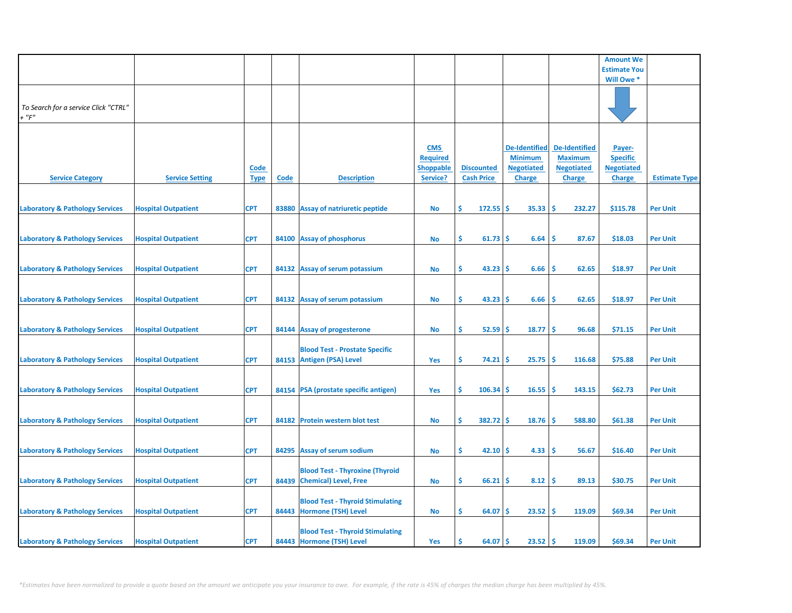|                                                     |                            |                            |      |                                                                       |                                                               |                                        |                                                                              |                                                                              | <b>Amount We</b>                                                |                      |
|-----------------------------------------------------|----------------------------|----------------------------|------|-----------------------------------------------------------------------|---------------------------------------------------------------|----------------------------------------|------------------------------------------------------------------------------|------------------------------------------------------------------------------|-----------------------------------------------------------------|----------------------|
|                                                     |                            |                            |      |                                                                       |                                                               |                                        |                                                                              |                                                                              | <b>Estimate You</b>                                             |                      |
|                                                     |                            |                            |      |                                                                       |                                                               |                                        |                                                                              |                                                                              | Will Owe *                                                      |                      |
| To Search for a service Click "CTRL"<br>$+$ " $F$ " |                            |                            |      |                                                                       |                                                               |                                        |                                                                              |                                                                              |                                                                 |                      |
| <b>Service Category</b>                             | <b>Service Setting</b>     | <b>Code</b><br><b>Type</b> | Code | <b>Description</b>                                                    | <b>CMS</b><br><b>Required</b><br><b>Shoppable</b><br>Service? | <b>Discounted</b><br><b>Cash Price</b> | <b>De-Identified</b><br><b>Minimum</b><br><b>Negotiated</b><br><b>Charge</b> | <b>De-Identified</b><br><b>Maximum</b><br><b>Negotiated</b><br><b>Charge</b> | Payer-<br><b>Specific</b><br><b>Negotiated</b><br><b>Charge</b> | <b>Estimate Type</b> |
| <b>Laboratory &amp; Pathology Services</b>          | <b>Hospital Outpatient</b> | <b>CPT</b>                 |      | 83880 Assay of natriuretic peptide                                    | No                                                            | \$<br>$172.55$ \$                      | 35.33                                                                        | -\$<br>232.27                                                                | \$115.78                                                        | <b>Per Unit</b>      |
| <b>Laboratory &amp; Pathology Services</b>          | <b>Hospital Outpatient</b> | <b>CPT</b>                 |      | 84100 Assay of phosphorus                                             | No                                                            | \$<br>61.73                            | <b>S</b><br>6.64                                                             | -\$<br>87.67                                                                 | \$18.03                                                         | <b>Per Unit</b>      |
| <b>Laboratory &amp; Pathology Services</b>          | <b>Hospital Outpatient</b> | <b>CPT</b>                 |      | 84132 Assay of serum potassium                                        | <b>No</b>                                                     | \$.<br>43.23                           | 6.66<br>-S                                                                   | Ŝ.<br>62.65                                                                  | \$18.97                                                         | <b>Per Unit</b>      |
| <b>Laboratory &amp; Pathology Services</b>          | <b>Hospital Outpatient</b> | <b>CPT</b>                 |      | 84132 Assay of serum potassium                                        | <b>No</b>                                                     | \$<br>43.23                            | <b>S</b><br>6.66                                                             | \$,<br>62.65                                                                 | \$18.97                                                         | <b>Per Unit</b>      |
| <b>Laboratory &amp; Pathology Services</b>          | <b>Hospital Outpatient</b> | <b>CPT</b>                 |      | 84144 Assay of progesterone                                           | No                                                            | \$<br>$52.59$ \$                       | 18.77                                                                        | ١\$<br>96.68                                                                 | \$71.15                                                         | <b>Per Unit</b>      |
| <b>Laboratory &amp; Pathology Services</b>          | <b>Hospital Outpatient</b> | <b>CPT</b>                 |      | <b>Blood Test - Prostate Specific</b><br>84153 Antigen (PSA) Level    | Yes                                                           | \$<br>74.21                            | 25.75<br>-\$                                                                 | -\$<br>116.68                                                                | \$75.88                                                         | <b>Per Unit</b>      |
| <b>Laboratory &amp; Pathology Services</b>          | <b>Hospital Outpatient</b> | <b>CPT</b>                 |      | 84154 PSA (prostate specific antigen)                                 | Yes                                                           | Ŝ.<br>$106.34$ \$                      | 16.55                                                                        | -Ś<br>143.15                                                                 | \$62.73                                                         | <b>Per Unit</b>      |
| <b>Laboratory &amp; Pathology Services</b>          | <b>Hospital Outpatient</b> | <b>CPT</b>                 |      | 84182 Protein western blot test                                       | No                                                            | Ŝ.<br>382.72                           | 18.76<br>-S                                                                  | \$,<br>588.80                                                                | \$61.38                                                         | <b>Per Unit</b>      |
| <b>Laboratory &amp; Pathology Services</b>          | <b>Hospital Outpatient</b> | <b>CPT</b>                 |      | 84295 Assay of serum sodium                                           | <b>No</b>                                                     | \$<br>42.10                            | 4.33<br>-Ś                                                                   | -\$<br>56.67                                                                 | \$16.40                                                         | <b>Per Unit</b>      |
| <b>Laboratory &amp; Pathology Services</b>          | <b>Hospital Outpatient</b> | <b>CPT</b>                 |      | <b>Blood Test - Thyroxine (Thyroid</b><br>84439 Chemical) Level, Free | No                                                            | \$.<br>66.21                           | 8.12<br>S                                                                    | -\$<br>89.13                                                                 | \$30.75                                                         | <b>Per Unit</b>      |
|                                                     |                            |                            |      | <b>Blood Test - Thyroid Stimulating</b>                               |                                                               |                                        |                                                                              |                                                                              |                                                                 |                      |
| <b>Laboratory &amp; Pathology Services</b>          | <b>Hospital Outpatient</b> | <b>CPT</b>                 |      | 84443 Hormone (TSH) Level<br><b>Blood Test - Thyroid Stimulating</b>  | No                                                            | \$<br>64.07                            | 23.52<br><b>S</b>                                                            | -\$<br>119.09                                                                | \$69.34                                                         | <b>Per Unit</b>      |
| <b>Laboratory &amp; Pathology Services</b>          | <b>Hospital Outpatient</b> | <b>CPT</b>                 |      | 84443 Hormone (TSH) Level                                             | Yes                                                           | 64.07<br>Ś                             | $23.52$ \$<br><b>S</b>                                                       | 119.09                                                                       | \$69.34                                                         | <b>Per Unit</b>      |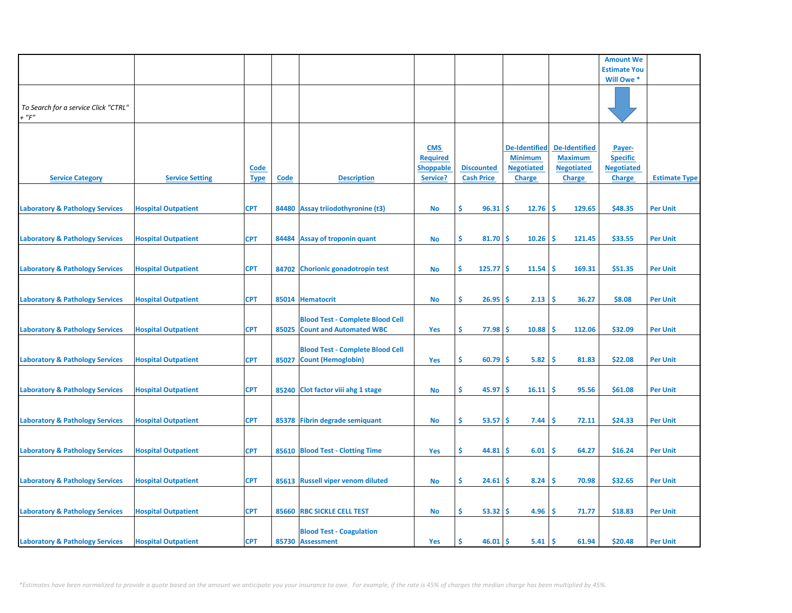|                                                     |                            |                            |             |                                                                          |                                                               |                                        |                                                                              |                                                                              | <b>Amount We</b>                                                |                      |
|-----------------------------------------------------|----------------------------|----------------------------|-------------|--------------------------------------------------------------------------|---------------------------------------------------------------|----------------------------------------|------------------------------------------------------------------------------|------------------------------------------------------------------------------|-----------------------------------------------------------------|----------------------|
|                                                     |                            |                            |             |                                                                          |                                                               |                                        |                                                                              |                                                                              | <b>Estimate You</b>                                             |                      |
|                                                     |                            |                            |             |                                                                          |                                                               |                                        |                                                                              |                                                                              | Will Owe *                                                      |                      |
| To Search for a service Click "CTRL"<br>$+$ " $F$ " |                            |                            |             |                                                                          |                                                               |                                        |                                                                              |                                                                              |                                                                 |                      |
| <b>Service Category</b>                             | <b>Service Setting</b>     | <b>Code</b><br><b>Type</b> | <b>Code</b> | <b>Description</b>                                                       | <b>CMS</b><br><b>Required</b><br><b>Shoppable</b><br>Service? | <b>Discounted</b><br><b>Cash Price</b> | <b>De-Identified</b><br><b>Minimum</b><br><b>Negotiated</b><br><b>Charge</b> | <b>De-Identified</b><br><b>Maximum</b><br><b>Negotiated</b><br><b>Charge</b> | Payer-<br><b>Specific</b><br><b>Negotiated</b><br><b>Charge</b> | <b>Estimate Type</b> |
| <b>Laboratory &amp; Pathology Services</b>          | <b>Hospital Outpatient</b> | <b>CPT</b>                 |             | 84480 Assay triiodothyronine (t3)                                        | <b>No</b>                                                     | Ŝ.<br>96.31                            | \$.<br>12.76                                                                 | <b>S</b><br>129.65                                                           | \$48.35                                                         | <b>Per Unit</b>      |
| <b>Laboratory &amp; Pathology Services</b>          | <b>Hospital Outpatient</b> | <b>CPT</b>                 | 84484       | <b>Assay of troponin quant</b>                                           | <b>No</b>                                                     | \$<br>81.70                            | \$<br>10.26                                                                  | \$<br>121.45                                                                 | \$33.55                                                         | <b>Per Unit</b>      |
| <b>Laboratory &amp; Pathology Services</b>          | <b>Hospital Outpatient</b> | <b>CPT</b>                 |             | 84702 Chorionic gonadotropin test                                        | <b>No</b>                                                     | \$<br>125.77                           | 11.54<br>\$.                                                                 | 169.31<br><b>S</b>                                                           | \$51.35                                                         | <b>Per Unit</b>      |
| <b>Laboratory &amp; Pathology Services</b>          | <b>Hospital Outpatient</b> | <b>CPT</b>                 |             | 85014 Hematocrit                                                         | <b>No</b>                                                     | \$.<br>26.95                           | 2.13<br>\$                                                                   | \$.<br>36.27                                                                 | \$8.08                                                          | <b>Per Unit</b>      |
| <b>Laboratory &amp; Pathology Services</b>          | <b>Hospital Outpatient</b> | <b>CPT</b>                 |             | <b>Blood Test - Complete Blood Cell</b><br>85025 Count and Automated WBC | Yes                                                           | \$.<br>77.98                           | 10.88<br>\$.                                                                 | <b>S</b><br>112.06                                                           | \$32.09                                                         | <b>Per Unit</b>      |
| <b>Laboratory &amp; Pathology Services</b>          | <b>Hospital Outpatient</b> | <b>CPT</b>                 | 85027       | <b>Blood Test - Complete Blood Cell</b><br><b>Count (Hemoglobin)</b>     | Yes                                                           | \$<br>60.79                            | 5.82<br>\$                                                                   | \$<br>81.83                                                                  | \$22.08                                                         | <b>Per Unit</b>      |
| <b>Laboratory &amp; Pathology Services</b>          | <b>Hospital Outpatient</b> | <b>CPT</b>                 |             | 85240 Clot factor viii ahg 1 stage                                       | <b>No</b>                                                     | Ŝ.<br>45.97                            | 16.11<br>s                                                                   | <b>S</b><br>95.56                                                            | \$61.08                                                         | <b>Per Unit</b>      |
| <b>Laboratory &amp; Pathology Services</b>          | <b>Hospital Outpatient</b> | <b>CPT</b>                 |             | 85378 Fibrin degrade semiquant                                           | <b>No</b>                                                     | \$<br>53.57                            | \$<br>7.44                                                                   | \$.<br>72.11                                                                 | \$24.33                                                         | <b>Per Unit</b>      |
| <b>Laboratory &amp; Pathology Services</b>          | <b>Hospital Outpatient</b> | <b>CPT</b>                 |             | 85610 Blood Test - Clotting Time                                         | Yes                                                           | \$<br>44.81                            | \$.<br>6.01                                                                  | \$<br>64.27                                                                  | \$16.24                                                         | <b>Per Unit</b>      |
| <b>Laboratory &amp; Pathology Services</b>          | <b>Hospital Outpatient</b> | <b>CPT</b>                 |             | 85613 Russell viper venom diluted                                        | <b>No</b>                                                     | \$<br>24.61                            | 8.24<br>\$                                                                   | \$<br>70.98                                                                  | \$32.65                                                         | <b>Per Unit</b>      |
| <b>Laboratory &amp; Pathology Services</b>          | <b>Hospital Outpatient</b> | <b>CPT</b>                 |             | 85660 RBC SICKLE CELL TEST                                               | No                                                            | Ŝ.<br>53.32                            | \$.<br>4.96                                                                  | Ŝ<br>71.77                                                                   | \$18.83                                                         | <b>Per Unit</b>      |
| <b>Laboratory &amp; Pathology Services</b>          | <b>Hospital Outpatient</b> | <b>CPT</b>                 |             | <b>Blood Test - Coagulation</b><br>85730 Assessment                      | Yes                                                           | 46.01<br>\$.                           | 5.41<br>\$.                                                                  | -\$<br>61.94                                                                 | \$20.48                                                         | <b>Per Unit</b>      |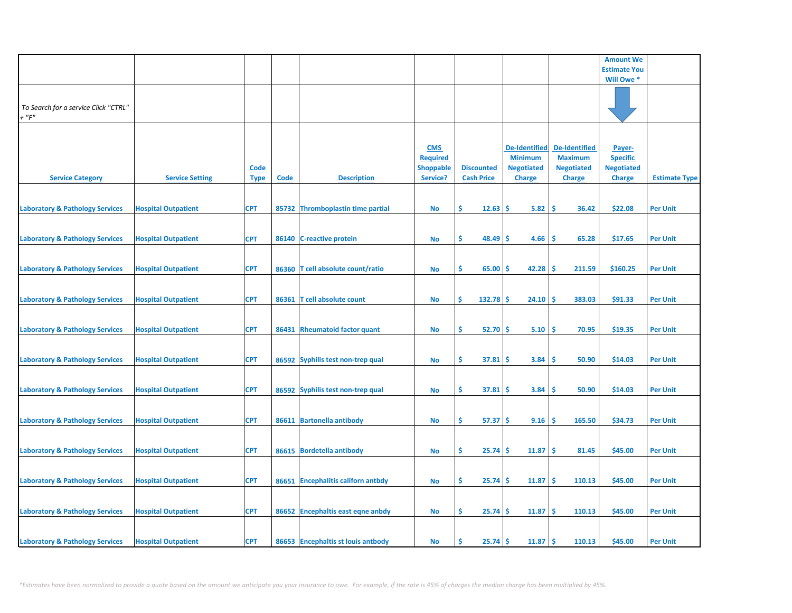|                                                     |                            |                            |             |                                    |                                                               |                                        |                                                                              |                                                                              | <b>Amount We</b>                                                |                      |
|-----------------------------------------------------|----------------------------|----------------------------|-------------|------------------------------------|---------------------------------------------------------------|----------------------------------------|------------------------------------------------------------------------------|------------------------------------------------------------------------------|-----------------------------------------------------------------|----------------------|
|                                                     |                            |                            |             |                                    |                                                               |                                        |                                                                              |                                                                              | <b>Estimate You</b>                                             |                      |
|                                                     |                            |                            |             |                                    |                                                               |                                        |                                                                              |                                                                              | Will Owe *                                                      |                      |
| To Search for a service Click "CTRL"<br>$+$ " $F$ " |                            |                            |             |                                    |                                                               |                                        |                                                                              |                                                                              |                                                                 |                      |
| <b>Service Category</b>                             | <b>Service Setting</b>     | <u>Code</u><br><b>Type</b> | <b>Code</b> | <b>Description</b>                 | <b>CMS</b><br><b>Required</b><br><b>Shoppable</b><br>Service? | <b>Discounted</b><br><b>Cash Price</b> | <b>De-Identified</b><br><b>Minimum</b><br><b>Negotiated</b><br><b>Charge</b> | <b>De-Identified</b><br><b>Maximum</b><br><b>Negotiated</b><br><b>Charge</b> | Payer-<br><b>Specific</b><br><b>Negotiated</b><br><b>Charge</b> | <b>Estimate Type</b> |
| <b>Laboratory &amp; Pathology Services</b>          | <b>Hospital Outpatient</b> | <b>CPT</b>                 |             | 85732 Thromboplastin time partial  | No                                                            | Ŝ.<br>12.63                            | \$.<br>5.82                                                                  | \$.<br>36.42                                                                 | \$22.08                                                         | <b>Per Unit</b>      |
| <b>Laboratory &amp; Pathology Services</b>          | <b>Hospital Outpatient</b> | <b>CPT</b>                 | 86140       | <b>C-reactive protein</b>          | <b>No</b>                                                     | \$<br>48.49                            | 4.66<br>\$                                                                   | \$<br>65.28                                                                  | \$17.65                                                         | <b>Per Unit</b>      |
| <b>Laboratory &amp; Pathology Services</b>          | <b>Hospital Outpatient</b> | <b>CPT</b>                 |             | 86360 T cell absolute count/ratio  | <b>No</b>                                                     | \$<br>65.00                            | 42.28<br>\$.                                                                 | 211.59<br><b>S</b>                                                           | \$160.25                                                        | <b>Per Unit</b>      |
| <b>Laboratory &amp; Pathology Services</b>          | <b>Hospital Outpatient</b> | <b>CPT</b>                 | 86361       | T cell absolute count              | No                                                            | \$<br>132.78                           | \$<br>24.10                                                                  | Ŝ<br>383.03                                                                  | \$91.33                                                         | <b>Per Unit</b>      |
| <b>Laboratory &amp; Pathology Services</b>          | <b>Hospital Outpatient</b> | <b>CPT</b>                 |             | 86431 Rheumatoid factor quant      | No                                                            | \$<br>52.70                            | -\$<br>5.10                                                                  | \$<br>70.95                                                                  | \$19.35                                                         | <b>Per Unit</b>      |
| <b>Laboratory &amp; Pathology Services</b>          | <b>Hospital Outpatient</b> | <b>CPT</b>                 |             | 86592 Syphilis test non-trep qual  | <b>No</b>                                                     | \$<br>37.81                            | \$<br>3.84                                                                   | \$<br>50.90                                                                  | \$14.03                                                         | <b>Per Unit</b>      |
| <b>Laboratory &amp; Pathology Services</b>          | <b>Hospital Outpatient</b> | <b>CPT</b>                 |             | 86592 Syphilis test non-trep qual  | No                                                            | Ŝ.<br>37.81                            | \$<br>3.84                                                                   | <b>S</b><br>50.90                                                            | \$14.03                                                         | <b>Per Unit</b>      |
| <b>Laboratory &amp; Pathology Services</b>          | <b>Hospital Outpatient</b> | <b>CPT</b>                 |             | 86611 Bartonella antibody          | <b>No</b>                                                     | \$<br>57.37                            | -\$<br>9.16                                                                  | \$<br>165.50                                                                 | \$34.73                                                         | <b>Per Unit</b>      |
| <b>Laboratory &amp; Pathology Services</b>          | <b>Hospital Outpatient</b> | <b>CPT</b>                 | 86615       | <b>Bordetella antibody</b>         | No                                                            | \$<br>25.74                            | \$<br>11.87                                                                  | -\$<br>81.45                                                                 | \$45.00                                                         | <b>Per Unit</b>      |
| <b>Laboratory &amp; Pathology Services</b>          | <b>Hospital Outpatient</b> | <b>CPT</b>                 |             | 86651 Encephalitis californ antbdy | <b>No</b>                                                     | \$<br>25.74                            | 11.87<br>\$                                                                  | \$<br>110.13                                                                 | \$45.00                                                         | <b>Per Unit</b>      |
| <b>Laboratory &amp; Pathology Services</b>          | <b>Hospital Outpatient</b> | <b>CPT</b>                 |             | 86652 Encephaltis east eqne anbdy  | No                                                            | Ŝ.<br>25.74                            | \$<br>11.87                                                                  | \$.<br>110.13                                                                | \$45.00                                                         | <b>Per Unit</b>      |
| <b>Laboratory &amp; Pathology Services</b>          | <b>Hospital Outpatient</b> | <b>CPT</b>                 |             | 86653 Encephaltis st louis antbody | No                                                            | Ś<br>25.74                             | 11.87<br>\$                                                                  | -\$<br>110.13                                                                | \$45.00                                                         | <b>Per Unit</b>      |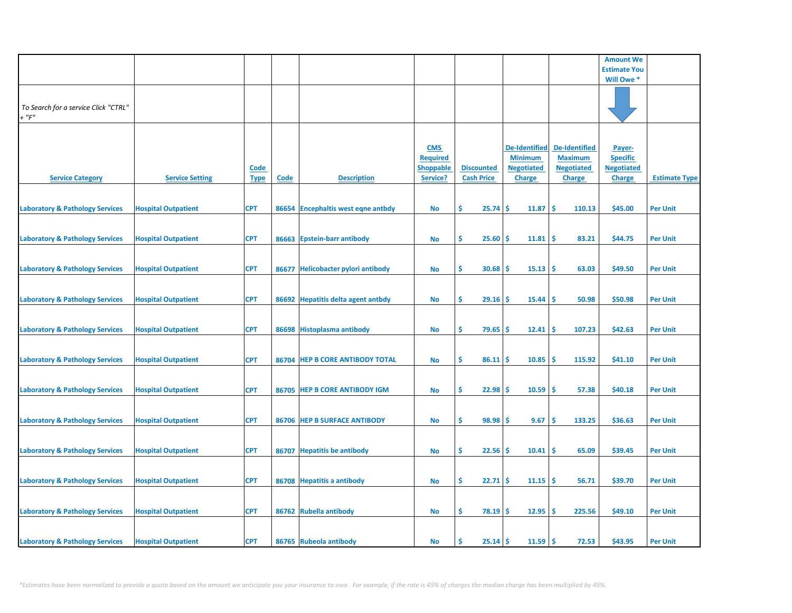|                                            |                            |             |       |                                     |                  |                   |                      |                      | <b>Amount We</b>    |                      |
|--------------------------------------------|----------------------------|-------------|-------|-------------------------------------|------------------|-------------------|----------------------|----------------------|---------------------|----------------------|
|                                            |                            |             |       |                                     |                  |                   |                      |                      | <b>Estimate You</b> |                      |
|                                            |                            |             |       |                                     |                  |                   |                      |                      | Will Owe *          |                      |
|                                            |                            |             |       |                                     |                  |                   |                      |                      |                     |                      |
|                                            |                            |             |       |                                     |                  |                   |                      |                      |                     |                      |
| To Search for a service Click "CTRL"       |                            |             |       |                                     |                  |                   |                      |                      |                     |                      |
| $+$ " $F$ "                                |                            |             |       |                                     |                  |                   |                      |                      |                     |                      |
|                                            |                            |             |       |                                     |                  |                   |                      |                      |                     |                      |
|                                            |                            |             |       |                                     |                  |                   |                      |                      |                     |                      |
|                                            |                            |             |       |                                     |                  |                   |                      |                      |                     |                      |
|                                            |                            |             |       |                                     | <b>CMS</b>       |                   | <b>De-Identified</b> | <b>De-Identified</b> | Payer-              |                      |
|                                            |                            |             |       |                                     | <b>Required</b>  |                   | <b>Minimum</b>       | <b>Maximum</b>       | <b>Specific</b>     |                      |
|                                            |                            | <u>Code</u> |       |                                     | <b>Shoppable</b> | <b>Discounted</b> | <b>Negotiated</b>    | <b>Negotiated</b>    | <b>Negotiated</b>   |                      |
| <b>Service Category</b>                    | <b>Service Setting</b>     | <b>Type</b> | Code  | <b>Description</b>                  | Service?         | <b>Cash Price</b> | <b>Charge</b>        | <b>Charge</b>        | <b>Charge</b>       | <b>Estimate Type</b> |
|                                            |                            |             |       |                                     |                  |                   |                      |                      |                     |                      |
|                                            |                            |             |       |                                     |                  |                   |                      |                      |                     |                      |
| <b>Laboratory &amp; Pathology Services</b> | <b>Hospital Outpatient</b> | <b>CPT</b>  |       | 86654 Encephaltis west eqne antbdy  | <b>No</b>        | \$<br>25.74       | \$.<br>11.87         | <b>S</b><br>110.13   | \$45.00             | <b>Per Unit</b>      |
|                                            |                            |             |       |                                     |                  |                   |                      |                      |                     |                      |
|                                            |                            |             |       |                                     |                  |                   |                      |                      |                     |                      |
| <b>Laboratory &amp; Pathology Services</b> | <b>Hospital Outpatient</b> | <b>CPT</b>  | 86663 | <b>Epstein-barr antibody</b>        | <b>No</b>        | \$<br>25.60       | Ś<br>11.81           | Ś<br>83.21           | \$44.75             | <b>Per Unit</b>      |
|                                            |                            |             |       |                                     |                  |                   |                      |                      |                     |                      |
|                                            |                            |             |       |                                     |                  |                   |                      |                      |                     |                      |
| <b>Laboratory &amp; Pathology Services</b> | <b>Hospital Outpatient</b> | <b>CPT</b>  | 86677 | <b>Helicobacter pylori antibody</b> | <b>No</b>        | Ŝ.<br>30.68       | 15.13<br>S           | Ŝ.<br>63.03          | \$49.50             | <b>Per Unit</b>      |
|                                            |                            |             |       |                                     |                  |                   |                      |                      |                     |                      |
|                                            |                            |             |       |                                     |                  |                   |                      |                      |                     |                      |
|                                            |                            |             |       |                                     |                  |                   |                      |                      |                     |                      |
| <b>Laboratory &amp; Pathology Services</b> | <b>Hospital Outpatient</b> | <b>CPT</b>  |       | 86692 Hepatitis delta agent antbdy  | <b>No</b>        | \$<br>29.16       | \$<br>15.44          | \$.<br>50.98         | \$50.98             | <b>Per Unit</b>      |
|                                            |                            |             |       |                                     |                  |                   |                      |                      |                     |                      |
|                                            |                            |             |       |                                     |                  |                   |                      |                      |                     |                      |
| <b>Laboratory &amp; Pathology Services</b> | <b>Hospital Outpatient</b> | <b>CPT</b>  |       | 86698 Histoplasma antibody          | <b>No</b>        | \$<br>79.65       | \$.<br>12.41         | 107.23<br>-\$        | \$42.63             | <b>Per Unit</b>      |
|                                            |                            |             |       |                                     |                  |                   |                      |                      |                     |                      |
|                                            |                            |             |       |                                     |                  |                   |                      |                      |                     |                      |
| <b>Laboratory &amp; Pathology Services</b> | <b>Hospital Outpatient</b> | <b>CPT</b>  |       | 86704 HEP B CORE ANTIBODY TOTAL     | <b>No</b>        | \$<br>86.11       | Ś<br>10.85           | <b>S</b><br>115.92   | \$41.10             | <b>Per Unit</b>      |
|                                            |                            |             |       |                                     |                  |                   |                      |                      |                     |                      |
|                                            |                            |             |       |                                     |                  |                   |                      |                      |                     |                      |
| <b>Laboratory &amp; Pathology Services</b> | <b>Hospital Outpatient</b> | <b>CPT</b>  |       | 86705 HEP B CORE ANTIBODY IGM       | <b>No</b>        | Ŝ.<br>22.98       | \$.<br>10.59         | \$.<br>57.38         | \$40.18             | <b>Per Unit</b>      |
|                                            |                            |             |       |                                     |                  |                   |                      |                      |                     |                      |
|                                            |                            |             |       |                                     |                  |                   |                      |                      |                     |                      |
| <b>Laboratory &amp; Pathology Services</b> | <b>Hospital Outpatient</b> | <b>CPT</b>  |       | 86706 HEP B SURFACE ANTIBODY        | <b>No</b>        | \$<br>98.98       | 9.67<br>\$.          | \$<br>133.25         | \$36.63             | <b>Per Unit</b>      |
|                                            |                            |             |       |                                     |                  |                   |                      |                      |                     |                      |
|                                            |                            |             |       |                                     |                  |                   |                      |                      |                     |                      |
| <b>Laboratory &amp; Pathology Services</b> | <b>Hospital Outpatient</b> | <b>CPT</b>  | 86707 | <b>Hepatitis be antibody</b>        | <b>No</b>        | \$.<br>22.56      | 10.41<br>\$.         | \$.<br>65.09         | \$39.45             | <b>Per Unit</b>      |
|                                            |                            |             |       |                                     |                  |                   |                      |                      |                     |                      |
|                                            |                            |             |       |                                     |                  |                   |                      |                      |                     |                      |
|                                            |                            |             |       |                                     |                  |                   |                      |                      |                     |                      |
| <b>Laboratory &amp; Pathology Services</b> | <b>Hospital Outpatient</b> | <b>CPT</b>  |       | 86708 Hepatitis a antibody          | <b>No</b>        | \$<br>22.71       | \$<br>11.15          | \$<br>56.71          | \$39.70             | <b>Per Unit</b>      |
|                                            |                            |             |       |                                     |                  |                   |                      |                      |                     |                      |
|                                            |                            |             |       |                                     |                  |                   |                      |                      |                     |                      |
| <b>Laboratory &amp; Pathology Services</b> | <b>Hospital Outpatient</b> | <b>CPT</b>  |       | 86762 Rubella antibody              | <b>No</b>        | \$.<br>78.19      | \$.<br>12.95         | <b>S</b><br>225.56   | \$49.10             | <b>Per Unit</b>      |
|                                            |                            |             |       |                                     |                  |                   |                      |                      |                     |                      |
|                                            |                            |             |       |                                     |                  |                   |                      |                      |                     |                      |
| <b>Laboratory &amp; Pathology Services</b> | <b>Hospital Outpatient</b> | <b>CPT</b>  |       | 86765 Rubeola antibody              | <b>No</b>        | Ŝ.<br>$25.14$ \$  | $11.59$ \$           | 72.53                | \$43.95             | <b>Per Unit</b>      |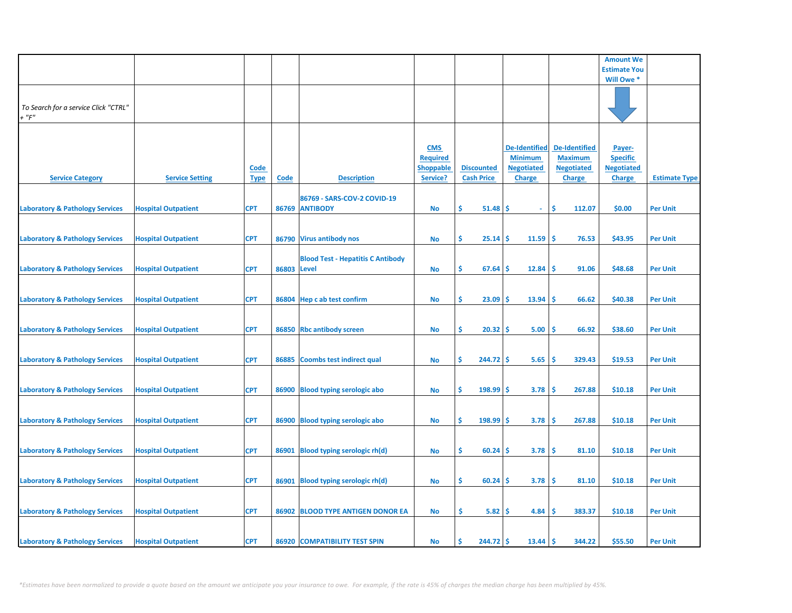|                                                     |                            |                            |             |                                               |                                                               |                                        |                                                                              |                                                                              | <b>Amount We</b>                                                |                      |
|-----------------------------------------------------|----------------------------|----------------------------|-------------|-----------------------------------------------|---------------------------------------------------------------|----------------------------------------|------------------------------------------------------------------------------|------------------------------------------------------------------------------|-----------------------------------------------------------------|----------------------|
|                                                     |                            |                            |             |                                               |                                                               |                                        |                                                                              |                                                                              | <b>Estimate You</b>                                             |                      |
|                                                     |                            |                            |             |                                               |                                                               |                                        |                                                                              |                                                                              | Will Owe *                                                      |                      |
| To Search for a service Click "CTRL"<br>$+$ " $F$ " |                            |                            |             |                                               |                                                               |                                        |                                                                              |                                                                              |                                                                 |                      |
| <b>Service Category</b>                             | <b>Service Setting</b>     | <u>Code</u><br><b>Type</b> | <b>Code</b> | <b>Description</b>                            | <b>CMS</b><br><b>Required</b><br><b>Shoppable</b><br>Service? | <b>Discounted</b><br><b>Cash Price</b> | <b>De-Identified</b><br><b>Minimum</b><br><b>Negotiated</b><br><b>Charge</b> | <b>De-Identified</b><br><b>Maximum</b><br><b>Negotiated</b><br><b>Charge</b> | Payer-<br><b>Specific</b><br><b>Negotiated</b><br><b>Charge</b> | <b>Estimate Type</b> |
| <b>Laboratory &amp; Pathology Services</b>          | <b>Hospital Outpatient</b> | <b>CPT</b>                 |             | 86769 - SARS-COV-2 COVID-19<br>86769 ANTIBODY | <b>No</b>                                                     | \$<br>51.48                            | \$.<br>$\omega$                                                              | \$.<br>112.07                                                                | \$0.00                                                          | <b>Per Unit</b>      |
| <b>Laboratory &amp; Pathology Services</b>          | <b>Hospital Outpatient</b> | <b>CPT</b>                 |             | 86790 Virus antibody nos                      | <b>No</b>                                                     | \$.<br>25.14                           | 11.59<br>\$.                                                                 | <b>S</b><br>76.53                                                            | \$43.95                                                         | <b>Per Unit</b>      |
| <b>Laboratory &amp; Pathology Services</b>          | <b>Hospital Outpatient</b> | <b>CPT</b>                 | 86803 Level | <b>Blood Test - Hepatitis C Antibody</b>      | <b>No</b>                                                     | \$<br>67.64                            | 12.84<br>S                                                                   | \$.<br>91.06                                                                 | \$48.68                                                         | <b>Per Unit</b>      |
| <b>Laboratory &amp; Pathology Services</b>          | <b>Hospital Outpatient</b> | <b>CPT</b>                 |             | 86804 Hep c ab test confirm                   | <b>No</b>                                                     | \$.<br>23.09                           | 13.94<br>S                                                                   | Ŝ<br>66.62                                                                   | \$40.38                                                         | <b>Per Unit</b>      |
| <b>Laboratory &amp; Pathology Services</b>          | <b>Hospital Outpatient</b> | <b>CPT</b>                 |             | 86850 Rbc antibody screen                     | <b>No</b>                                                     | \$<br>20.32                            | 5.00<br>-\$                                                                  | -\$<br>66.92                                                                 | \$38.60                                                         | <b>Per Unit</b>      |
| <b>Laboratory &amp; Pathology Services</b>          | <b>Hospital Outpatient</b> | <b>CPT</b>                 | 86885       | Coombs test indirect qual                     | <b>No</b>                                                     | \$<br>244.72                           | -S<br>5.65                                                                   | \$.<br>329.43                                                                | \$19.53                                                         | <b>Per Unit</b>      |
| <b>Laboratory &amp; Pathology Services</b>          | <b>Hospital Outpatient</b> | <b>CPT</b>                 | 86900       | <b>Blood typing serologic abo</b>             | <b>No</b>                                                     | \$<br>198.99                           | 3.78<br>\$                                                                   | \$<br>267.88                                                                 | \$10.18                                                         | <b>Per Unit</b>      |
| <b>Laboratory &amp; Pathology Services</b>          | <b>Hospital Outpatient</b> | <b>CPT</b>                 |             | 86900 Blood typing serologic abo              | <b>No</b>                                                     | \$<br>198.99                           | 3.78<br>s                                                                    | \$<br>267.88                                                                 | \$10.18                                                         | <b>Per Unit</b>      |
| <b>Laboratory &amp; Pathology Services</b>          | <b>Hospital Outpatient</b> | <b>CPT</b>                 | 86901       | Blood typing serologic rh(d)                  | <b>No</b>                                                     | \$<br>60.24                            | 3.78<br>\$.                                                                  | \$.<br>81.10                                                                 | \$10.18                                                         | <b>Per Unit</b>      |
| <b>Laboratory &amp; Pathology Services</b>          | <b>Hospital Outpatient</b> | <b>CPT</b>                 |             | 86901 Blood typing serologic rh(d)            | No                                                            | \$<br>60.24                            | 3.78<br>s                                                                    | \$.<br>81.10                                                                 | \$10.18                                                         | <b>Per Unit</b>      |
| <b>Laboratory &amp; Pathology Services</b>          | <b>Hospital Outpatient</b> | <b>CPT</b>                 |             | 86902 BLOOD TYPE ANTIGEN DONOR EA             | <b>No</b>                                                     | \$.<br>5.82                            | \$.<br>4.84                                                                  | <b>S</b><br>383.37                                                           | \$10.18                                                         | <b>Per Unit</b>      |
| <b>Laboratory &amp; Pathology Services</b>          | <b>Hospital Outpatient</b> | <b>CPT</b>                 |             | 86920 COMPATIBILITY TEST SPIN                 | <b>No</b>                                                     | $244.72$ \$<br>Ŝ.                      | 13.44                                                                        | \$ ا<br>344.22                                                               | \$55.50                                                         | <b>Per Unit</b>      |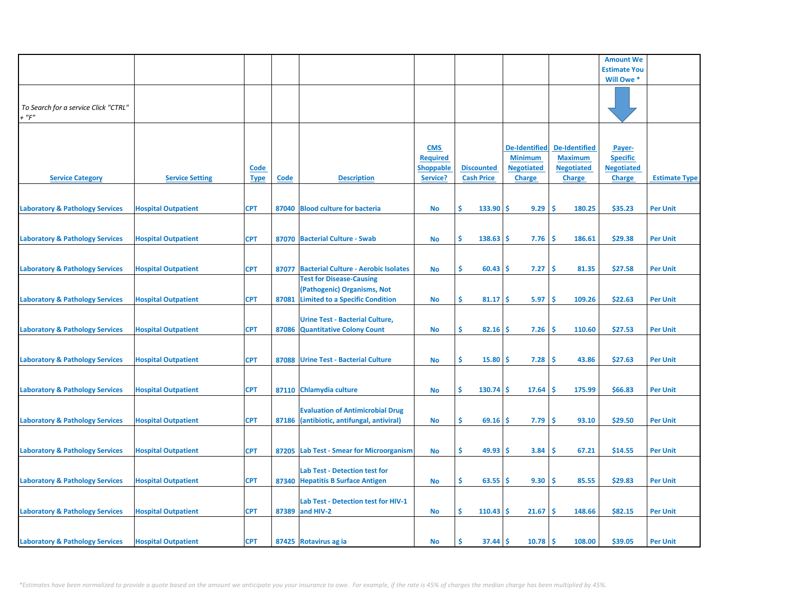|                                                     |                            |                            |       |                                                                                                          |                                                               |                                        |                                                                              |                                                                              | <b>Amount We</b>                                                |                      |
|-----------------------------------------------------|----------------------------|----------------------------|-------|----------------------------------------------------------------------------------------------------------|---------------------------------------------------------------|----------------------------------------|------------------------------------------------------------------------------|------------------------------------------------------------------------------|-----------------------------------------------------------------|----------------------|
|                                                     |                            |                            |       |                                                                                                          |                                                               |                                        |                                                                              |                                                                              | <b>Estimate You</b>                                             |                      |
|                                                     |                            |                            |       |                                                                                                          |                                                               |                                        |                                                                              |                                                                              | Will Owe *                                                      |                      |
| To Search for a service Click "CTRL"<br>$+$ " $F$ " |                            |                            |       |                                                                                                          |                                                               |                                        |                                                                              |                                                                              |                                                                 |                      |
| <b>Service Category</b>                             | <b>Service Setting</b>     | <b>Code</b><br><b>Type</b> | Code  | <b>Description</b>                                                                                       | <b>CMS</b><br><b>Required</b><br><b>Shoppable</b><br>Service? | <b>Discounted</b><br><b>Cash Price</b> | <b>De-Identified</b><br><b>Minimum</b><br><b>Negotiated</b><br><b>Charge</b> | <b>De-Identified</b><br><b>Maximum</b><br><b>Negotiated</b><br><b>Charge</b> | Payer-<br><b>Specific</b><br><b>Negotiated</b><br><b>Charge</b> | <b>Estimate Type</b> |
| <b>Laboratory &amp; Pathology Services</b>          | <b>Hospital Outpatient</b> | <b>CPT</b>                 |       | 87040 Blood culture for bacteria                                                                         | No                                                            | \$<br>133.90                           | <b>S</b><br>9.29                                                             | -\$<br>180.25                                                                | \$35.23                                                         | <b>Per Unit</b>      |
| <b>Laboratory &amp; Pathology Services</b>          | <b>Hospital Outpatient</b> | <b>CPT</b>                 |       | 87070 Bacterial Culture - Swab                                                                           | No                                                            | \$<br>138.63                           | Ŝ<br>7.76                                                                    | \$.<br>186.61                                                                | \$29.38                                                         | <b>Per Unit</b>      |
| <b>Laboratory &amp; Pathology Services</b>          | <b>Hospital Outpatient</b> | <b>CPT</b>                 | 87077 | <b>Bacterial Culture - Aerobic Isolates</b>                                                              | <b>No</b>                                                     | Ŝ.<br>60.43                            | 7.27<br>-S                                                                   | Ŝ.<br>81.35                                                                  | \$27.58                                                         | <b>Per Unit</b>      |
| <b>Laboratory &amp; Pathology Services</b>          | <b>Hospital Outpatient</b> | <b>CPT</b>                 | 87081 | <b>Test for Disease-Causing</b><br>(Pathogenic) Organisms, Not<br><b>Limited to a Specific Condition</b> | <b>No</b>                                                     | \$<br>81.17                            | 5.97<br><b>S</b>                                                             | \$,<br>109.26                                                                | \$22.63                                                         | <b>Per Unit</b>      |
| <b>Laboratory &amp; Pathology Services</b>          | <b>Hospital Outpatient</b> | <b>CPT</b>                 |       | <b>Urine Test - Bacterial Culture,</b><br>87086 Quantitative Colony Count                                | No                                                            | \$<br>$82.16$ \$                       | 7.26                                                                         | -\$<br>110.60                                                                | \$27.53                                                         | <b>Per Unit</b>      |
| <b>Laboratory &amp; Pathology Services</b>          | <b>Hospital Outpatient</b> | <b>CPT</b>                 | 87088 | <b>Urine Test - Bacterial Culture</b>                                                                    | <b>No</b>                                                     | \$<br>15.80                            | 7.28<br>-Ś                                                                   | -\$<br>43.86                                                                 | \$27.63                                                         | <b>Per Unit</b>      |
| <b>Laboratory &amp; Pathology Services</b>          | <b>Hospital Outpatient</b> | <b>CPT</b>                 |       | 87110 Chlamydia culture                                                                                  | No                                                            | Ŝ<br>130.74                            | 17.64<br>-S                                                                  | Ŝ<br>175.99                                                                  | \$66.83                                                         | <b>Per Unit</b>      |
| <b>Laboratory &amp; Pathology Services</b>          | <b>Hospital Outpatient</b> | <b>CPT</b>                 |       | <b>Evaluation of Antimicrobial Drug</b><br>87186 (antibiotic, antifungal, antiviral)                     | No                                                            | \$.<br>69.16                           | 7.79<br><b>S</b>                                                             | Ŝ.<br>93.10                                                                  | \$29.50                                                         | <b>Per Unit</b>      |
| <b>Laboratory &amp; Pathology Services</b>          | <b>Hospital Outpatient</b> | <b>CPT</b>                 |       | 87205 Lab Test - Smear for Microorganism                                                                 | <b>No</b>                                                     | \$<br>49.93                            | Ŝ.<br>3.84                                                                   | -\$<br>67.21                                                                 | \$14.55                                                         | <b>Per Unit</b>      |
| <b>Laboratory &amp; Pathology Services</b>          | <b>Hospital Outpatient</b> | <b>CPT</b>                 |       | <b>Lab Test - Detection test for</b><br>87340 Hepatitis B Surface Antigen                                | No                                                            | \$.<br>63.55                           | 9.30<br>-S                                                                   | -\$<br>85.55                                                                 | \$29.83                                                         | <b>Per Unit</b>      |
| <b>Laboratory &amp; Pathology Services</b>          | <b>Hospital Outpatient</b> | <b>CPT</b>                 |       | Lab Test - Detection test for HIV-1<br>87389 and HIV-2                                                   | No                                                            | \$<br>$110.43$ \$                      | 21.67                                                                        | -\$<br>148.66                                                                | \$82.15                                                         | <b>Per Unit</b>      |
| <b>Laboratory &amp; Pathology Services</b>          | <b>Hospital Outpatient</b> | <b>CPT</b>                 |       | 87425 Rotavirus ag ia                                                                                    | No                                                            | Ś<br>$37.44$ \$                        | 10.78                                                                        | ۱Ś<br>108.00                                                                 | \$39.05                                                         | <b>Per Unit</b>      |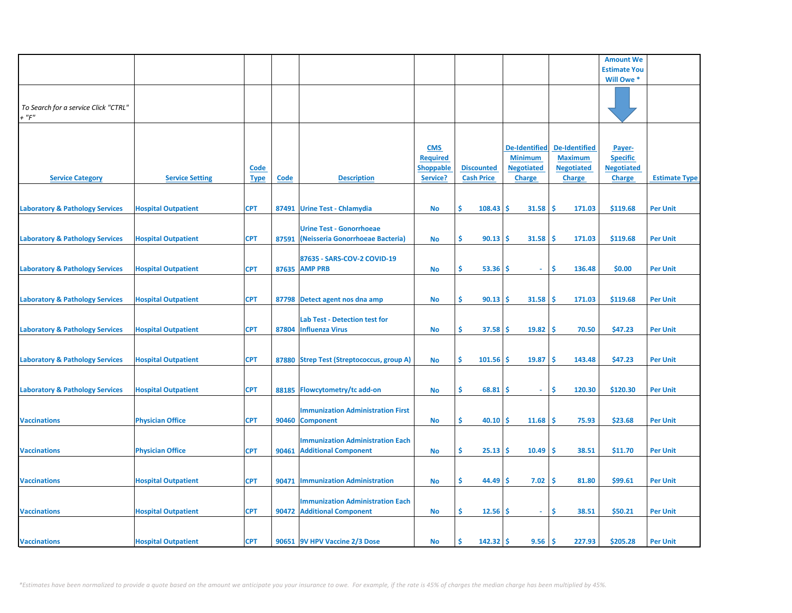|                                                     |                            |                            |             |                                                                        |                                                               |                                        |                                                                              |                                                                              | <b>Amount We</b>                                                |                      |
|-----------------------------------------------------|----------------------------|----------------------------|-------------|------------------------------------------------------------------------|---------------------------------------------------------------|----------------------------------------|------------------------------------------------------------------------------|------------------------------------------------------------------------------|-----------------------------------------------------------------|----------------------|
|                                                     |                            |                            |             |                                                                        |                                                               |                                        |                                                                              |                                                                              | <b>Estimate You</b>                                             |                      |
|                                                     |                            |                            |             |                                                                        |                                                               |                                        |                                                                              |                                                                              | Will Owe *                                                      |                      |
| To Search for a service Click "CTRL"<br>$+$ " $F$ " |                            |                            |             |                                                                        |                                                               |                                        |                                                                              |                                                                              |                                                                 |                      |
| <b>Service Category</b>                             | <b>Service Setting</b>     | <b>Code</b><br><b>Type</b> | <b>Code</b> | <b>Description</b>                                                     | <b>CMS</b><br><b>Required</b><br><b>Shoppable</b><br>Service? | <b>Discounted</b><br><b>Cash Price</b> | <b>De-Identified</b><br><b>Minimum</b><br><b>Negotiated</b><br><b>Charge</b> | <b>De-Identified</b><br><b>Maximum</b><br><b>Negotiated</b><br><b>Charge</b> | Payer-<br><b>Specific</b><br><b>Negotiated</b><br><b>Charge</b> | <b>Estimate Type</b> |
| <b>Laboratory &amp; Pathology Services</b>          | <b>Hospital Outpatient</b> | <b>CPT</b>                 |             | 87491 Urine Test - Chlamydia                                           | <b>No</b>                                                     | Ŝ.<br>108.43                           | \$<br>31.58                                                                  | <b>S</b><br>171.03                                                           | \$119.68                                                        | <b>Per Unit</b>      |
| <b>Laboratory &amp; Pathology Services</b>          | <b>Hospital Outpatient</b> | <b>CPT</b>                 | 87591       | <b>Urine Test - Gonorrhoeae</b><br>(Neisseria Gonorrhoeae Bacteria)    | No                                                            | Ŝ.<br>90.13                            | 31.58<br>\$.                                                                 | Ś<br>171.03                                                                  | \$119.68                                                        | <b>Per Unit</b>      |
| <b>Laboratory &amp; Pathology Services</b>          | <b>Hospital Outpatient</b> | <b>CPT</b>                 |             | 87635 - SARS-COV-2 COVID-19<br>87635 AMP PRB                           | <b>No</b>                                                     | Ŝ.<br>53.36                            | \$.<br>$\sim$                                                                | \$.<br>136.48                                                                | \$0.00                                                          | <b>Per Unit</b>      |
| <b>Laboratory &amp; Pathology Services</b>          | <b>Hospital Outpatient</b> | <b>CPT</b>                 |             | 87798 Detect agent nos dna amp                                         | <b>No</b>                                                     | Ŝ.<br>90.13                            | \$.<br>31.58                                                                 | Ŝ<br>171.03                                                                  | \$119.68                                                        | <b>Per Unit</b>      |
| <b>Laboratory &amp; Pathology Services</b>          | <b>Hospital Outpatient</b> | <b>CPT</b>                 |             | Lab Test - Detection test for<br>87804 Influenza Virus                 | No                                                            | \$<br>37.58                            | \$.<br>19.82                                                                 | -\$<br>70.50                                                                 | \$47.23                                                         | <b>Per Unit</b>      |
| <b>Laboratory &amp; Pathology Services</b>          | <b>Hospital Outpatient</b> | <b>CPT</b>                 |             | 87880 Strep Test (Streptococcus, group A)                              | No                                                            | \$<br>101.56                           | \$<br>19.87                                                                  | \$<br>143.48                                                                 | \$47.23                                                         | <b>Per Unit</b>      |
| <b>Laboratory &amp; Pathology Services</b>          | <b>Hospital Outpatient</b> | <b>CPT</b>                 | 88185       | Flowcytometry/tc add-on                                                | No                                                            | Ŝ.<br>68.81                            | s<br>$\sim$                                                                  | Ŝ.<br>120.30                                                                 | \$120.30                                                        | <b>Per Unit</b>      |
| <b>Vaccinations</b>                                 | <b>Physician Office</b>    | <b>CPT</b>                 |             | <b>Immunization Administration First</b><br>90460 Component            | No                                                            | \$<br>40.10                            | 11.68<br>Ŝ.                                                                  | \$.<br>75.93                                                                 | \$23.68                                                         | <b>Per Unit</b>      |
| <b>Vaccinations</b>                                 | <b>Physician Office</b>    | <b>CPT</b>                 | 90461       | <b>Immunization Administration Each</b><br><b>Additional Component</b> | No                                                            | \$<br>25.13                            | \$<br>10.49                                                                  | Ś<br>38.51                                                                   | \$11.70                                                         | <b>Per Unit</b>      |
| <b>Vaccinations</b>                                 | <b>Hospital Outpatient</b> | <b>CPT</b>                 | 90471       | <b>Immunization Administration</b>                                     | No                                                            | \$<br>44.49                            | 7.02<br>S                                                                    | \$.<br>81.80                                                                 | \$99.61                                                         | <b>Per Unit</b>      |
| <b>Vaccinations</b>                                 | <b>Hospital Outpatient</b> | <b>CPT</b>                 |             | <b>Immunization Administration Each</b><br>90472 Additional Component  | No                                                            | \$<br>12.56                            | \$<br>$\sim$                                                                 | \$<br>38.51                                                                  | \$50.21                                                         | <b>Per Unit</b>      |
| <b>Vaccinations</b>                                 | <b>Hospital Outpatient</b> | <b>CPT</b>                 |             | 90651 9V HPV Vaccine 2/3 Dose                                          | <b>No</b>                                                     | Ś<br>142.32                            | 9.56<br>\$                                                                   | Ŝ.<br>227.93                                                                 | \$205.28                                                        | <b>Per Unit</b>      |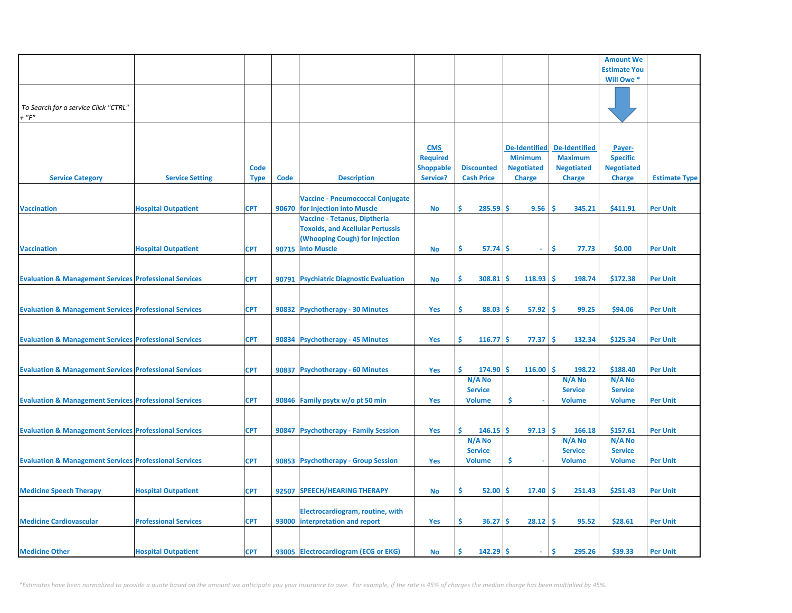|                                                                   |                              |             |             |                                         |                  |                             |                      |                      | <b>Amount We</b>         |                      |
|-------------------------------------------------------------------|------------------------------|-------------|-------------|-----------------------------------------|------------------|-----------------------------|----------------------|----------------------|--------------------------|----------------------|
|                                                                   |                              |             |             |                                         |                  |                             |                      |                      | <b>Estimate You</b>      |                      |
|                                                                   |                              |             |             |                                         |                  |                             |                      |                      | Will Owe *               |                      |
|                                                                   |                              |             |             |                                         |                  |                             |                      |                      |                          |                      |
| To Search for a service Click "CTRL"                              |                              |             |             |                                         |                  |                             |                      |                      |                          |                      |
| $+$ " $F$ "                                                       |                              |             |             |                                         |                  |                             |                      |                      |                          |                      |
|                                                                   |                              |             |             |                                         |                  |                             |                      |                      |                          |                      |
|                                                                   |                              |             |             |                                         |                  |                             |                      |                      |                          |                      |
|                                                                   |                              |             |             |                                         | <b>CMS</b>       |                             | <b>De-Identified</b> | <b>De-Identified</b> | Payer-                   |                      |
|                                                                   |                              |             |             |                                         | <b>Required</b>  |                             | <b>Minimum</b>       | <b>Maximum</b>       | <b>Specific</b>          |                      |
|                                                                   |                              | <b>Code</b> |             |                                         | <b>Shoppable</b> | <b>Discounted</b>           | <b>Negotiated</b>    | <b>Negotiated</b>    | <b>Negotiated</b>        |                      |
| <b>Service Category</b>                                           | <b>Service Setting</b>       | <b>Type</b> | <b>Code</b> | <b>Description</b>                      | Service?         | <b>Cash Price</b>           | <b>Charge</b>        | <b>Charge</b>        | <b>Charge</b>            | <b>Estimate Type</b> |
|                                                                   |                              |             |             | <b>Vaccine - Pneumococcal Conjugate</b> |                  |                             |                      |                      |                          |                      |
| <b>Vaccination</b>                                                | <b>Hospital Outpatient</b>   | <b>CPT</b>  |             | 90670 for Injection into Muscle         | No               | Ŝ<br>285.59                 | Ŝ<br>9.56            | -Ś<br>345.21         | \$411.91                 | <b>Per Unit</b>      |
|                                                                   |                              |             |             | Vaccine - Tetanus, Diptheria            |                  |                             |                      |                      |                          |                      |
|                                                                   |                              |             |             | <b>Toxoids, and Acellular Pertussis</b> |                  |                             |                      |                      |                          |                      |
|                                                                   |                              |             |             | (Whooping Cough) for Injection          |                  |                             |                      |                      |                          |                      |
| <b>Vaccination</b>                                                | <b>Hospital Outpatient</b>   | <b>CPT</b>  |             | 90715 into Muscle                       | <b>No</b>        | \$<br>57.74                 | Ŝ<br>$\omega$        | \$<br>77.73          | \$0.00                   | <b>Per Unit</b>      |
|                                                                   |                              |             |             |                                         |                  |                             |                      |                      |                          |                      |
|                                                                   |                              |             |             |                                         |                  | Ŝ.                          | 118.93               | -Ś<br>198.74         |                          |                      |
| <b>Evaluation &amp; Management Services Professional Services</b> |                              | <b>CPT</b>  |             | 90791 Psychiatric Diagnostic Evaluation | <b>No</b>        | 308.81                      | <b>S</b>             |                      | \$172.38                 | <b>Per Unit</b>      |
|                                                                   |                              |             |             |                                         |                  |                             |                      |                      |                          |                      |
| <b>Evaluation &amp; Management Services Professional Services</b> |                              | <b>CPT</b>  |             | 90832 Psychotherapy - 30 Minutes        | Yes              | \$<br>88.03                 | 57.92<br><b>S</b>    | -Ś<br>99.25          | \$94.06                  | <b>Per Unit</b>      |
|                                                                   |                              |             |             |                                         |                  |                             |                      |                      |                          |                      |
|                                                                   |                              |             |             |                                         |                  |                             |                      |                      |                          |                      |
| <b>Evaluation &amp; Management Services Professional Services</b> |                              | <b>CPT</b>  |             | 90834 Psychotherapy - 45 Minutes        | Yes              | \$<br>$116.77$ \$           | 77.37                | -\$<br>132.34        | \$125.34                 | <b>Per Unit</b>      |
|                                                                   |                              |             |             |                                         |                  |                             |                      |                      |                          |                      |
|                                                                   |                              |             |             |                                         |                  |                             |                      |                      |                          |                      |
| <b>Evaluation &amp; Management Services Professional Services</b> |                              | <b>CPT</b>  |             | 90837 Psychotherapy - 60 Minutes        | Yes              | Ŝ.<br>$174.90$ \$<br>N/A No | $116.00$ \$          | 198.22<br>N/A No     | \$188.40                 | <b>Per Unit</b>      |
|                                                                   |                              |             |             |                                         |                  | <b>Service</b>              |                      | <b>Service</b>       | N/A No<br><b>Service</b> |                      |
| <b>Evaluation &amp; Management Services Professional Services</b> |                              | <b>CPT</b>  |             | 90846 Family psytx w/o pt 50 min        | Yes              | <b>Volume</b>               | \$                   | <b>Volume</b>        | <b>Volume</b>            | <b>Per Unit</b>      |
|                                                                   |                              |             |             |                                         |                  |                             |                      |                      |                          |                      |
|                                                                   |                              |             |             |                                         |                  |                             |                      |                      |                          |                      |
| <b>Evaluation &amp; Management Services Professional Services</b> |                              | <b>CPT</b>  |             | 90847 Psychotherapy - Family Session    | Yes              | Ś.<br>146.15                | -Ś<br>97.13          | ١\$<br>166.18        | \$157.61                 | <b>Per Unit</b>      |
|                                                                   |                              |             |             |                                         |                  | N/A No                      |                      | N/A No               | N/A No                   |                      |
|                                                                   |                              |             |             |                                         |                  | <b>Service</b>              |                      | <b>Service</b>       | <b>Service</b>           |                      |
| <b>Evaluation &amp; Management Services Professional Services</b> |                              | <b>CPT</b>  |             | 90853 Psychotherapy - Group Session     | Yes              | <b>Volume</b>               | Ś                    | <b>Volume</b>        | <b>Volume</b>            | <b>Per Unit</b>      |
|                                                                   |                              |             |             |                                         |                  |                             |                      |                      |                          |                      |
| <b>Medicine Speech Therapy</b>                                    | <b>Hospital Outpatient</b>   | <b>CPT</b>  | 92507       | <b>SPEECH/HEARING THERAPY</b>           | No               | \$.<br>52.00                | \$.<br>17.40         | ١\$<br>251.43        | \$251.43                 | <b>Per Unit</b>      |
|                                                                   |                              |             |             |                                         |                  |                             |                      |                      |                          |                      |
|                                                                   |                              |             |             | Electrocardiogram, routine, with        |                  |                             |                      |                      |                          |                      |
| <b>Medicine Cardiovascular</b>                                    | <b>Professional Services</b> | <b>CPT</b>  |             | 93000 interpretation and report         | Yes              | \$<br>36.27                 | 28.12<br><b>S</b>    | ١\$<br>95.52         | \$28.61                  | <b>Per Unit</b>      |
|                                                                   |                              |             |             |                                         |                  |                             |                      |                      |                          |                      |
|                                                                   |                              |             |             |                                         |                  |                             |                      |                      |                          |                      |
| <b>Medicine Other</b>                                             | <b>Hospital Outpatient</b>   | <b>CPT</b>  |             | 93005 Electrocardiogram (ECG or EKG)    | No               | 142.29<br>Ŝ.                | Ŝ<br>÷.              | \$<br>295.26         | \$39.33                  | <b>Per Unit</b>      |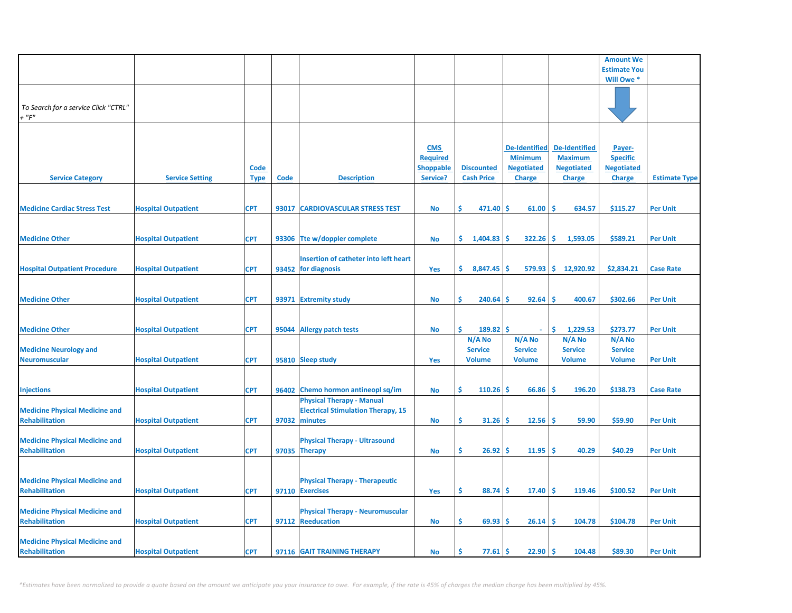|                                                                |                            |                            |             |                                                                                                |                                                               |                                           |                                                                              |                                                                              | <b>Amount We</b>                                                |                      |
|----------------------------------------------------------------|----------------------------|----------------------------|-------------|------------------------------------------------------------------------------------------------|---------------------------------------------------------------|-------------------------------------------|------------------------------------------------------------------------------|------------------------------------------------------------------------------|-----------------------------------------------------------------|----------------------|
|                                                                |                            |                            |             |                                                                                                |                                                               |                                           |                                                                              |                                                                              | <b>Estimate You</b>                                             |                      |
|                                                                |                            |                            |             |                                                                                                |                                                               |                                           |                                                                              |                                                                              | Will Owe *                                                      |                      |
| To Search for a service Click "CTRL"<br>$+$ " $F$ "            |                            |                            |             |                                                                                                |                                                               |                                           |                                                                              |                                                                              |                                                                 |                      |
| <b>Service Category</b>                                        | <b>Service Setting</b>     | <b>Code</b><br><b>Type</b> | <b>Code</b> | <b>Description</b>                                                                             | <b>CMS</b><br><b>Required</b><br><b>Shoppable</b><br>Service? | <b>Discounted</b><br><b>Cash Price</b>    | <b>De-Identified</b><br><b>Minimum</b><br><b>Negotiated</b><br><b>Charge</b> | <b>De-Identified</b><br><b>Maximum</b><br><b>Negotiated</b><br><b>Charge</b> | Payer-<br><b>Specific</b><br><b>Negotiated</b><br><b>Charge</b> | <b>Estimate Type</b> |
| <b>Medicine Cardiac Stress Test</b>                            | <b>Hospital Outpatient</b> | <b>CPT</b>                 | 93017       | <b>CARDIOVASCULAR STRESS TEST</b>                                                              |                                                               | Ŝ.<br>471.40                              | Ŝ.<br>61.00                                                                  | -S<br>634.57                                                                 | \$115.27                                                        | <b>Per Unit</b>      |
|                                                                |                            |                            |             |                                                                                                | No                                                            |                                           |                                                                              |                                                                              |                                                                 |                      |
| <b>Medicine Other</b>                                          | <b>Hospital Outpatient</b> | <b>CPT</b>                 |             | 93306 Tte w/doppler complete                                                                   | No                                                            | \$.<br>1,404.83                           | 322.26<br><b>S</b>                                                           | -S<br>1,593.05                                                               | \$589.21                                                        | <b>Per Unit</b>      |
|                                                                |                            |                            |             | Insertion of catheter into left heart                                                          |                                                               |                                           |                                                                              |                                                                              |                                                                 |                      |
| <b>Hospital Outpatient Procedure</b>                           | <b>Hospital Outpatient</b> | <b>CPT</b>                 |             | 93452 for diagnosis                                                                            | Yes                                                           | \$.<br>8,847.45                           | Ś<br>579.93                                                                  | ا\$<br>12,920.92                                                             | \$2,834.21                                                      | <b>Case Rate</b>     |
|                                                                |                            |                            |             |                                                                                                |                                                               |                                           |                                                                              |                                                                              |                                                                 |                      |
| <b>Medicine Other</b>                                          | <b>Hospital Outpatient</b> | <b>CPT</b>                 |             | 93971 Extremity study                                                                          | <b>No</b>                                                     | \$<br>240.64                              | 92.64<br>\$.                                                                 | <b>S</b><br>400.67                                                           | \$302.66                                                        | <b>Per Unit</b>      |
|                                                                |                            |                            |             |                                                                                                |                                                               |                                           |                                                                              |                                                                              |                                                                 |                      |
| <b>Medicine Other</b>                                          | <b>Hospital Outpatient</b> | <b>CPT</b>                 |             | 95044 Allergy patch tests                                                                      | No                                                            | Ś.<br>189.82                              | Ŝ.                                                                           | -\$<br>1,229.53                                                              | \$273.77                                                        | <b>Per Unit</b>      |
| <b>Medicine Neurology and</b><br><b>Neuromuscular</b>          | <b>Hospital Outpatient</b> | <b>CPT</b>                 |             | 95810 Sleep study                                                                              | Yes                                                           | N/A No<br><b>Service</b><br><b>Volume</b> | N/A No<br><b>Service</b><br><b>Volume</b>                                    | N/A No<br><b>Service</b><br><b>Volume</b>                                    | N/A No<br><b>Service</b><br><b>Volume</b>                       | <b>Per Unit</b>      |
|                                                                |                            |                            |             |                                                                                                |                                                               |                                           |                                                                              |                                                                              |                                                                 |                      |
| <b>Injections</b>                                              | <b>Hospital Outpatient</b> | <b>CPT</b>                 |             | 96402 Chemo hormon antineopl sq/im                                                             | No                                                            | Ś.<br>110.26                              | \$.<br>66.86                                                                 | \$<br>196.20                                                                 | \$138.73                                                        | <b>Case Rate</b>     |
| <b>Medicine Physical Medicine and</b><br><b>Rehabilitation</b> | <b>Hospital Outpatient</b> | <b>CPT</b>                 |             | <b>Physical Therapy - Manual</b><br><b>Electrical Stimulation Therapy, 15</b><br>97032 minutes | No                                                            | \$.<br>31.26                              | Ŝ.<br>12.56                                                                  | Ŝ<br>59.90                                                                   | \$59.90                                                         | <b>Per Unit</b>      |
| <b>Medicine Physical Medicine and</b><br><b>Rehabilitation</b> | <b>Hospital Outpatient</b> | <b>CPT</b>                 |             | <b>Physical Therapy - Ultrasound</b><br>97035 Therapy                                          | No                                                            | \$.<br>26.92                              | 11.95<br>s                                                                   | <b>S</b><br>40.29                                                            | \$40.29                                                         | <b>Per Unit</b>      |
|                                                                |                            |                            |             |                                                                                                |                                                               |                                           |                                                                              |                                                                              |                                                                 |                      |
| <b>Medicine Physical Medicine and</b><br><b>Rehabilitation</b> | <b>Hospital Outpatient</b> | <b>CPT</b>                 |             | <b>Physical Therapy - Therapeutic</b><br>97110 Exercises                                       | Yes                                                           | \$.<br>88.74                              | 17.40<br><b>S</b>                                                            | Ŝ.<br>119.46                                                                 | \$100.52                                                        | <b>Per Unit</b>      |
| <b>Medicine Physical Medicine and</b><br><b>Rehabilitation</b> | <b>Hospital Outpatient</b> | <b>CPT</b>                 |             | <b>Physical Therapy - Neuromuscular</b><br>97112 Reeducation                                   | No                                                            | \$.<br>69.93                              | \$.<br>26.14                                                                 | <b>S</b><br>104.78                                                           | \$104.78                                                        | <b>Per Unit</b>      |
| <b>Medicine Physical Medicine and</b><br>Rehabilitation        | <b>Hospital Outpatient</b> | <b>CPT</b>                 |             | 97116 GAIT TRAINING THERAPY                                                                    | No                                                            | Ś<br>77.61                                | Ŝ.<br>22.90                                                                  | \$<br>104.48                                                                 | \$89.30                                                         | <b>Per Unit</b>      |

*\*Estimates have been normalized to provide a quote based on the amount we anticipate you your insurance to owe. For example, if the rate is 45% of charges the median charge has been multiplied by 45%.*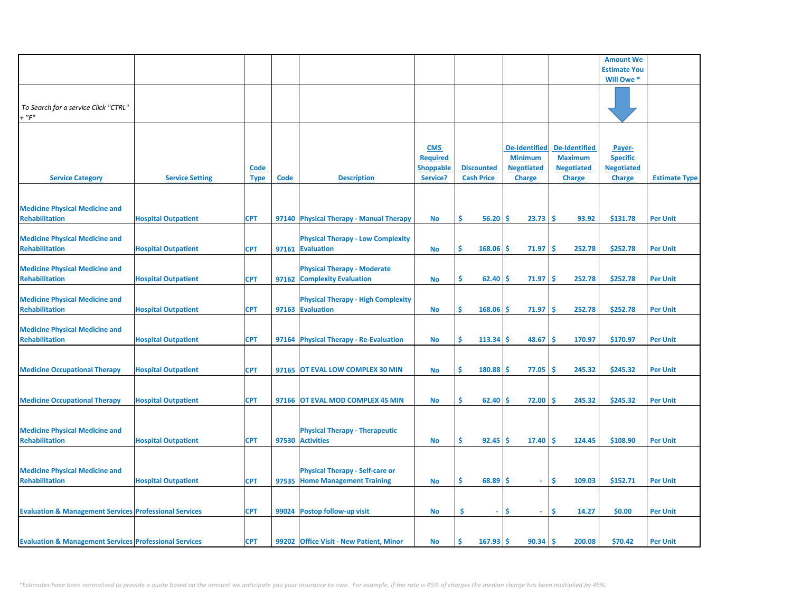|                                                                   |                            |                            |      |                                                                   |                                                               |                                        |                                                                              |                                                                              | <b>Amount We</b>                                                |                      |
|-------------------------------------------------------------------|----------------------------|----------------------------|------|-------------------------------------------------------------------|---------------------------------------------------------------|----------------------------------------|------------------------------------------------------------------------------|------------------------------------------------------------------------------|-----------------------------------------------------------------|----------------------|
|                                                                   |                            |                            |      |                                                                   |                                                               |                                        |                                                                              |                                                                              | <b>Estimate You</b>                                             |                      |
|                                                                   |                            |                            |      |                                                                   |                                                               |                                        |                                                                              |                                                                              | Will Owe *                                                      |                      |
| To Search for a service Click "CTRL"<br>$+$ " $F$ "               |                            |                            |      |                                                                   |                                                               |                                        |                                                                              |                                                                              |                                                                 |                      |
| <b>Service Category</b>                                           | <b>Service Setting</b>     | <b>Code</b><br><b>Type</b> | Code | <b>Description</b>                                                | <b>CMS</b><br><b>Required</b><br><b>Shoppable</b><br>Service? | <b>Discounted</b><br><b>Cash Price</b> | <b>De-Identified</b><br><b>Minimum</b><br><b>Negotiated</b><br><b>Charge</b> | <b>De-Identified</b><br><b>Maximum</b><br><b>Negotiated</b><br><b>Charge</b> | Payer-<br><b>Specific</b><br><b>Negotiated</b><br><b>Charge</b> | <b>Estimate Type</b> |
|                                                                   |                            |                            |      |                                                                   |                                                               |                                        |                                                                              |                                                                              |                                                                 |                      |
| <b>Medicine Physical Medicine and</b><br><b>Rehabilitation</b>    | <b>Hospital Outpatient</b> | <b>CPT</b>                 |      | 97140 Physical Therapy - Manual Therapy                           | No                                                            | \$<br>$56.20$ \$                       | $23.73$ \$                                                                   | 93.92                                                                        | \$131.78                                                        | <b>Per Unit</b>      |
| <b>Medicine Physical Medicine and</b><br><b>Rehabilitation</b>    | <b>Hospital Outpatient</b> | <b>CPT</b>                 |      | <b>Physical Therapy - Low Complexity</b><br>97161 Evaluation      | <b>No</b>                                                     | \$.<br>168.06                          | -Ś<br>71.97                                                                  | -Ś<br>252.78                                                                 | \$252.78                                                        | <b>Per Unit</b>      |
| <b>Medicine Physical Medicine and</b><br><b>Rehabilitation</b>    | <b>Hospital Outpatient</b> | <b>CPT</b>                 |      | <b>Physical Therapy - Moderate</b><br>97162 Complexity Evaluation | <b>No</b>                                                     | \$<br>62.40                            | -\$<br>71.97                                                                 | -Ś<br>252.78                                                                 | \$252.78                                                        | <b>Per Unit</b>      |
| <b>Medicine Physical Medicine and</b><br><b>Rehabilitation</b>    | <b>Hospital Outpatient</b> | <b>CPT</b>                 |      | <b>Physical Therapy - High Complexity</b><br>97163 Evaluation     | No                                                            | \$.<br>168.06                          | 71.97<br>-S                                                                  | 252.78<br>-\$                                                                | \$252.78                                                        | <b>Per Unit</b>      |
| <b>Medicine Physical Medicine and</b><br><b>Rehabilitation</b>    | <b>Hospital Outpatient</b> | <b>CPT</b>                 |      | 97164 Physical Therapy - Re-Evaluation                            | No                                                            | \$<br>113.34                           | -Ś<br>48.67                                                                  | -Ś<br>170.97                                                                 | \$170.97                                                        | <b>Per Unit</b>      |
| <b>Medicine Occupational Therapy</b>                              | <b>Hospital Outpatient</b> | <b>CPT</b>                 |      | 97165 OT EVAL LOW COMPLEX 30 MIN                                  | No                                                            | 180.88<br>\$.                          | 77.05<br>-Ś                                                                  | 245.32<br>-\$                                                                | \$245.32                                                        | <b>Per Unit</b>      |
|                                                                   |                            |                            |      |                                                                   |                                                               |                                        |                                                                              |                                                                              |                                                                 |                      |
| <b>Medicine Occupational Therapy</b>                              | <b>Hospital Outpatient</b> | <b>CPT</b>                 |      | 97166 OT EVAL MOD COMPLEX 45 MIN                                  | No                                                            | \$<br>62.40                            | 72.00<br>-Ś                                                                  | 245.32<br>.S                                                                 | \$245.32                                                        | <b>Per Unit</b>      |
| <b>Medicine Physical Medicine and</b><br><b>Rehabilitation</b>    | <b>Hospital Outpatient</b> | <b>CPT</b>                 |      | <b>Physical Therapy - Therapeutic</b><br>97530 Activities         | No                                                            | Ś<br>92.45                             | -Ś<br>17.40                                                                  | -Ś<br>124.45                                                                 | \$108.90                                                        | <b>Per Unit</b>      |
| <b>Medicine Physical Medicine and</b>                             |                            |                            |      | <b>Physical Therapy - Self-care or</b>                            |                                                               |                                        |                                                                              |                                                                              |                                                                 |                      |
| <b>Rehabilitation</b>                                             | <b>Hospital Outpatient</b> | <b>CPT</b>                 |      | 97535 Home Management Training                                    | No                                                            | \$<br>$68.89$ \$                       | $\sim$                                                                       | -Ś<br>109.03                                                                 | \$152.71                                                        | <b>Per Unit</b>      |
| <b>Evaluation &amp; Management Services Professional Services</b> |                            | <b>CPT</b>                 |      | 99024 Postop follow-up visit                                      | No                                                            | \$<br>$\mathbf{r}$                     | Ś<br>$\sim$                                                                  | Ŝ.<br>14.27                                                                  | \$0.00                                                          | <b>Per Unit</b>      |
| <b>Evaluation &amp; Management Services Professional Services</b> |                            | <b>CPT</b>                 |      | 99202 Office Visit - New Patient, Minor                           | No                                                            | Ś.<br>167.93                           | 90.34                                                                        | -Ś<br>200.08                                                                 | \$70.42                                                         | <b>Per Unit</b>      |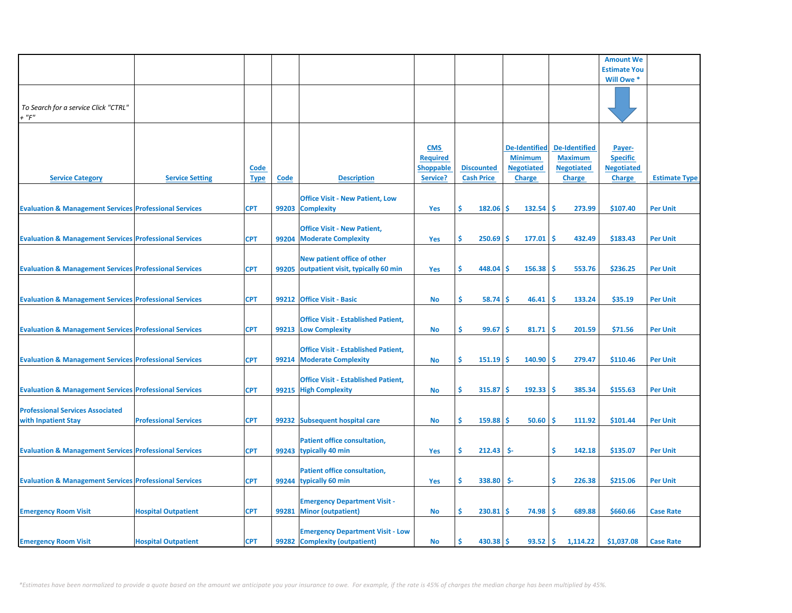|                                                                   |                              |                            |       |                                                                          |                                                               |                                        |                                                                              |                                                                              | <b>Amount We</b>                                         |                      |
|-------------------------------------------------------------------|------------------------------|----------------------------|-------|--------------------------------------------------------------------------|---------------------------------------------------------------|----------------------------------------|------------------------------------------------------------------------------|------------------------------------------------------------------------------|----------------------------------------------------------|----------------------|
|                                                                   |                              |                            |       |                                                                          |                                                               |                                        |                                                                              |                                                                              | <b>Estimate You</b>                                      |                      |
|                                                                   |                              |                            |       |                                                                          |                                                               |                                        |                                                                              |                                                                              | Will Owe *                                               |                      |
| To Search for a service Click "CTRL"<br>$+$ " $F$ "               |                              |                            |       |                                                                          |                                                               |                                        |                                                                              |                                                                              |                                                          |                      |
| <b>Service Category</b>                                           | <b>Service Setting</b>       | <b>Code</b><br><b>Type</b> | Code  | <b>Description</b>                                                       | <b>CMS</b><br><b>Required</b><br><b>Shoppable</b><br>Service? | <b>Discounted</b><br><b>Cash Price</b> | <b>De-Identified</b><br><b>Minimum</b><br><b>Negotiated</b><br><b>Charge</b> | <b>De-Identified</b><br><b>Maximum</b><br><b>Negotiated</b><br><b>Charge</b> | Payer-<br><b>Specific</b><br><b>Negotiated</b><br>Charge | <b>Estimate Type</b> |
| <b>Evaluation &amp; Management Services Professional Services</b> |                              | <b>CPT</b>                 |       | <b>Office Visit - New Patient, Low</b><br>99203 Complexity               | Yes                                                           | \$<br>$182.06$ \$                      | $132.54$ \$                                                                  | 273.99                                                                       | \$107.40                                                 | <b>Per Unit</b>      |
| <b>Evaluation &amp; Management Services Professional Services</b> |                              | <b>CPT</b>                 | 99204 | <b>Office Visit - New Patient,</b><br><b>Moderate Complexity</b>         | Yes                                                           | \$<br>250.69                           | -Ś<br>$177.01$ \$                                                            | 432.49                                                                       | \$183.43                                                 | <b>Per Unit</b>      |
| <b>Evaluation &amp; Management Services Professional Services</b> |                              | <b>CPT</b>                 |       | New patient office of other<br>99205 outpatient visit, typically 60 min  | Yes                                                           | \$<br>448.04                           | 156.38<br>-Ś                                                                 | -Ś<br>553.76                                                                 | \$236.25                                                 | <b>Per Unit</b>      |
| <b>Evaluation &amp; Management Services Professional Services</b> |                              | <b>CPT</b>                 |       | 99212 Office Visit - Basic                                               | <b>No</b>                                                     | \$<br>58.74                            | -S<br>46.41                                                                  | -Ś<br>133.24                                                                 | \$35.19                                                  | <b>Per Unit</b>      |
| <b>Evaluation &amp; Management Services Professional Services</b> |                              | <b>CPT</b>                 |       | <b>Office Visit - Established Patient,</b><br>99213 Low Complexity       | <b>No</b>                                                     | 99.67<br>\$                            | -Ś<br>81.71                                                                  | 201.59<br>-S                                                                 | \$71.56                                                  | <b>Per Unit</b>      |
| <b>Evaluation &amp; Management Services Professional Services</b> |                              | <b>CPT</b>                 |       | <b>Office Visit - Established Patient,</b><br>99214 Moderate Complexity  | <b>No</b>                                                     | Ś<br>151.19                            | 140.90<br>-Ś                                                                 | 279.47<br>S                                                                  | \$110.46                                                 | <b>Per Unit</b>      |
| <b>Evaluation &amp; Management Services Professional Services</b> |                              | <b>CPT</b>                 |       | <b>Office Visit - Established Patient,</b><br>99215 High Complexity      | <b>No</b>                                                     | \$<br>315.87                           | -Ś<br>192.33                                                                 | 385.34<br>۱\$                                                                | \$155.63                                                 | <b>Per Unit</b>      |
| <b>Professional Services Associated</b><br>with Inpatient Stay    | <b>Professional Services</b> | <b>CPT</b>                 |       | 99232 Subsequent hospital care                                           | <b>No</b>                                                     | \$<br>159.88                           | 50.60<br>-\$                                                                 | 111.92<br>۱\$                                                                | \$101.44                                                 | <b>Per Unit</b>      |
| <b>Evaluation &amp; Management Services Professional Services</b> |                              | <b>CPT</b>                 |       | Patient office consultation,<br>99243 typically 40 min                   | Yes                                                           | Ś<br>212.43                            | \$-                                                                          | \$<br>142.18                                                                 | \$135.07                                                 | <b>Per Unit</b>      |
| <b>Evaluation &amp; Management Services Professional Services</b> |                              | <b>CPT</b>                 |       | Patient office consultation,<br>99244 typically 60 min                   | Yes                                                           | \$<br>338.80                           | \$-                                                                          | \$<br>226.38                                                                 | \$215.06                                                 | <b>Per Unit</b>      |
| <b>Emergency Room Visit</b>                                       | <b>Hospital Outpatient</b>   | <b>CPT</b>                 | 99281 | <b>Emergency Department Visit -</b><br><b>Minor (outpatient)</b>         | <b>No</b>                                                     | Ś.<br>230.81                           | -Ś<br>74.98                                                                  | ١Ś<br>689.88                                                                 | \$660.66                                                 | <b>Case Rate</b>     |
| <b>Emergency Room Visit</b>                                       | <b>Hospital Outpatient</b>   | <b>CPT</b>                 |       | <b>Emergency Department Visit - Low</b><br>99282 Complexity (outpatient) | <b>No</b>                                                     | Ś.<br>$430.38$ \$                      | $93.52 \mid \frac{2}{3}$                                                     | 1,114.22                                                                     | \$1,037.08                                               | <b>Case Rate</b>     |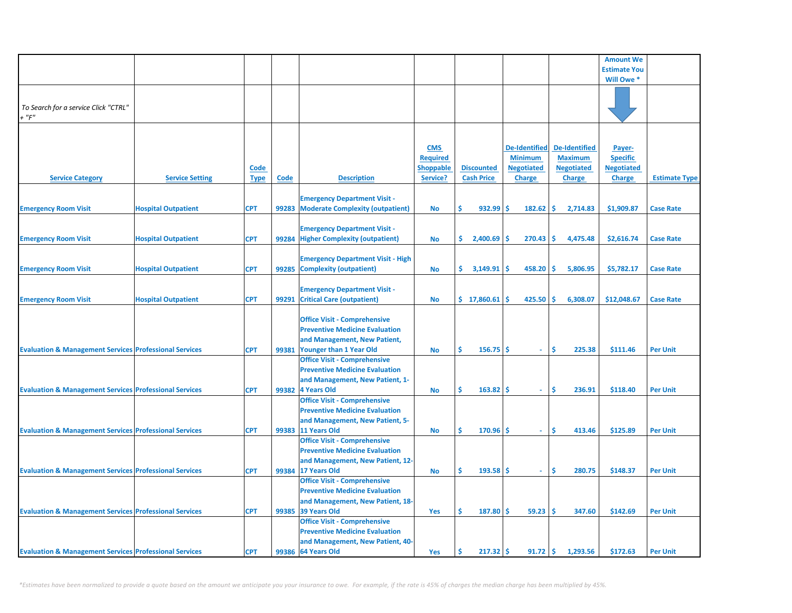|                                                                   |                            |             |       |                                          |                  |                   |                      |                      | <b>Amount We</b>    |                      |
|-------------------------------------------------------------------|----------------------------|-------------|-------|------------------------------------------|------------------|-------------------|----------------------|----------------------|---------------------|----------------------|
|                                                                   |                            |             |       |                                          |                  |                   |                      |                      | <b>Estimate You</b> |                      |
|                                                                   |                            |             |       |                                          |                  |                   |                      |                      | Will Owe *          |                      |
|                                                                   |                            |             |       |                                          |                  |                   |                      |                      |                     |                      |
|                                                                   |                            |             |       |                                          |                  |                   |                      |                      |                     |                      |
| To Search for a service Click "CTRL"                              |                            |             |       |                                          |                  |                   |                      |                      |                     |                      |
| $+$ " $F$ "                                                       |                            |             |       |                                          |                  |                   |                      |                      |                     |                      |
|                                                                   |                            |             |       |                                          |                  |                   |                      |                      |                     |                      |
|                                                                   |                            |             |       |                                          |                  |                   |                      |                      |                     |                      |
|                                                                   |                            |             |       |                                          |                  |                   |                      |                      |                     |                      |
|                                                                   |                            |             |       |                                          | <b>CMS</b>       |                   | <b>De-Identified</b> | <b>De-Identified</b> | Payer-              |                      |
|                                                                   |                            |             |       |                                          | <b>Required</b>  |                   | <b>Minimum</b>       | <b>Maximum</b>       | <b>Specific</b>     |                      |
|                                                                   |                            | <b>Code</b> |       |                                          | <b>Shoppable</b> | <b>Discounted</b> | <b>Negotiated</b>    | <b>Negotiated</b>    | <b>Negotiated</b>   |                      |
| <b>Service Category</b>                                           | <b>Service Setting</b>     | <b>Type</b> | Code  | <b>Description</b>                       | Service?         | <b>Cash Price</b> | <b>Charge</b>        | <b>Charge</b>        | <b>Charge</b>       | <b>Estimate Type</b> |
|                                                                   |                            |             |       |                                          |                  |                   |                      |                      |                     |                      |
|                                                                   |                            |             |       | <b>Emergency Department Visit -</b>      |                  |                   |                      |                      |                     |                      |
| <b>Emergency Room Visit</b>                                       | <b>Hospital Outpatient</b> | <b>CPT</b>  | 99283 | <b>Moderate Complexity (outpatient)</b>  | <b>No</b>        | Ŝ.<br>932.99      | \$.<br>182.62        | Ŝ.<br>2,714.83       | \$1,909.87          | <b>Case Rate</b>     |
|                                                                   |                            |             |       |                                          |                  |                   |                      |                      |                     |                      |
|                                                                   |                            |             |       | <b>Emergency Department Visit -</b>      |                  |                   |                      |                      |                     |                      |
| <b>Emergency Room Visit</b>                                       | <b>Hospital Outpatient</b> | <b>CPT</b>  | 99284 | <b>Higher Complexity (outpatient)</b>    | <b>No</b>        | 2,400.69<br>S.    | \$.<br>270.43        | Ŝ.<br>4,475.48       | \$2,616.74          | <b>Case Rate</b>     |
|                                                                   |                            |             |       |                                          |                  |                   |                      |                      |                     |                      |
|                                                                   |                            |             |       | <b>Emergency Department Visit - High</b> |                  |                   |                      |                      |                     |                      |
| <b>Emergency Room Visit</b>                                       | <b>Hospital Outpatient</b> | <b>CPT</b>  | 99285 | <b>Complexity (outpatient)</b>           | <b>No</b>        | Ŝ.<br>3,149.91    | Ś<br>458.20          | Ŝ.<br>5,806.95       | \$5,782.17          | <b>Case Rate</b>     |
|                                                                   |                            |             |       |                                          |                  |                   |                      |                      |                     |                      |
|                                                                   |                            |             |       | <b>Emergency Department Visit -</b>      |                  |                   |                      |                      |                     |                      |
| <b>Emergency Room Visit</b>                                       | <b>Hospital Outpatient</b> | <b>CPT</b>  | 99291 | <b>Critical Care (outpatient)</b>        | <b>No</b>        | \$17,860.61       | Ś<br>425.50          | Ŝ.<br>6,308.07       | \$12,048.67         | <b>Case Rate</b>     |
|                                                                   |                            |             |       |                                          |                  |                   |                      |                      |                     |                      |
|                                                                   |                            |             |       | <b>Office Visit - Comprehensive</b>      |                  |                   |                      |                      |                     |                      |
|                                                                   |                            |             |       |                                          |                  |                   |                      |                      |                     |                      |
|                                                                   |                            |             |       | <b>Preventive Medicine Evaluation</b>    |                  |                   |                      |                      |                     |                      |
|                                                                   |                            |             |       | and Management, New Patient,             |                  |                   |                      |                      |                     |                      |
| <b>Evaluation &amp; Management Services Professional Services</b> |                            | <b>CPT</b>  | 99381 | <b>Younger than 1 Year Old</b>           | <b>No</b>        | Ŝ<br>156.75       | Ŝ.<br>÷.             | \$.<br>225.38        | \$111.46            | <b>Per Unit</b>      |
|                                                                   |                            |             |       | <b>Office Visit - Comprehensive</b>      |                  |                   |                      |                      |                     |                      |
|                                                                   |                            |             |       | <b>Preventive Medicine Evaluation</b>    |                  |                   |                      |                      |                     |                      |
|                                                                   |                            |             |       | and Management, New Patient, 1-          |                  |                   |                      |                      |                     |                      |
| <b>Evaluation &amp; Management Services Professional Services</b> |                            | <b>CPT</b>  | 99382 | 4 Years Old                              | <b>No</b>        | Ŝ<br>163.82       | Ŝ<br>$\omega$        | Ŝ<br>236.91          | \$118.40            | <b>Per Unit</b>      |
|                                                                   |                            |             |       | <b>Office Visit - Comprehensive</b>      |                  |                   |                      |                      |                     |                      |
|                                                                   |                            |             |       | <b>Preventive Medicine Evaluation</b>    |                  |                   |                      |                      |                     |                      |
|                                                                   |                            |             |       | and Management, New Patient, 5-          |                  |                   |                      |                      |                     |                      |
| <b>Evaluation &amp; Management Services Professional Services</b> |                            | <b>CPT</b>  |       | 99383 11 Years Old                       | <b>No</b>        | Ŝ<br>170.96       | Ŝ<br>$\omega$        | Ś<br>413.46          | \$125.89            | <b>Per Unit</b>      |
|                                                                   |                            |             |       | <b>Office Visit - Comprehensive</b>      |                  |                   |                      |                      |                     |                      |
|                                                                   |                            |             |       | <b>Preventive Medicine Evaluation</b>    |                  |                   |                      |                      |                     |                      |
|                                                                   |                            |             |       | and Management, New Patient, 12-         |                  |                   |                      |                      |                     |                      |
| <b>Evaluation &amp; Management Services Professional Services</b> |                            | <b>CPT</b>  |       | 99384 17 Years Old                       | <b>No</b>        | Ŝ<br>193.58       | Ŝ<br>$\sim$          | \$.<br>280.75        | \$148.37            | <b>Per Unit</b>      |
|                                                                   |                            |             |       | <b>Office Visit - Comprehensive</b>      |                  |                   |                      |                      |                     |                      |
|                                                                   |                            |             |       | <b>Preventive Medicine Evaluation</b>    |                  |                   |                      |                      |                     |                      |
|                                                                   |                            |             |       | and Management, New Patient, 18-         |                  |                   |                      |                      |                     |                      |
| <b>Evaluation &amp; Management Services Professional Services</b> |                            | <b>CPT</b>  | 99385 | 39 Years Old                             | Yes              | Ŝ<br>187.80       | Ŝ<br>59.23           | Ŝ.<br>347.60         | \$142.69            | <b>Per Unit</b>      |
|                                                                   |                            |             |       | <b>Office Visit - Comprehensive</b>      |                  |                   |                      |                      |                     |                      |
|                                                                   |                            |             |       | <b>Preventive Medicine Evaluation</b>    |                  |                   |                      |                      |                     |                      |
|                                                                   |                            |             |       |                                          |                  |                   |                      |                      |                     |                      |
|                                                                   |                            |             |       | and Management, New Patient, 40-         |                  |                   |                      |                      |                     |                      |
| <b>Evaluation &amp; Management Services Professional Services</b> |                            | <b>CPT</b>  |       | 99386 64 Years Old                       | Yes              | Ś.<br>217.32      | Ś<br>91.72           | \$.<br>1,293.56      | \$172.63            | <b>Per Unit</b>      |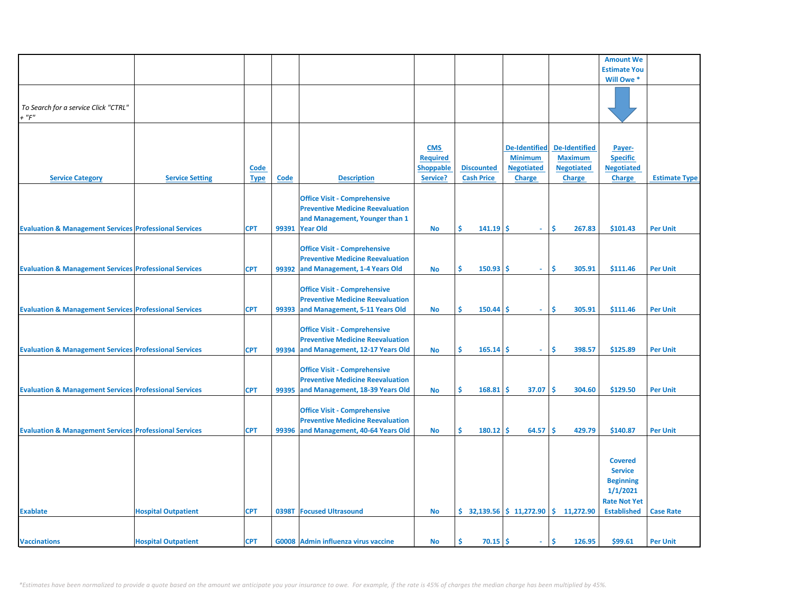|                                                                   |                            |                            |              |                                                                                                                                    |                                                               |                                        |                                                                              |                                                                              | <b>Amount We</b>                                                                                              |                      |
|-------------------------------------------------------------------|----------------------------|----------------------------|--------------|------------------------------------------------------------------------------------------------------------------------------------|---------------------------------------------------------------|----------------------------------------|------------------------------------------------------------------------------|------------------------------------------------------------------------------|---------------------------------------------------------------------------------------------------------------|----------------------|
|                                                                   |                            |                            |              |                                                                                                                                    |                                                               |                                        |                                                                              |                                                                              | <b>Estimate You</b>                                                                                           |                      |
|                                                                   |                            |                            |              |                                                                                                                                    |                                                               |                                        |                                                                              |                                                                              | Will Owe *                                                                                                    |                      |
| To Search for a service Click "CTRL"<br>$+$ " $F$ "               |                            |                            |              |                                                                                                                                    |                                                               |                                        |                                                                              |                                                                              |                                                                                                               |                      |
| <b>Service Category</b>                                           | <b>Service Setting</b>     | <b>Code</b><br><b>Type</b> | Code         | <b>Description</b>                                                                                                                 | <b>CMS</b><br><b>Required</b><br><b>Shoppable</b><br>Service? | <b>Discounted</b><br><b>Cash Price</b> | <b>De-Identified</b><br><b>Minimum</b><br><b>Negotiated</b><br><b>Charge</b> | <b>De-Identified</b><br><b>Maximum</b><br><b>Negotiated</b><br><b>Charge</b> | Payer-<br><b>Specific</b><br><b>Negotiated</b><br><b>Charge</b>                                               | <b>Estimate Type</b> |
|                                                                   |                            |                            |              |                                                                                                                                    |                                                               |                                        |                                                                              |                                                                              |                                                                                                               |                      |
| <b>Evaluation &amp; Management Services Professional Services</b> |                            | <b>CPT</b>                 |              | <b>Office Visit - Comprehensive</b><br><b>Preventive Medicine Reevaluation</b><br>and Management, Younger than 1<br>99391 Year Old | <b>No</b>                                                     | Ŝ<br>$141.19$ \$                       | $\sim$                                                                       | Ŝ.<br>267.83                                                                 | \$101.43                                                                                                      | <b>Per Unit</b>      |
| <b>Evaluation &amp; Management Services Professional Services</b> |                            | <b>CPT</b>                 |              | <b>Office Visit - Comprehensive</b><br><b>Preventive Medicine Reevaluation</b><br>99392 and Management, 1-4 Years Old              | No                                                            | Ŝ<br>150.93                            | -Ś<br>$\sim$                                                                 | Ŝ<br>305.91                                                                  | \$111.46                                                                                                      | <b>Per Unit</b>      |
| <b>Evaluation &amp; Management Services Professional Services</b> |                            | <b>CPT</b>                 |              | <b>Office Visit - Comprehensive</b><br><b>Preventive Medicine Reevaluation</b><br>99393 and Management, 5-11 Years Old             | No                                                            | \$<br>150.44                           | -S<br>$\sim$                                                                 | -S<br>305.91                                                                 | \$111.46                                                                                                      | <b>Per Unit</b>      |
| <b>Evaluation &amp; Management Services Professional Services</b> |                            | <b>CPT</b>                 |              | <b>Office Visit - Comprehensive</b><br><b>Preventive Medicine Reevaluation</b><br>99394 and Management, 12-17 Years Old            | No                                                            | Ś.<br>165.14                           | -Ś<br>$\sim$                                                                 | Ŝ<br>398.57                                                                  | \$125.89                                                                                                      | <b>Per Unit</b>      |
| <b>Evaluation &amp; Management Services Professional Services</b> |                            | <b>CPT</b>                 |              | <b>Office Visit - Comprehensive</b><br><b>Preventive Medicine Reevaluation</b><br>99395 and Management, 18-39 Years Old            | No                                                            | \$<br>168.81                           | 37.07<br>-Ś                                                                  | 304.60<br>-Ś                                                                 | \$129.50                                                                                                      | <b>Per Unit</b>      |
| <b>Evaluation &amp; Management Services Professional Services</b> |                            | <b>CPT</b>                 | 99396        | <b>Office Visit - Comprehensive</b><br><b>Preventive Medicine Reevaluation</b><br>and Management, 40-64 Years Old                  | <b>No</b>                                                     | $180.12$ \$<br>Ś                       | 64.57                                                                        | 429.79<br>١Ś                                                                 | \$140.87                                                                                                      | <b>Per Unit</b>      |
| <b>Exablate</b>                                                   | <b>Hospital Outpatient</b> | <b>CPT</b>                 | <b>0398T</b> | <b>Focused Ultrasound</b>                                                                                                          | <b>No</b>                                                     |                                        |                                                                              | $\frac{1}{2}$ 32,139.56 $\frac{1}{2}$ 11,272.90 $\frac{1}{2}$ 11,272.90      | <b>Covered</b><br><b>Service</b><br><b>Beginning</b><br>1/1/2021<br><b>Rate Not Yet</b><br><b>Established</b> | <b>Case Rate</b>     |
|                                                                   |                            |                            |              |                                                                                                                                    |                                                               |                                        |                                                                              |                                                                              |                                                                                                               |                      |
| <b>Vaccinations</b>                                               | <b>Hospital Outpatient</b> | <b>CPT</b>                 |              | G0008 Admin influenza virus vaccine                                                                                                | No                                                            | Ś.<br>70.15                            | -Ś                                                                           | Ŝ<br>126.95                                                                  | \$99.61                                                                                                       | <b>Per Unit</b>      |